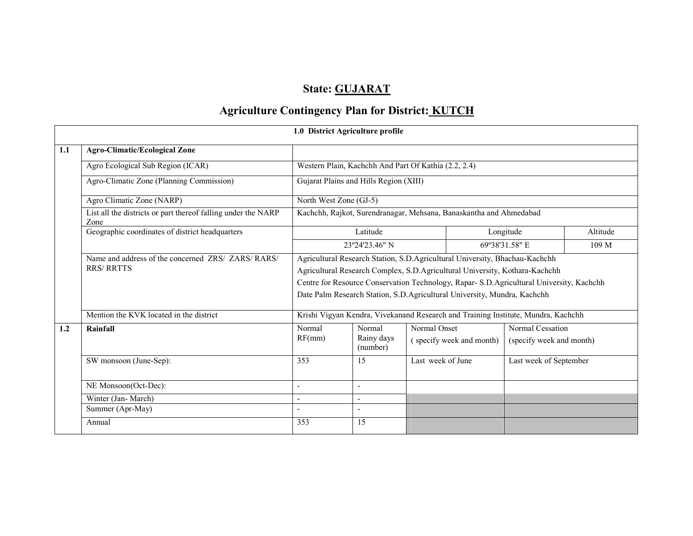## State: GUJARAT

# Agriculture Contingency Plan for District: KUTCH

|     |                                                                         | 1.0 District Agriculture profile                                                                                                                                      |                        |                   |                                    |                          |          |  |  |
|-----|-------------------------------------------------------------------------|-----------------------------------------------------------------------------------------------------------------------------------------------------------------------|------------------------|-------------------|------------------------------------|--------------------------|----------|--|--|
| 1.1 | <b>Agro-Climatic/Ecological Zone</b>                                    |                                                                                                                                                                       |                        |                   |                                    |                          |          |  |  |
|     | Agro Ecological Sub Region (ICAR)                                       | Western Plain, Kachchh And Part Of Kathia (2.2, 2.4)                                                                                                                  |                        |                   |                                    |                          |          |  |  |
|     | Agro-Climatic Zone (Planning Commission)                                | Gujarat Plains and Hills Region (XIII)                                                                                                                                |                        |                   |                                    |                          |          |  |  |
|     | Agro Climatic Zone (NARP)                                               | North West Zone (GJ-5)                                                                                                                                                |                        |                   |                                    |                          |          |  |  |
|     | List all the districts or part thereof falling under the NARP<br>Zone   | Kachchh, Rajkot, Surendranagar, Mehsana, Banaskantha and Ahmedabad                                                                                                    |                        |                   |                                    |                          |          |  |  |
|     | Geographic coordinates of district headquarters                         |                                                                                                                                                                       | Latitude               |                   |                                    | Longitude                | Altitude |  |  |
|     |                                                                         |                                                                                                                                                                       | 23°24'23.46" N         |                   | 69°38'31.58" E<br>109 <sub>M</sub> |                          |          |  |  |
|     | Name and address of the concerned ZRS/ ZARS/ RARS/<br><b>RRS/ RRTTS</b> | Agricultural Research Station, S.D.Agricultural University, Bhachau-Kachchh<br>Agricultural Research Complex, S.D.Agricultural University, Kothara-Kachchh            |                        |                   |                                    |                          |          |  |  |
|     |                                                                         | Centre for Resource Conservation Technology, Rapar- S.D. Agricultural University, Kachchh<br>Date Palm Research Station, S.D.Agricultural University, Mundra, Kachchh |                        |                   |                                    |                          |          |  |  |
|     |                                                                         |                                                                                                                                                                       |                        |                   |                                    |                          |          |  |  |
|     | Mention the KVK located in the district                                 | Krishi Vigyan Kendra, Vivekanand Research and Training Institute, Mundra, Kachchh                                                                                     |                        |                   |                                    |                          |          |  |  |
| 1.2 | Rainfall                                                                | Normal                                                                                                                                                                | Normal                 | Normal Onset      |                                    | Normal Cessation         |          |  |  |
|     |                                                                         | RF(mm)                                                                                                                                                                | Rainy days<br>(number) |                   | (specify week and month)           | (specify week and month) |          |  |  |
|     | SW monsoon (June-Sep):                                                  | 353                                                                                                                                                                   | 15                     | Last week of June |                                    | Last week of September   |          |  |  |
|     | NE Monsoon(Oct-Dec):                                                    |                                                                                                                                                                       |                        |                   |                                    |                          |          |  |  |
|     | Winter (Jan-March)                                                      | $\overline{\phantom{0}}$                                                                                                                                              | $\blacksquare$         |                   |                                    |                          |          |  |  |
|     | Summer (Apr-May)                                                        | $\overline{\phantom{a}}$                                                                                                                                              |                        |                   |                                    |                          |          |  |  |
|     | Annual                                                                  | 353                                                                                                                                                                   | 15                     |                   |                                    |                          |          |  |  |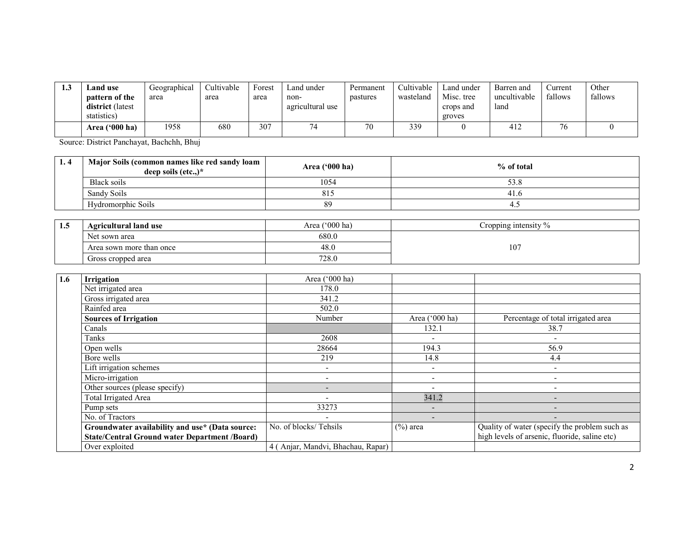| ن. 1 | and use.<br><b>pattern of the</b><br>district (latest<br>statistics) | Geographical<br>area | Cultivable<br>area | Forest<br>area | Land under<br>non-<br>agricultural use | Permanent<br>pastures | Cultivable<br>wasteland | Land under<br>Misc. tree<br>crops and<br>groves | Barren and<br>uncultivable<br>land | Current<br>fallows | Other<br>fallows |
|------|----------------------------------------------------------------------|----------------------|--------------------|----------------|----------------------------------------|-----------------------|-------------------------|-------------------------------------------------|------------------------------------|--------------------|------------------|
|      | Area $(900 \text{ ha})$                                              | 1958                 | 680                | 307            |                                        | 70                    | 339                     |                                                 | 414                                | 76                 |                  |

Source: District Panchayat, Bachchh, Bhuj

| 1.4 | Major Soils (common names like red sandy loam<br>deep soils $(\text{etc.})^*$ | Area $('000 ha)$ | % of total |
|-----|-------------------------------------------------------------------------------|------------------|------------|
|     | Black soils                                                                   | 1054             |            |
|     | Sandy Soils                                                                   | 815              | -41.u      |
|     | Hydromorphic Soils                                                            | 89               | ∸          |

| 1.5 | <b>Agricultural land use</b> | ('000 ha)<br>Area | Cropping intensity $\%$ |  |  |
|-----|------------------------------|-------------------|-------------------------|--|--|
|     | Net sown area                | 680.0             |                         |  |  |
|     | Area sown more than once     | 48.0              | 107                     |  |  |
|     | Gross cropped area           | 728.0             |                         |  |  |

| 1.6 | <b>Irrigation</b>                                    | Area ('000 ha)                    |                          |                                               |  |
|-----|------------------------------------------------------|-----------------------------------|--------------------------|-----------------------------------------------|--|
|     | Net irrigated area                                   | 178.0                             |                          |                                               |  |
|     | Gross irrigated area                                 | 341.2                             |                          |                                               |  |
|     | Rainfed area                                         | 502.0                             |                          |                                               |  |
|     | <b>Sources of Irrigation</b>                         | Number                            | Area ('000 ha)           | Percentage of total irrigated area            |  |
|     | Canals                                               |                                   | 132.1                    | 38.7                                          |  |
|     | Tanks                                                | 2608                              | $\overline{\phantom{0}}$ |                                               |  |
|     | Open wells                                           | 28664                             | 194.3                    | 56.9                                          |  |
|     | Bore wells                                           | 219                               | 14.8                     | 4.4                                           |  |
|     | Lift irrigation schemes                              | -                                 | $\overline{\phantom{a}}$ | ٠                                             |  |
|     | Micro-irrigation                                     | $\overline{\phantom{a}}$          | $\overline{\phantom{a}}$ | ۰                                             |  |
|     | Other sources (please specify)                       | $\qquad \qquad \blacksquare$      | $\overline{\phantom{0}}$ | ۰                                             |  |
|     | Total Irrigated Area                                 |                                   | 341.2                    | -                                             |  |
|     | Pump sets                                            | 33273                             | $\overline{\phantom{a}}$ | -                                             |  |
|     | No. of Tractors                                      |                                   | $\overline{\phantom{a}}$ |                                               |  |
|     | Groundwater availability and use* (Data source:      | No. of blocks/Tehsils             | $(\%)$ area              | Quality of water (specify the problem such as |  |
|     | <b>State/Central Ground water Department /Board)</b> |                                   |                          | high levels of arsenic, fluoride, saline etc) |  |
|     | Over exploited                                       | 4 (Anjar, Mandvi, Bhachau, Rapar) |                          |                                               |  |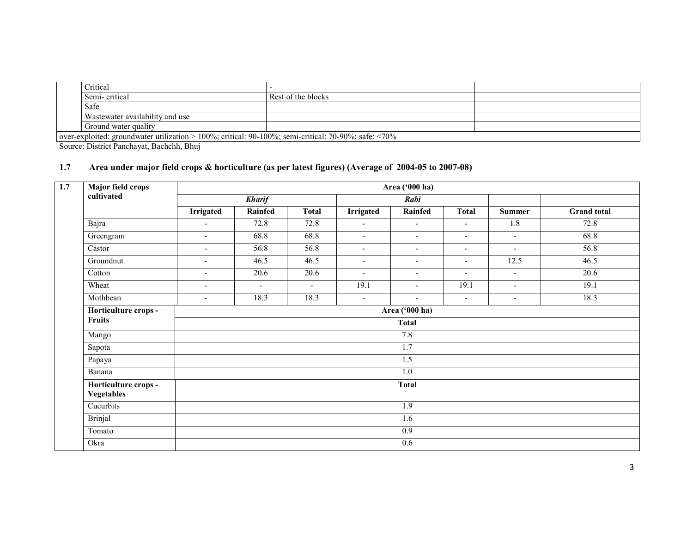| Critical                                                                                                 |                    |  |  |  |  |  |
|----------------------------------------------------------------------------------------------------------|--------------------|--|--|--|--|--|
| Semi-critical                                                                                            | Rest of the blocks |  |  |  |  |  |
| Safe                                                                                                     |                    |  |  |  |  |  |
| Wastewater availability and use                                                                          |                    |  |  |  |  |  |
| Ground water quality                                                                                     |                    |  |  |  |  |  |
| over-exploited: groundwater utilization $> 100\%$ ; critical: 90-100%; semi-critical: 70-90%; safe: <70% |                    |  |  |  |  |  |

Source: District Panchayat, Bachchh, Bhuj

#### 1.7 Area under major field crops & horticulture (as per latest figures) (Average of 2004-05 to 2007-08)

| 1.7 | <b>Major field crops</b>                  |                          |                |              |                  | Area ('000 ha)           |                          |                          |                    |  |  |
|-----|-------------------------------------------|--------------------------|----------------|--------------|------------------|--------------------------|--------------------------|--------------------------|--------------------|--|--|
|     | cultivated                                |                          | <b>Kharif</b>  |              |                  | Rabi                     |                          |                          |                    |  |  |
|     |                                           | <b>Irrigated</b>         | Rainfed        | <b>Total</b> | <b>Irrigated</b> | Rainfed                  | <b>Total</b>             | <b>Summer</b>            | <b>Grand</b> total |  |  |
|     | Bajra                                     | $\blacksquare$           | 72.8           | 72.8         | $\blacksquare$   | $\blacksquare$           | $\blacksquare$           | 1.8                      | 72.8               |  |  |
|     | Greengram                                 | $\overline{\phantom{a}}$ | 68.8           | 68.8         | $\blacksquare$   | $\blacksquare$           | $\overline{\phantom{a}}$ | $\sim$                   | 68.8               |  |  |
|     | Castor                                    |                          | 56.8           | 56.8         | $\blacksquare$   | $\blacksquare$           | $\blacksquare$           | $\overline{\phantom{a}}$ | 56.8               |  |  |
|     | Groundnut                                 | $\overline{\phantom{a}}$ | 46.5           | 46.5         | $\blacksquare$   | $\overline{\phantom{a}}$ | $\overline{\phantom{a}}$ | 12.5                     | 46.5               |  |  |
|     | Cotton                                    | $\overline{\phantom{a}}$ | 20.6           | 20.6         | $\blacksquare$   | $\overline{\phantom{0}}$ | $\overline{\phantom{a}}$ | $\blacksquare$           | 20.6               |  |  |
|     | Wheat                                     | $\overline{\phantom{a}}$ | $\blacksquare$ | $\sim$       | 19.1             | $\overline{\phantom{0}}$ | 19.1                     | $\overline{\phantom{a}}$ | 19.1               |  |  |
|     | Mothbean                                  | $\blacksquare$           | 18.3           | 18.3         | $\blacksquare$   | $\overline{\phantom{a}}$ | $\blacksquare$           | $\blacksquare$           | 18.3               |  |  |
|     | Horticulture crops -                      | Area ('000 ha)           |                |              |                  |                          |                          |                          |                    |  |  |
|     | <b>Fruits</b>                             | <b>Total</b>             |                |              |                  |                          |                          |                          |                    |  |  |
|     | Mango                                     |                          | 7.8            |              |                  |                          |                          |                          |                    |  |  |
|     | Sapota                                    |                          |                |              |                  | $\overline{1.7}$         |                          |                          |                    |  |  |
|     | Papaya                                    |                          |                |              |                  | 1.5                      |                          |                          |                    |  |  |
|     | Banana                                    |                          |                |              |                  | $1.0\,$                  |                          |                          |                    |  |  |
|     | Horticulture crops -<br><b>Vegetables</b> |                          |                |              |                  | <b>Total</b>             |                          |                          |                    |  |  |
|     | Cucurbits                                 |                          |                |              |                  | 1.9                      |                          |                          |                    |  |  |
|     | <b>Brinjal</b>                            |                          |                |              |                  | 1.6                      |                          |                          |                    |  |  |
|     | Tomato                                    |                          |                |              |                  | 0.9                      |                          |                          |                    |  |  |
|     | Okra                                      |                          |                |              |                  | $\overline{0.6}$         |                          |                          |                    |  |  |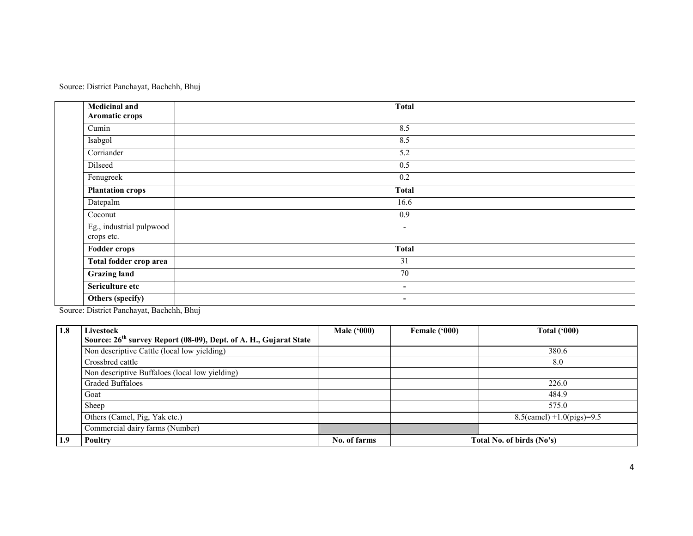Source: District Panchayat, Bachchh, Bhuj

| <b>Medicinal and</b><br>Aromatic crops | <b>Total</b>             |  |
|----------------------------------------|--------------------------|--|
| Cumin                                  | 8.5                      |  |
| Isabgol                                | 8.5                      |  |
| Corriander                             | $\overline{5.2}$         |  |
| Dilseed                                | 0.5                      |  |
| Fenugreek                              | 0.2                      |  |
| <b>Plantation crops</b>                | <b>Total</b>             |  |
| Datepalm                               | 16.6                     |  |
| $\overline{\text{C}}$ oconut           | $\overline{0.9}$         |  |
| Eg., industrial pulpwood<br>crops etc. | $\overline{\phantom{a}}$ |  |
| <b>Fodder crops</b>                    | <b>Total</b>             |  |
| Total fodder crop area                 | $\overline{31}$          |  |
| <b>Grazing land</b>                    | 70                       |  |
| Sericulture etc                        | $\overline{\phantom{0}}$ |  |
| Others (specify)                       | $\blacksquare$           |  |

Source: District Panchayat, Bachchh, Bhuj

| 1.8 | Livestock                                                                     | Male $(900)$ | Female ('000) | <b>Total ('000)</b>          |  |  |
|-----|-------------------------------------------------------------------------------|--------------|---------------|------------------------------|--|--|
|     | Source: 26 <sup>th</sup> survey Report (08-09), Dept. of A. H., Gujarat State |              |               |                              |  |  |
|     | Non descriptive Cattle (local low yielding)                                   |              |               | 380.6                        |  |  |
|     | Crossbred cattle                                                              |              |               | 8.0                          |  |  |
|     | Non descriptive Buffaloes (local low yielding)                                |              |               |                              |  |  |
|     | <b>Graded Buffaloes</b>                                                       |              |               | 226.0                        |  |  |
|     | Goat                                                                          |              |               | 484.9                        |  |  |
|     | Sheep                                                                         |              |               | 575.0                        |  |  |
|     | Others (Camel, Pig, Yak etc.)                                                 |              |               | $8.5$ (camel) +1.0(pigs)=9.5 |  |  |
|     | Commercial dairy farms (Number)                                               |              |               |                              |  |  |
| 1.9 | Poultry                                                                       | No. of farms |               | Total No. of birds (No's)    |  |  |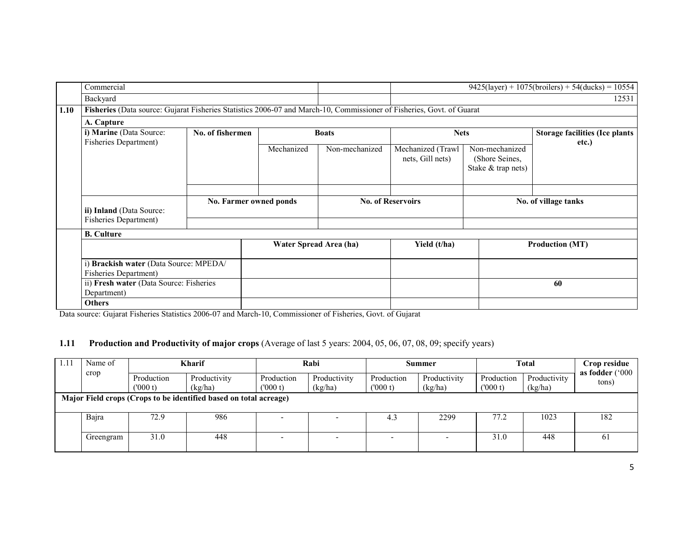|      | Commercial                                                                                                            |                        |                        |                |                                       |                                                        | $9425 \text{(layer)} + 1075 \text{(broilers)} + 54 \text{(ducks)} = 10554$ |  |
|------|-----------------------------------------------------------------------------------------------------------------------|------------------------|------------------------|----------------|---------------------------------------|--------------------------------------------------------|----------------------------------------------------------------------------|--|
|      | Backyard                                                                                                              |                        |                        |                |                                       |                                                        | 12531                                                                      |  |
| 1.10 | Fisheries (Data source: Gujarat Fisheries Statistics 2006-07 and March-10, Commissioner of Fisheries, Govt. of Guarat |                        |                        |                |                                       |                                                        |                                                                            |  |
|      | A. Capture                                                                                                            |                        |                        |                |                                       |                                                        |                                                                            |  |
|      | i) Marine (Data Source:<br>Fisheries Department)                                                                      | No. of fishermen       |                        | <b>Boats</b>   | <b>Nets</b>                           |                                                        | <b>Storage facilities (Ice plants</b>                                      |  |
|      |                                                                                                                       |                        | Mechanized             | Non-mechanized | Mechanized (Trawl<br>nets, Gill nets) | Non-mechanized<br>(Shore Seines,<br>Stake & trap nets) | etc.)                                                                      |  |
|      | ii) Inland (Data Source:<br>Fisheries Department)                                                                     | No. Farmer owned ponds |                        |                | <b>No. of Reservoirs</b>              |                                                        | No. of village tanks                                                       |  |
|      | <b>B.</b> Culture                                                                                                     |                        |                        |                |                                       |                                                        |                                                                            |  |
|      |                                                                                                                       |                        | Water Spread Area (ha) |                | Yield (t/ha)                          |                                                        | <b>Production (MT)</b>                                                     |  |
|      | Brackish water (Data Source: MPEDA/<br><b>Fisheries Department)</b>                                                   |                        |                        |                |                                       |                                                        |                                                                            |  |
|      | ii) Fresh water (Data Source: Fisheries<br>Department)                                                                |                        |                        |                |                                       |                                                        | 60                                                                         |  |
|      | <b>Others</b>                                                                                                         |                        |                        |                |                                       |                                                        |                                                                            |  |

Data source: Gujarat Fisheries Statistics 2006-07 and March-10, Commissioner of Fisheries, Govt. of Gujarat

#### 1.11 Production and Productivity of major crops (Average of last 5 years: 2004, 05, 06, 07, 08, 09; specify years)

| 1.11 | Name of<br>crop                                                   | Kharif                |                         | Rabi                  |                         | Summer                |                         | <b>Total</b>          |                         | Crop residue<br>as fodder $(°000$ |  |
|------|-------------------------------------------------------------------|-----------------------|-------------------------|-----------------------|-------------------------|-----------------------|-------------------------|-----------------------|-------------------------|-----------------------------------|--|
|      |                                                                   | Production<br>(000 t) | Productivity<br>(kg/ha) | Production<br>(000 t) | Productivity<br>(kg/ha) | Production<br>(000 t) | Productivity<br>(kg/ha) | Production<br>(000 t) | Productivity<br>(kg/ha) | tons)                             |  |
|      | Major Field crops (Crops to be identified based on total acreage) |                       |                         |                       |                         |                       |                         |                       |                         |                                   |  |
|      | Bajra                                                             | 72.9                  | 986                     |                       |                         | 4.3                   | 2299                    | 77.2                  | 1023                    | 182                               |  |
|      | Greengram                                                         | 31.0                  | 448                     |                       |                         |                       |                         | 31.0                  | 448                     | 61                                |  |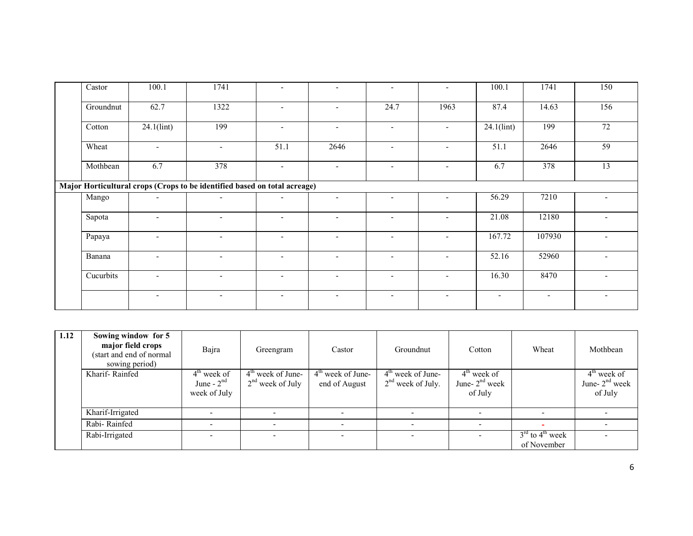| $\overline{\text{C}}$ astor                                               | 100.1                    | 1741                     |                          | $\overline{\phantom{0}}$ | $\sim$                   | $\overline{\phantom{a}}$ | 100.1                    | 1741                     | 150                      |  |  |
|---------------------------------------------------------------------------|--------------------------|--------------------------|--------------------------|--------------------------|--------------------------|--------------------------|--------------------------|--------------------------|--------------------------|--|--|
| Groundnut                                                                 | 62.7                     | 1322                     | $\overline{\phantom{a}}$ | $\overline{\phantom{a}}$ | 24.7                     | 1963                     | 87.4                     | 14.63                    | 156                      |  |  |
| Cotton                                                                    | 24.1(lint)               | 199                      | $\overline{\phantom{0}}$ | $\overline{\phantom{a}}$ | $\overline{\phantom{0}}$ | $\overline{\phantom{a}}$ | $24.1$ (lint)            | 199                      | $\overline{72}$          |  |  |
| Wheat                                                                     | $\overline{\phantom{a}}$ | $\overline{\phantom{a}}$ | 51.1                     | 2646                     | $\overline{\phantom{0}}$ | $\overline{\phantom{a}}$ | 51.1                     | 2646                     | 59                       |  |  |
| Mothbean                                                                  | 6.7                      | 378                      | $\blacksquare$           | $\overline{\phantom{a}}$ | $\sim$                   | $\sim$                   | 6.7                      | 378                      | 13                       |  |  |
| Major Horticultural crops (Crops to be identified based on total acreage) |                          |                          |                          |                          |                          |                          |                          |                          |                          |  |  |
| Mango                                                                     | $\overline{\phantom{a}}$ | $\overline{\phantom{a}}$ | $\overline{\phantom{a}}$ | $\sim$                   | $\overline{\phantom{0}}$ | $\overline{\phantom{a}}$ | 56.29                    | 7210                     |                          |  |  |
| Sapota                                                                    | $\overline{\phantom{a}}$ | $\overline{\phantom{a}}$ | $\overline{\phantom{a}}$ | $\overline{\phantom{a}}$ | $\overline{\phantom{0}}$ | $\overline{\phantom{a}}$ | 21.08                    | 12180                    | $\overline{\phantom{0}}$ |  |  |
| Papaya                                                                    | $\overline{\phantom{a}}$ | $\overline{\phantom{a}}$ | $\overline{\phantom{a}}$ | $\overline{\phantom{a}}$ | $\sim$                   | $\overline{\phantom{a}}$ | 167.72                   | 107930                   | $\overline{\phantom{a}}$ |  |  |
| Banana                                                                    |                          | ۰.                       | $\overline{\phantom{0}}$ | $\overline{\phantom{0}}$ |                          | $\overline{\phantom{0}}$ | 52.16                    | 52960                    |                          |  |  |
| Cucurbits                                                                 | $\overline{\phantom{a}}$ | $\overline{\phantom{a}}$ | $\overline{\phantom{a}}$ | $\overline{\phantom{a}}$ | $\overline{\phantom{0}}$ | $\overline{\phantom{a}}$ | 16.30                    | 8470                     | $\overline{\phantom{0}}$ |  |  |
|                                                                           | $\overline{\phantom{a}}$ | $\overline{\phantom{a}}$ | $\overline{\phantom{a}}$ | $\overline{\phantom{a}}$ | $\sim$                   | $\overline{\phantom{a}}$ | $\overline{\phantom{a}}$ | $\overline{\phantom{a}}$ | $\blacksquare$           |  |  |

| 1.12 | Sowing window for 5<br>major field crops<br>(start and end of normal<br>sowing period) | Bajra                         | Greengram                                 | Castor                               | Groundnut                                  | Cotton                            | Wheat                         | Mothbean                          |
|------|----------------------------------------------------------------------------------------|-------------------------------|-------------------------------------------|--------------------------------------|--------------------------------------------|-----------------------------------|-------------------------------|-----------------------------------|
|      | Kharif-Rainfed                                                                         | $4th$ week of<br>June - $2nd$ | $4th$ week of June-<br>$2nd$ week of July | $4th$ week of June-<br>end of August | $4th$ week of June-<br>$2nd$ week of July. | $4th$ week of<br>June- $2nd$ week |                               | $4th$ week of<br>June- $2nd$ week |
|      |                                                                                        | week of July                  |                                           |                                      |                                            | of July                           |                               | of July                           |
|      | Kharif-Irrigated                                                                       |                               |                                           |                                      |                                            | $\overline{\phantom{0}}$          |                               |                                   |
|      | Rabi-Rainfed                                                                           |                               |                                           |                                      |                                            |                                   |                               |                                   |
|      | Rabi-Irrigated                                                                         |                               |                                           |                                      |                                            |                                   | $3rd$ to 4 <sup>th</sup> week |                                   |
|      |                                                                                        |                               |                                           |                                      |                                            |                                   | of November                   |                                   |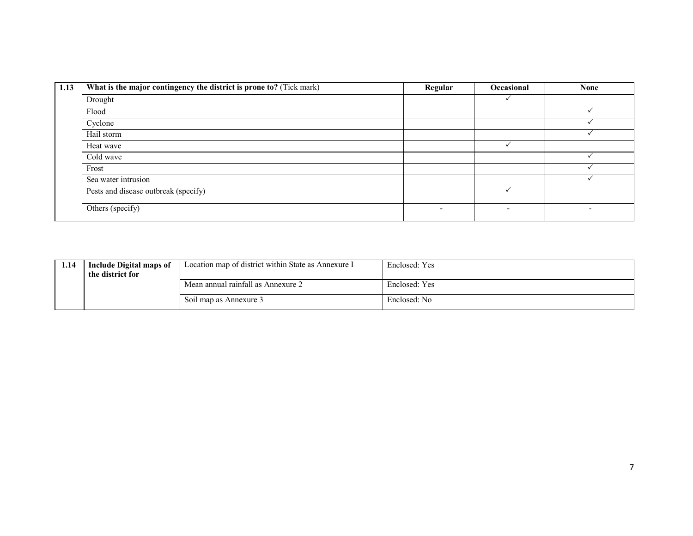| 1.13 | What is the major contingency the district is prone to? (Tick mark) | Regular | Occasional               | <b>None</b> |
|------|---------------------------------------------------------------------|---------|--------------------------|-------------|
|      | Drought                                                             |         |                          |             |
|      | Flood                                                               |         |                          |             |
|      | Cyclone                                                             |         |                          |             |
|      | Hail storm                                                          |         |                          |             |
|      | Heat wave                                                           |         |                          |             |
|      | Cold wave                                                           |         |                          |             |
|      | Frost                                                               |         |                          |             |
|      | Sea water intrusion                                                 |         |                          |             |
|      | Pests and disease outbreak (specify)                                |         |                          |             |
|      | Others (specify)                                                    | -       | $\overline{\phantom{a}}$ |             |

| 1.14 | <b>Include Digital maps of</b><br>the district for | Location map of district within State as Annexure I | Enclosed: Yes |
|------|----------------------------------------------------|-----------------------------------------------------|---------------|
|      |                                                    | Mean annual rainfall as Annexure 2                  | Enclosed: Yes |
|      |                                                    | Soil map as Annexure 3                              | Enclosed: No  |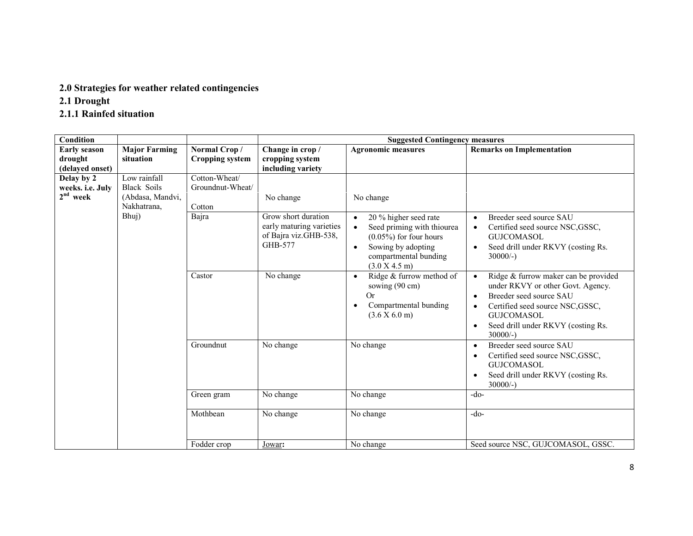#### 2.0 Strategies for weather related contingencies

2.1 Drought

#### 2.1.1 Rainfed situation

| <b>Condition</b>                             |                                                                       |                                             | <b>Suggested Contingency measures</b>                                                      |                                                                                                                                                                            |                                                                                                                                                                                                                                                                      |  |
|----------------------------------------------|-----------------------------------------------------------------------|---------------------------------------------|--------------------------------------------------------------------------------------------|----------------------------------------------------------------------------------------------------------------------------------------------------------------------------|----------------------------------------------------------------------------------------------------------------------------------------------------------------------------------------------------------------------------------------------------------------------|--|
| <b>Early season</b>                          | <b>Major Farming</b>                                                  | Normal Crop/                                | Change in crop /                                                                           | <b>Agronomic measures</b>                                                                                                                                                  | <b>Remarks on Implementation</b>                                                                                                                                                                                                                                     |  |
| drought                                      | situation                                                             | <b>Cropping system</b>                      | cropping system                                                                            |                                                                                                                                                                            |                                                                                                                                                                                                                                                                      |  |
| (delayed onset)                              |                                                                       |                                             | including variety                                                                          |                                                                                                                                                                            |                                                                                                                                                                                                                                                                      |  |
| Delay by 2<br>weeks. i.e. July<br>$2nd$ week | Low rainfall<br><b>Black Soils</b><br>(Abdasa, Mandvi,<br>Nakhatrana, | Cotton-Wheat/<br>Groundnut-Wheat/<br>Cotton | No change                                                                                  | No change                                                                                                                                                                  |                                                                                                                                                                                                                                                                      |  |
|                                              | Bhuj)                                                                 | Bajra                                       | Grow short duration<br>early maturing varieties<br>of Bajra viz.GHB-538,<br><b>GHB-577</b> | 20 % higher seed rate<br>$\bullet$<br>Seed priming with thiourea<br>$(0.05\%)$ for four hours<br>Sowing by adopting<br>$\bullet$<br>compartmental bunding<br>(3.0 X 4.5 m) | Breeder seed source SAU<br>$\bullet$<br>Certified seed source NSC, GSSC,<br>$\bullet$<br><b>GUJCOMASOL</b><br>Seed drill under RKVY (costing Rs.<br>$\bullet$<br>$30000/-$ )                                                                                         |  |
|                                              |                                                                       | Castor                                      | No change                                                                                  | Ridge & furrow method of<br>$\bullet$<br>sowing (90 cm)<br><b>Or</b><br>Compartmental bunding<br>$\bullet$<br>(3.6 X 6.0 m)                                                | Ridge & furrow maker can be provided<br>$\bullet$<br>under RKVY or other Govt. Agency.<br>Breeder seed source SAU<br>$\bullet$<br>Certified seed source NSC, GSSC,<br>$\bullet$<br><b>GUJCOMASOL</b><br>Seed drill under RKVY (costing Rs.<br>$\bullet$<br>$30000/-$ |  |
|                                              |                                                                       | Groundnut                                   | No change                                                                                  | No change                                                                                                                                                                  | Breeder seed source SAU<br>$\bullet$<br>Certified seed source NSC, GSSC,<br>$\bullet$<br><b>GUJCOMASOL</b><br>Seed drill under RKVY (costing Rs.<br>$\bullet$<br>$30000/-$ )                                                                                         |  |
|                                              |                                                                       | Green gram                                  | No change                                                                                  | No change                                                                                                                                                                  | $-do-$                                                                                                                                                                                                                                                               |  |
|                                              |                                                                       | Mothbean                                    | No change                                                                                  | No change                                                                                                                                                                  | $-do-$                                                                                                                                                                                                                                                               |  |
|                                              |                                                                       | Fodder crop                                 | Jowar:                                                                                     | No change                                                                                                                                                                  | Seed source NSC, GUJCOMASOL, GSSC.                                                                                                                                                                                                                                   |  |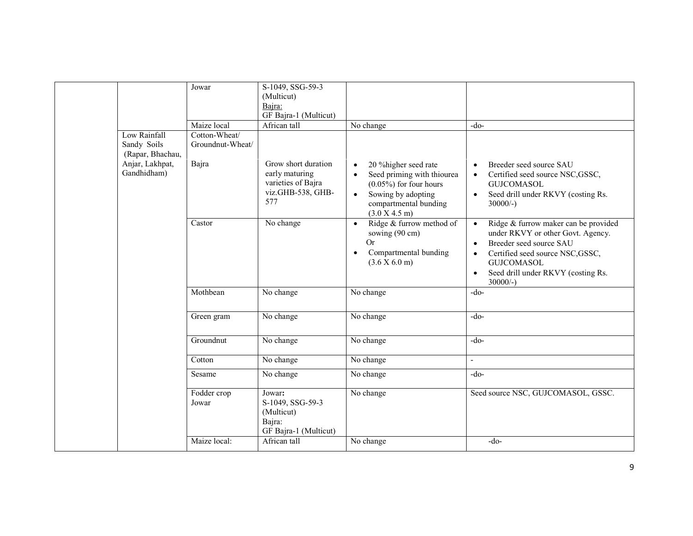|                                                                    | Jowar                                      | S-1049, SSG-59-3<br>(Multicut)<br>Bajra:<br>GF Bajra-1 (Multicut)           |                                                                                                                             |                                                                                                                                                                                                                                                                        |
|--------------------------------------------------------------------|--------------------------------------------|-----------------------------------------------------------------------------|-----------------------------------------------------------------------------------------------------------------------------|------------------------------------------------------------------------------------------------------------------------------------------------------------------------------------------------------------------------------------------------------------------------|
|                                                                    | Maize local                                | African tall                                                                | No change                                                                                                                   | $-do-$                                                                                                                                                                                                                                                                 |
| Low Rainfall<br>Sandy Soils<br>(Rapar, Bhachau,<br>Anjar, Lakhpat, | Cotton-Wheat/<br>Groundnut-Wheat/<br>Bajra | Grow short duration                                                         | 20 % higher seed rate<br>$\bullet$                                                                                          | Breeder seed source SAU<br>$\bullet$                                                                                                                                                                                                                                   |
| Gandhidham)                                                        |                                            | early maturing<br>varieties of Bajra<br>viz.GHB-538, GHB-<br>577            | Seed priming with thiourea<br>$(0.05\%)$ for four hours<br>Sowing by adopting<br>compartmental bunding<br>(3.0 X 4.5 m)     | Certified seed source NSC, GSSC,<br>$\bullet$<br><b>GUJCOMASOL</b><br>Seed drill under RKVY (costing Rs.<br>$\bullet$<br>$30000/-$ )                                                                                                                                   |
|                                                                    | Castor                                     | No change                                                                   | Ridge & furrow method of<br>$\bullet$<br>sowing (90 cm)<br><b>Or</b><br>Compartmental bunding<br>$\bullet$<br>(3.6 X 6.0 m) | Ridge & furrow maker can be provided<br>$\bullet$<br>under RKVY or other Govt. Agency.<br>Breeder seed source SAU<br>$\bullet$<br>Certified seed source NSC, GSSC,<br>$\bullet$<br><b>GUJCOMASOL</b><br>Seed drill under RKVY (costing Rs.<br>$\bullet$<br>$30000/-$ ) |
|                                                                    | Mothbean                                   | No change                                                                   | No change                                                                                                                   | $-do-$                                                                                                                                                                                                                                                                 |
|                                                                    | Green gram                                 | No change                                                                   | No change                                                                                                                   | $-do-$                                                                                                                                                                                                                                                                 |
|                                                                    | Groundnut                                  | No change                                                                   | No change                                                                                                                   | $-do-$                                                                                                                                                                                                                                                                 |
|                                                                    | Cotton                                     | No change                                                                   | No change                                                                                                                   | $\blacksquare$                                                                                                                                                                                                                                                         |
|                                                                    | Sesame                                     | No change                                                                   | No change                                                                                                                   | $-do-$                                                                                                                                                                                                                                                                 |
|                                                                    | Fodder crop<br>Jowar                       | Jowar:<br>S-1049, SSG-59-3<br>(Multicut)<br>Bajra:<br>GF Bajra-1 (Multicut) | No change                                                                                                                   | Seed source NSC, GUJCOMASOL, GSSC.                                                                                                                                                                                                                                     |
|                                                                    | Maize local:                               | African tall                                                                | No change                                                                                                                   | $-do-$                                                                                                                                                                                                                                                                 |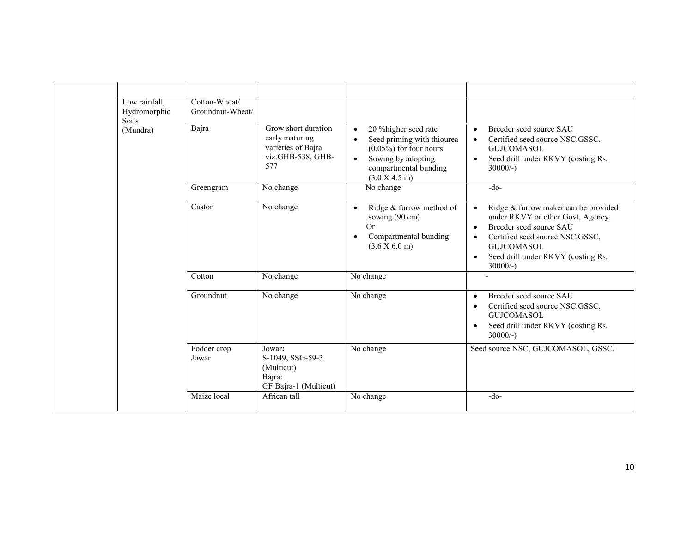| Low rainfall,<br>Hydromorphic<br><b>Soils</b><br>(Mundra) | Cotton-Wheat/<br>Groundnut-Wheat/<br>Bajra | Grow short duration<br>early maturing<br>varieties of Bajra<br>viz.GHB-538, GHB-<br>577 | 20 % higher seed rate<br>$\bullet$<br>Seed priming with thiourea<br>$\bullet$<br>$(0.05\%)$ for four hours<br>Sowing by adopting<br>$\bullet$<br>compartmental bunding<br>(3.0 X 4.5 m) | Breeder seed source SAU<br>$\bullet$<br>Certified seed source NSC, GSSC,<br>$\bullet$<br><b>GUJCOMASOL</b><br>Seed drill under RKVY (costing Rs.<br>$\bullet$<br>$30000/-$ )                                                                                           |
|-----------------------------------------------------------|--------------------------------------------|-----------------------------------------------------------------------------------------|-----------------------------------------------------------------------------------------------------------------------------------------------------------------------------------------|------------------------------------------------------------------------------------------------------------------------------------------------------------------------------------------------------------------------------------------------------------------------|
|                                                           | Greengram                                  | No change                                                                               | No change                                                                                                                                                                               | $-do-$                                                                                                                                                                                                                                                                 |
|                                                           | Castor                                     | No change                                                                               | Ridge & furrow method of<br>$\bullet$<br>sowing (90 cm)<br>Or<br>Compartmental bunding<br>$\bullet$<br>(3.6 X 6.0 m)                                                                    | Ridge & furrow maker can be provided<br>$\bullet$<br>under RKVY or other Govt. Agency.<br>Breeder seed source SAU<br>$\bullet$<br>Certified seed source NSC, GSSC,<br>$\bullet$<br><b>GUICOMASOL</b><br>Seed drill under RKVY (costing Rs.<br>$\bullet$<br>$30000/-$ ) |
|                                                           | Cotton                                     | No change                                                                               | No change                                                                                                                                                                               |                                                                                                                                                                                                                                                                        |
|                                                           | Groundnut                                  | No change                                                                               | No change                                                                                                                                                                               | Breeder seed source SAU<br>$\bullet$<br>Certified seed source NSC, GSSC,<br>$\bullet$<br><b>GUJCOMASOL</b><br>Seed drill under RKVY (costing Rs.<br>$\bullet$<br>$30000/-$ )                                                                                           |
|                                                           | Fodder crop<br>Jowar                       | Jowar:<br>S-1049, SSG-59-3<br>(Multicut)<br>Bajra:<br>GF Bajra-1 (Multicut)             | No change                                                                                                                                                                               | Seed source NSC, GUJCOMASOL, GSSC.                                                                                                                                                                                                                                     |
|                                                           | Maize local                                | African tall                                                                            | No change                                                                                                                                                                               | $-do-$                                                                                                                                                                                                                                                                 |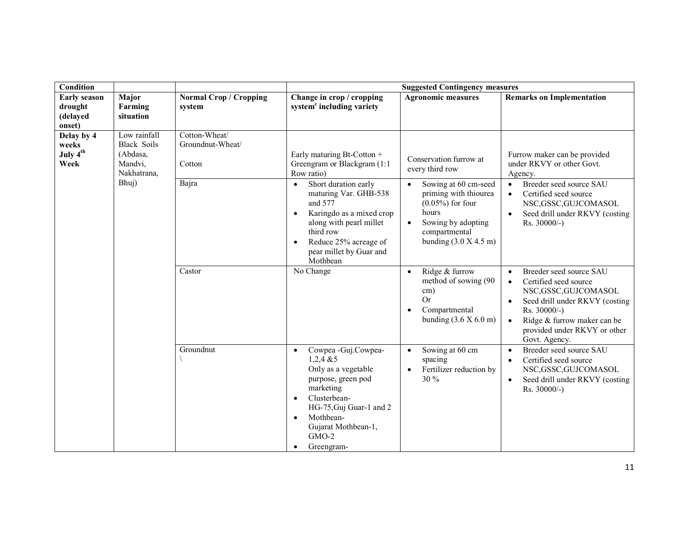| <b>Condition</b>                                     |                                                                          |                                             | <b>Suggested Contingency measures</b>                                                                                                                                                                                                        |                                                                                                                                                                           |                                                                                                                                                                                                                             |  |  |
|------------------------------------------------------|--------------------------------------------------------------------------|---------------------------------------------|----------------------------------------------------------------------------------------------------------------------------------------------------------------------------------------------------------------------------------------------|---------------------------------------------------------------------------------------------------------------------------------------------------------------------------|-----------------------------------------------------------------------------------------------------------------------------------------------------------------------------------------------------------------------------|--|--|
| <b>Early season</b><br>drought<br>(delayed<br>onset) | Major<br>Farming<br>situation                                            | <b>Normal Crop / Cropping</b><br>system     | Change in crop / cropping<br>system <sup>c</sup> including variety                                                                                                                                                                           | <b>Agronomic measures</b>                                                                                                                                                 | <b>Remarks on Implementation</b>                                                                                                                                                                                            |  |  |
| Delay by 4<br>weeks<br>July 4 <sup>th</sup><br>Week  | Low rainfall<br><b>Black Soils</b><br>(Abdasa,<br>Mandvi,<br>Nakhatrana, | Cotton-Wheat/<br>Groundnut-Wheat/<br>Cotton | Early maturing Bt-Cotton +<br>Greengram or Blackgram (1:1<br>Row ratio)                                                                                                                                                                      | Conservation furrow at<br>every third row                                                                                                                                 | Furrow maker can be provided<br>under RKVY or other Govt.<br>Agency.                                                                                                                                                        |  |  |
|                                                      | Bhuj)                                                                    | Bajra                                       | Short duration early<br>$\bullet$<br>maturing Var. GHB-538<br>and 577<br>Karingdo as a mixed crop<br>$\bullet$<br>along with pearl millet<br>third row<br>Reduce 25% acreage of<br>$\bullet$<br>pear millet by Guar and<br>Mothbean          | Sowing at 60 cm-seed<br>$\bullet$<br>priming with thiourea<br>$(0.05\%)$ for four<br>hours<br>Sowing by adopting<br>$\bullet$<br>compartmental<br>bunding $(3.0 X 4.5 m)$ | Breeder seed source SAU<br>$\bullet$<br>Certified seed source<br>$\bullet$<br>NSC, GSSC, GUJCOMASOL<br>Seed drill under RKVY (costing<br>$Rs. 30000/-$ )                                                                    |  |  |
|                                                      |                                                                          | Castor                                      | No Change                                                                                                                                                                                                                                    | Ridge & furrow<br>$\bullet$<br>method of sowing (90<br>cm)<br><b>Or</b><br>Compartmental<br>bunding $(3.6 \times 6.0 \text{ m})$                                          | Breeder seed source SAU<br>$\bullet$<br>Certified seed source<br>NSC, GSSC, GUJCOMASOL<br>Seed drill under RKVY (costing<br>$Rs. 30000/-$ )<br>Ridge & furrow maker can be<br>provided under RKVY or other<br>Govt. Agency. |  |  |
|                                                      |                                                                          | Groundnut                                   | Cowpea - Guj.Cowpea-<br>$\bullet$<br>$1,2,4$ & 5<br>Only as a vegetable<br>purpose, green pod<br>marketing<br>Clusterbean-<br>$\bullet$<br>HG-75, Guj Guar-1 and 2<br>Mothbean-<br>$\bullet$<br>Gujarat Mothbean-1,<br>$GMO-2$<br>Greengram- | Sowing at 60 cm<br>spacing<br>Fertilizer reduction by<br>30 %                                                                                                             | Breeder seed source SAU<br>$\bullet$<br>Certified seed source<br>NSC, GSSC, GUJCOMASOL<br>Seed drill under RKVY (costing<br>Rs. 30000/-)                                                                                    |  |  |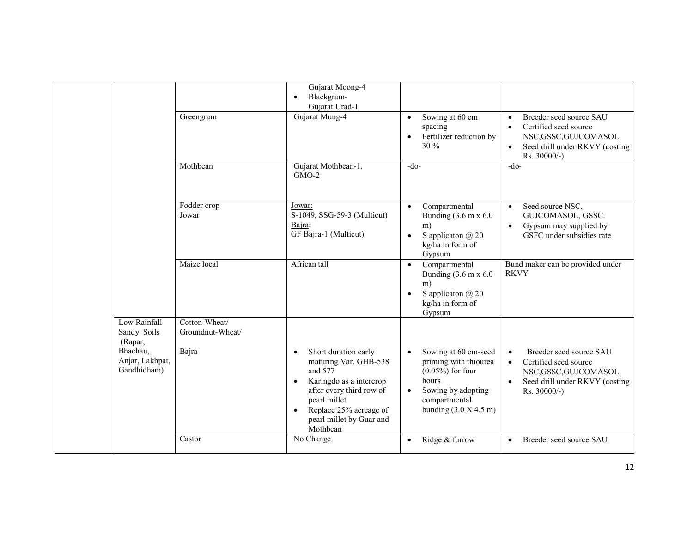|                                            |                                   | Gujarat Moong-4<br>Blackgram-<br>$\bullet$<br>Gujarat Urad-1                                                                                                                                                                             |                                                                                                                                                                           |                                                                                                                                                                    |
|--------------------------------------------|-----------------------------------|------------------------------------------------------------------------------------------------------------------------------------------------------------------------------------------------------------------------------------------|---------------------------------------------------------------------------------------------------------------------------------------------------------------------------|--------------------------------------------------------------------------------------------------------------------------------------------------------------------|
|                                            | Greengram                         | Gujarat Mung-4                                                                                                                                                                                                                           | Sowing at 60 cm<br>$\bullet$<br>spacing<br>Fertilizer reduction by<br>$\bullet$<br>30 %                                                                                   | Breeder seed source SAU<br>$\bullet$<br>Certified seed source<br>$\bullet$<br>NSC, GSSC, GUJCOMASOL<br>Seed drill under RKVY (costing<br>$\bullet$<br>Rs. 30000/-) |
|                                            | Mothbean                          | Gujarat Mothbean-1,<br>$GMO-2$                                                                                                                                                                                                           | $-do-$                                                                                                                                                                    | $-do-$                                                                                                                                                             |
|                                            | Fodder crop<br>Jowar              | Jowar:<br>S-1049, SSG-59-3 (Multicut)<br>Bajra:<br>GF Bajra-1 (Multicut)                                                                                                                                                                 | Compartmental<br>$\bullet$<br>Bunding $(3.6 \text{ m x } 6.0)$<br>m)<br>S application $\omega$ 20<br>$\bullet$<br>kg/ha in form of<br>Gypsum                              | Seed source NSC,<br>$\bullet$<br>GUJCOMASOL, GSSC.<br>Gypsum may supplied by<br>$\bullet$<br>GSFC under subsidies rate                                             |
|                                            | Maize local                       | African tall                                                                                                                                                                                                                             | Compartmental<br>$\bullet$<br>Bunding $(3.6 \text{ m x } 6.0)$<br>m)<br>S applicaton $\omega$ 20<br>$\bullet$<br>kg/ha in form of<br>Gypsum                               | Bund maker can be provided under<br><b>RKVY</b>                                                                                                                    |
| Low Rainfall<br>Sandy Soils<br>(Rapar,     | Cotton-Wheat/<br>Groundnut-Wheat/ |                                                                                                                                                                                                                                          |                                                                                                                                                                           |                                                                                                                                                                    |
| Bhachau,<br>Anjar, Lakhpat,<br>Gandhidham) | Bajra                             | Short duration early<br>$\bullet$<br>maturing Var. GHB-538<br>and 577<br>Karingdo as a intercrop<br>$\bullet$<br>after every third row of<br>pearl millet<br>Replace 25% acreage of<br>$\bullet$<br>pearl millet by Guar and<br>Mothbean | Sowing at 60 cm-seed<br>$\bullet$<br>priming with thiourea<br>$(0.05\%)$ for four<br>hours<br>Sowing by adopting<br>$\bullet$<br>compartmental<br>bunding $(3.0 X 4.5 m)$ | Breeder seed source SAU<br>$\bullet$<br>Certified seed source<br>$\bullet$<br>NSC, GSSC, GUJCOMASOL<br>Seed drill under RKVY (costing<br>$\bullet$<br>Rs. 30000/-) |
|                                            | Castor                            | No Change                                                                                                                                                                                                                                | Ridge & furrow                                                                                                                                                            | Breeder seed source SAU<br>$\bullet$                                                                                                                               |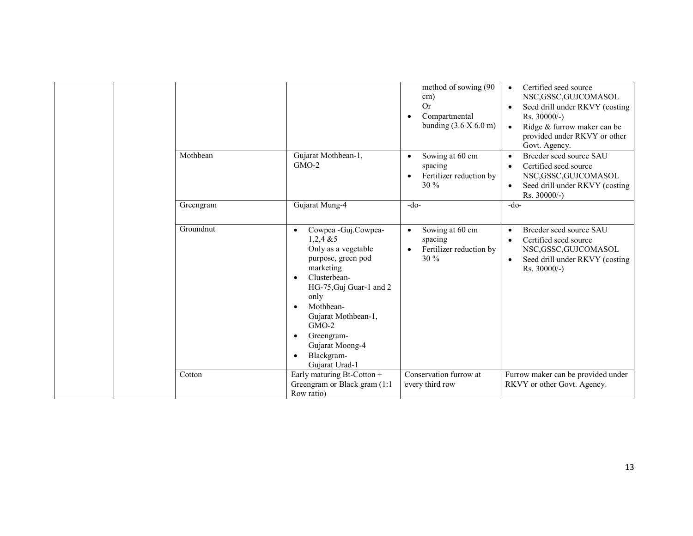|           |                                                                                                                                                                                                                                                                                                          | method of sowing (90<br>cm)                                                               | Certified seed source<br>NSC, GSSC, GUJCOMASOL                                                                                                           |
|-----------|----------------------------------------------------------------------------------------------------------------------------------------------------------------------------------------------------------------------------------------------------------------------------------------------------------|-------------------------------------------------------------------------------------------|----------------------------------------------------------------------------------------------------------------------------------------------------------|
|           |                                                                                                                                                                                                                                                                                                          | Or<br>Compartmental<br>bunding $(3.6 \times 6.0 \text{ m})$                               | Seed drill under RKVY (costing<br>$Rs. 30000/-$ )<br>Ridge & furrow maker can be<br>provided under RKVY or other<br>Govt. Agency.                        |
| Mothbean  | Gujarat Mothbean-1,<br>$GMO-2$                                                                                                                                                                                                                                                                           | Sowing at 60 cm<br>$\bullet$<br>spacing<br>Fertilizer reduction by<br>$\bullet$<br>$30\%$ | Breeder seed source SAU<br>$\bullet$<br>Certified seed source<br>NSC, GSSC, GUJCOMASOL<br>Seed drill under RKVY (costing<br>$\bullet$<br>$Rs. 30000/-$ ) |
| Greengram | Gujarat Mung-4                                                                                                                                                                                                                                                                                           | $-do-$                                                                                    | $-do-$                                                                                                                                                   |
| Groundnut | Cowpea - Guj.Cowpea-<br>$\bullet$<br>$1,2,4 \& 5$<br>Only as a vegetable<br>purpose, green pod<br>marketing<br>Clusterbean-<br>$\bullet$<br>HG-75, Guj Guar-1 and 2<br>only<br>Mothbean-<br>Gujarat Mothbean-1,<br>$GMO-2$<br>Greengram-<br>Gujarat Moong-4<br>Blackgram-<br>$\bullet$<br>Gujarat Urad-1 | Sowing at 60 cm<br>spacing<br>Fertilizer reduction by<br>$30\%$                           | Breeder seed source SAU<br>Certified seed source<br>$\bullet$<br>NSC, GSSC, GUJCOMASOL<br>Seed drill under RKVY (costing<br>Rs. 30000/-)                 |
| Cotton    | Early maturing Bt-Cotton +<br>Greengram or Black gram (1:1)<br>Row ratio)                                                                                                                                                                                                                                | Conservation furrow at<br>every third row                                                 | Furrow maker can be provided under<br>RKVY or other Govt. Agency.                                                                                        |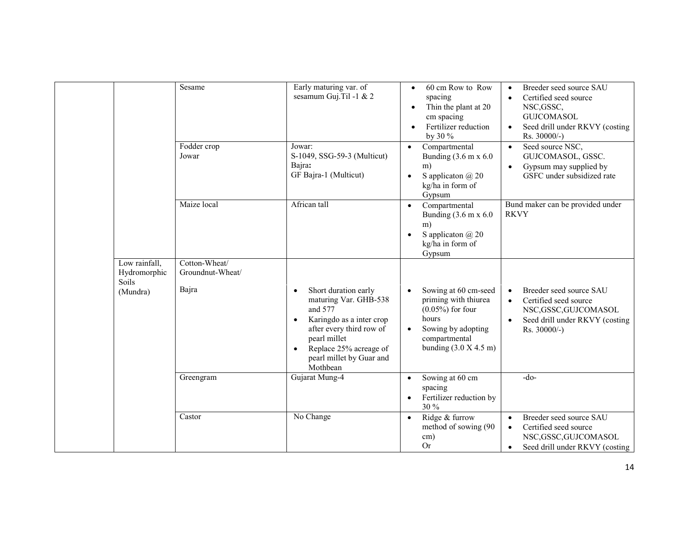|                                                    | Sesame                                     | Early maturing var. of<br>sesamum Guj.Til -1 & 2                                                                 | 60 cm Row to Row<br>spacing<br>Thin the plant at 20<br>$\bullet$<br>cm spacing<br>Fertilizer reduction<br>by 30 %              | Breeder seed source SAU<br>$\bullet$<br>Certified seed source<br>$\bullet$<br>NSC, GSSC,<br><b>GUJCOMASOL</b><br>Seed drill under RKVY (costing<br>Rs. 30000/-) |
|----------------------------------------------------|--------------------------------------------|------------------------------------------------------------------------------------------------------------------|--------------------------------------------------------------------------------------------------------------------------------|-----------------------------------------------------------------------------------------------------------------------------------------------------------------|
|                                                    | Fodder crop<br>Jowar                       | Jowar:<br>S-1049, SSG-59-3 (Multicut)<br>Bajra:<br>GF Bajra-1 (Multicut)                                         | Compartmental<br>Bunding $(3.6 \text{ m x } 6.0$<br>m)<br>S application $\omega$ 20<br>$\bullet$<br>kg/ha in form of<br>Gypsum | Seed source NSC,<br>$\bullet$<br>GUJCOMASOL, GSSC.<br>Gypsum may supplied by<br>GSFC under subsidized rate                                                      |
|                                                    | Maize local                                | African tall                                                                                                     | Compartmental<br>Bunding $(3.6 \text{ m x } 6.0$<br>m)<br>S applicaton $\omega$ 20<br>kg/ha in form of<br>Gypsum               | Bund maker can be provided under<br><b>RKVY</b>                                                                                                                 |
| Low rainfall,<br>Hydromorphic<br>Soils<br>(Mundra) | Cotton-Wheat/<br>Groundnut-Wheat/<br>Bajra | Short duration early<br>maturing Var. GHB-538<br>and 577<br>Karingdo as a inter crop<br>after every third row of | Sowing at 60 cm-seed<br>$\bullet$<br>priming with thiurea<br>$(0.05\%)$ for four<br>hours<br>Sowing by adopting                | Breeder seed source SAU<br>Certified seed source<br>$\bullet$<br>NSC, GSSC, GUJCOMASOL<br>Seed drill under RKVY (costing<br>$\bullet$<br>Rs. 30000/-)           |
|                                                    |                                            | pearl millet<br>Replace 25% acreage of<br>pearl millet by Guar and<br>Mothbean                                   | compartmental<br>bunding $(3.0 X 4.5 m)$                                                                                       |                                                                                                                                                                 |
|                                                    | Greengram                                  | Gujarat Mung-4                                                                                                   | Sowing at 60 cm<br>$\bullet$<br>spacing<br>Fertilizer reduction by<br>$\bullet$<br>30 %                                        | $-do-$                                                                                                                                                          |
|                                                    | Castor                                     | No Change                                                                                                        | Ridge & furrow<br>$\bullet$<br>method of sowing (90<br>cm)<br><b>Or</b>                                                        | Breeder seed source SAU<br>$\bullet$<br>Certified seed source<br>$\bullet$<br>NSC, GSSC, GUJCOMASOL<br>Seed drill under RKVY (costing                           |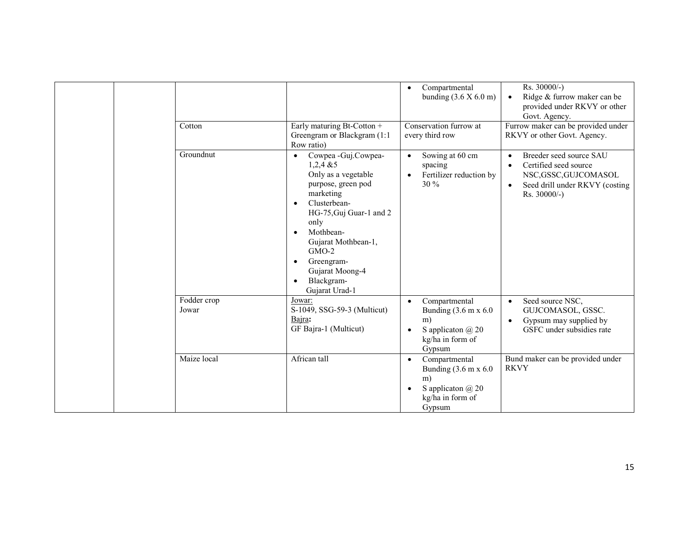| Cotton               | Early maturing Bt-Cotton +<br>Greengram or Blackgram (1:1)<br>Row ratio)                                                                                                                                                                                                                                | Compartmental<br>$\bullet$<br>bunding $(3.6 \times 6.0 \text{ m})$<br>Conservation furrow at<br>every third row                              | Rs. 30000/-)<br>Ridge & furrow maker can be<br>provided under RKVY or other<br>Govt. Agency.<br>Furrow maker can be provided under<br>RKVY or other Govt. Agency. |
|----------------------|---------------------------------------------------------------------------------------------------------------------------------------------------------------------------------------------------------------------------------------------------------------------------------------------------------|----------------------------------------------------------------------------------------------------------------------------------------------|-------------------------------------------------------------------------------------------------------------------------------------------------------------------|
| Groundnut            | Cowpea - Guj.Cowpea-<br>$\bullet$<br>$1,2,4$ & 5<br>Only as a vegetable<br>purpose, green pod<br>marketing<br>Clusterbean-<br>$\bullet$<br>HG-75, Guj Guar-1 and 2<br>only<br>Mothbean-<br>$\bullet$<br>Gujarat Mothbean-1,<br>$GMO-2$<br>Greengram-<br>Gujarat Moong-4<br>Blackgram-<br>Gujarat Urad-1 | Sowing at 60 cm<br>spacing<br>Fertilizer reduction by<br>$\bullet$<br>30 %                                                                   | Breeder seed source SAU<br>Certified seed source<br>NSC, GSSC, GUJCOMASOL<br>Seed drill under RKVY (costing<br>$\bullet$<br>Rs. 30000/-)                          |
| Fodder crop<br>Jowar | Jowar:<br>S-1049, SSG-59-3 (Multicut)<br>Bajra:<br>GF Bajra-1 (Multicut)                                                                                                                                                                                                                                | Compartmental<br>$\bullet$<br>Bunding $(3.6 \text{ m x } 6.0)$<br>m)<br>S application $\omega$ 20<br>$\bullet$<br>kg/ha in form of<br>Gypsum | Seed source NSC,<br>$\bullet$<br>GUJCOMASOL, GSSC.<br>Gypsum may supplied by<br>٠<br>GSFC under subsidies rate                                                    |
| Maize local          | African tall                                                                                                                                                                                                                                                                                            | Compartmental<br>Bunding $(3.6 \text{ m x } 6.0$<br>m)<br>S application $\omega$ 20<br>kg/ha in form of<br>Gypsum                            | Bund maker can be provided under<br><b>RKVY</b>                                                                                                                   |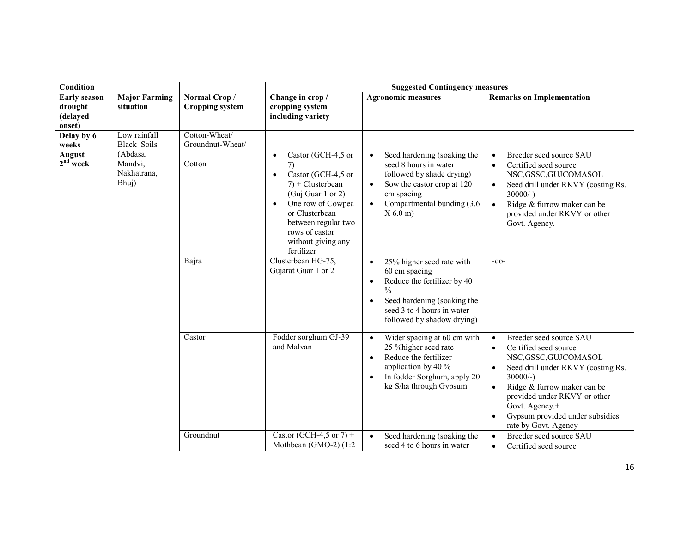| <b>Condition</b>                                     |                                                                                   |                                             | <b>Suggested Contingency measures</b>                                                                                                                                                                                                                 |                                                                                                                                                                                                                 |                                                                                                                                                                                                                                                                                                                   |  |
|------------------------------------------------------|-----------------------------------------------------------------------------------|---------------------------------------------|-------------------------------------------------------------------------------------------------------------------------------------------------------------------------------------------------------------------------------------------------------|-----------------------------------------------------------------------------------------------------------------------------------------------------------------------------------------------------------------|-------------------------------------------------------------------------------------------------------------------------------------------------------------------------------------------------------------------------------------------------------------------------------------------------------------------|--|
| <b>Early season</b><br>drought<br>(delayed<br>onset) | <b>Major Farming</b><br>situation                                                 | Normal Crop/<br><b>Cropping system</b>      | Change in crop /<br>cropping system<br>including variety                                                                                                                                                                                              | <b>Agronomic measures</b>                                                                                                                                                                                       | <b>Remarks on Implementation</b>                                                                                                                                                                                                                                                                                  |  |
| Delay by 6<br>weeks<br>August<br>$2nd$ week          | Low rainfall<br><b>Black Soils</b><br>(Abdasa,<br>Mandvi,<br>Nakhatrana,<br>Bhuj) | Cotton-Wheat/<br>Groundnut-Wheat/<br>Cotton | Castor (GCH-4,5 or<br>$\bullet$<br>7)<br>Castor (GCH-4,5 or<br>$\bullet$<br>$7$ ) + Clusterbean<br>(Guj Guar 1 or 2)<br>One row of Cowpea<br>$\bullet$<br>or Clusterbean<br>between regular two<br>rows of castor<br>without giving any<br>fertilizer | Seed hardening (soaking the<br>seed 8 hours in water<br>followed by shade drying)<br>Sow the castor crop at 120<br>$\bullet$<br>cm spacing<br>Compartmental bunding (3.6)<br>$X$ 6.0 m)                         | Breeder seed source SAU<br>Certified seed source<br>$\bullet$<br>NSC, GSSC, GUJCOMASOL<br>Seed drill under RKVY (costing Rs.<br>$\bullet$<br>$30000/-$ )<br>Ridge & furrow maker can be<br>provided under RKVY or other<br>Govt. Agency.                                                                          |  |
|                                                      |                                                                                   | Bajra                                       | Clusterbean HG-75,<br>Gujarat Guar 1 or 2                                                                                                                                                                                                             | 25% higher seed rate with<br>$\bullet$<br>60 cm spacing<br>Reduce the fertilizer by 40<br>$\bullet$<br>$\frac{0}{0}$<br>Seed hardening (soaking the<br>seed 3 to 4 hours in water<br>followed by shadow drying) | $-do-$                                                                                                                                                                                                                                                                                                            |  |
|                                                      |                                                                                   | Castor                                      | Fodder sorghum GJ-39<br>and Malvan                                                                                                                                                                                                                    | Wider spacing at 60 cm with<br>$\bullet$<br>25 % higher seed rate<br>Reduce the fertilizer<br>$\bullet$<br>application by 40 %<br>In fodder Sorghum, apply 20<br>kg S/ha through Gypsum                         | Breeder seed source SAU<br>$\bullet$<br>Certified seed source<br>$\bullet$<br>NSC, GSSC, GUJCOMASOL<br>Seed drill under RKVY (costing Rs.<br>$\bullet$<br>$30000/-$ )<br>Ridge & furrow maker can be<br>provided under RKVY or other<br>Govt. Agency.+<br>Gypsum provided under subsidies<br>rate by Govt. Agency |  |
|                                                      |                                                                                   | Groundnut                                   | Castor (GCH-4,5 or 7) +<br>Mothbean (GMO-2) (1:2                                                                                                                                                                                                      | Seed hardening (soaking the<br>$\bullet$<br>seed 4 to 6 hours in water                                                                                                                                          | Breeder seed source SAU<br>Certified seed source<br>$\bullet$                                                                                                                                                                                                                                                     |  |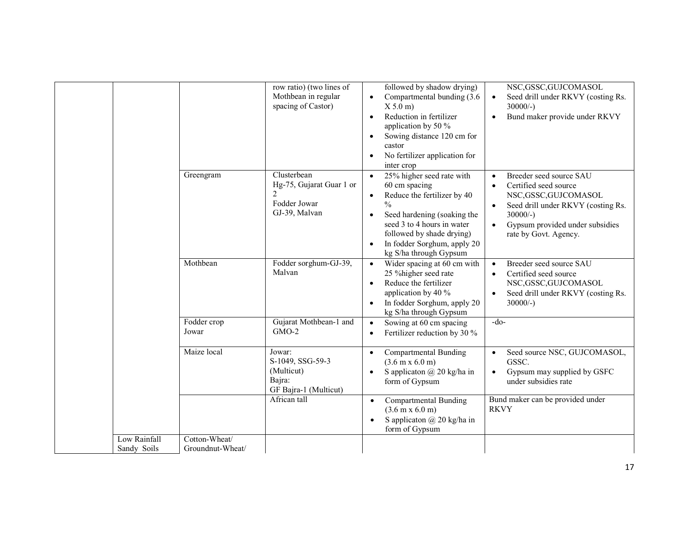|                             |                                   | row ratio) (two lines of<br>Mothbean in regular<br>spacing of Castor)                      | followed by shadow drying)<br>Compartmental bunding (3.6)<br>$\bullet$<br>X 5.0 m<br>Reduction in fertilizer<br>$\bullet$<br>application by 50 %<br>Sowing distance 120 cm for<br>$\bullet$<br>castor<br>No fertilizer application for<br>inter crop                    | NSC, GSSC, GUJCOMASOL<br>Seed drill under RKVY (costing Rs.<br>$30000/-$ )<br>Bund maker provide under RKVY<br>$\bullet$                                                                                             |
|-----------------------------|-----------------------------------|--------------------------------------------------------------------------------------------|-------------------------------------------------------------------------------------------------------------------------------------------------------------------------------------------------------------------------------------------------------------------------|----------------------------------------------------------------------------------------------------------------------------------------------------------------------------------------------------------------------|
|                             | Greengram                         | Clusterbean<br>Hg-75, Gujarat Guar 1 or<br>$\overline{2}$<br>Fodder Jowar<br>GJ-39, Malvan | 25% higher seed rate with<br>60 cm spacing<br>Reduce the fertilizer by 40<br>$\bullet$<br>$\frac{0}{0}$<br>Seed hardening (soaking the<br>seed 3 to 4 hours in water<br>followed by shade drying)<br>In fodder Sorghum, apply 20<br>$\bullet$<br>kg S/ha through Gypsum | Breeder seed source SAU<br>$\bullet$<br>Certified seed source<br>$\bullet$<br>NSC, GSSC, GUJCOMASOL<br>Seed drill under RKVY (costing Rs.<br>$30000/-$ )<br>Gypsum provided under subsidies<br>rate by Govt. Agency. |
|                             | Mothbean                          | Fodder sorghum-GJ-39,<br>Malvan                                                            | Wider spacing at 60 cm with<br>$\bullet$<br>25 % higher seed rate<br>Reduce the fertilizer<br>$\bullet$<br>application by 40 %<br>In fodder Sorghum, apply 20<br>$\bullet$<br>kg S/ha through Gypsum                                                                    | Breeder seed source SAU<br>$\bullet$<br>Certified seed source<br>$\bullet$<br>NSC, GSSC, GUJCOMASOL<br>Seed drill under RKVY (costing Rs.<br>$30000/-$ )                                                             |
|                             | Fodder crop<br>Jowar              | Gujarat Mothbean-1 and<br>$GMO-2$                                                          | Sowing at 60 cm spacing<br>$\bullet$<br>Fertilizer reduction by 30 %<br>$\bullet$                                                                                                                                                                                       | $-do-$                                                                                                                                                                                                               |
|                             | Maize local                       | Jowar:<br>S-1049, SSG-59-3<br>(Multicut)<br>Bajra:<br>GF Bajra-1 (Multicut)                | Compartmental Bunding<br>$\bullet$<br>$(3.6 \text{ m} \times 6.0 \text{ m})$<br>S applicaton $\omega$ 20 kg/ha in<br>$\bullet$<br>form of Gypsum                                                                                                                        | Seed source NSC, GUJCOMASOL,<br>$\bullet$<br>GSSC.<br>Gypsum may supplied by GSFC<br>under subsidies rate                                                                                                            |
|                             |                                   | African tall                                                                               | <b>Compartmental Bunding</b><br>$\bullet$<br>$(3.6 \text{ m} \times 6.0 \text{ m})$<br>S applicaton $\omega$ 20 kg/ha in<br>form of Gypsum                                                                                                                              | Bund maker can be provided under<br><b>RKVY</b>                                                                                                                                                                      |
| Low Rainfall<br>Sandy Soils | Cotton-Wheat/<br>Groundnut-Wheat/ |                                                                                            |                                                                                                                                                                                                                                                                         |                                                                                                                                                                                                                      |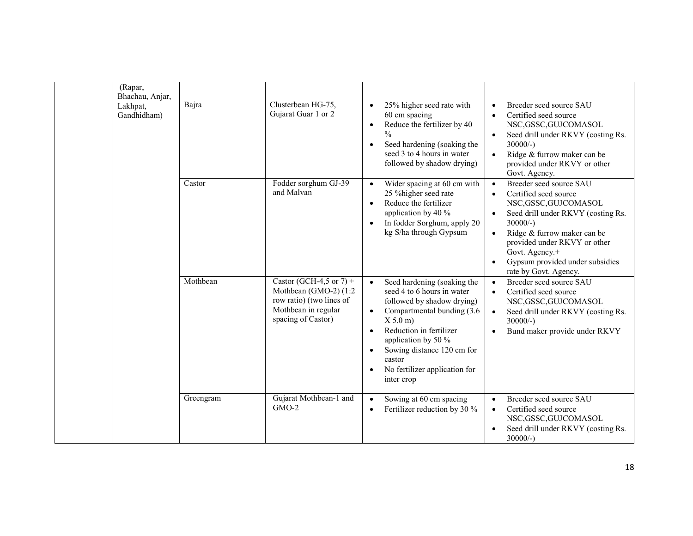| (Rapar,<br>Bhachau, Anjar,<br>Lakhpat,<br>Gandhidham) | Bajra     | Clusterbean HG-75,<br>Gujarat Guar 1 or 2                                                                                 | 25% higher seed rate with<br>60 cm spacing<br>Reduce the fertilizer by 40<br>$\bullet$<br>$\frac{0}{0}$<br>Seed hardening (soaking the<br>$\bullet$<br>seed 3 to 4 hours in water<br>followed by shadow drying)                                                                                                                | Breeder seed source SAU<br>Certified seed source<br>$\bullet$<br>NSC, GSSC, GUJCOMASOL<br>Seed drill under RKVY (costing Rs.<br>$\bullet$<br>$30000/-$ )<br>Ridge & furrow maker can be<br>$\bullet$<br>provided under RKVY or other<br>Govt. Agency.                                                              |
|-------------------------------------------------------|-----------|---------------------------------------------------------------------------------------------------------------------------|--------------------------------------------------------------------------------------------------------------------------------------------------------------------------------------------------------------------------------------------------------------------------------------------------------------------------------|--------------------------------------------------------------------------------------------------------------------------------------------------------------------------------------------------------------------------------------------------------------------------------------------------------------------|
|                                                       | Castor    | Fodder sorghum GJ-39<br>and Malvan                                                                                        | Wider spacing at 60 cm with<br>25 % higher seed rate<br>Reduce the fertilizer<br>$\bullet$<br>application by 40 %<br>In fodder Sorghum, apply 20<br>$\bullet$<br>kg S/ha through Gypsum                                                                                                                                        | Breeder seed source SAU<br>$\bullet$<br>Certified seed source<br>$\bullet$<br>NSC, GSSC, GUJCOMASOL<br>Seed drill under RKVY (costing Rs.<br>$30000/-$ )<br>Ridge & furrow maker can be<br>$\bullet$<br>provided under RKVY or other<br>Govt. Agency.+<br>Gypsum provided under subsidies<br>rate by Govt. Agency. |
|                                                       | Mothbean  | Castor (GCH-4,5 or 7) +<br>Mothbean (GMO-2) (1:2<br>row ratio) (two lines of<br>Mothbean in regular<br>spacing of Castor) | Seed hardening (soaking the<br>$\bullet$<br>seed 4 to 6 hours in water<br>followed by shadow drying)<br>Compartmental bunding (3.6)<br>$\bullet$<br>X 5.0 m<br>Reduction in fertilizer<br>$\bullet$<br>application by 50 %<br>Sowing distance 120 cm for<br>$\bullet$<br>castor<br>No fertilizer application for<br>inter crop | Breeder seed source SAU<br>$\bullet$<br>Certified seed source<br>$\bullet$<br>NSC, GSSC, GUJCOMASOL<br>Seed drill under RKVY (costing Rs.<br>$\bullet$<br>$30000/-$ )<br>Bund maker provide under RKVY<br>$\bullet$                                                                                                |
|                                                       | Greengram | Gujarat Mothbean-1 and<br>$GMO-2$                                                                                         | Sowing at 60 cm spacing<br>$\bullet$<br>Fertilizer reduction by 30 %<br>$\bullet$                                                                                                                                                                                                                                              | Breeder seed source SAU<br>$\bullet$<br>Certified seed source<br>$\bullet$<br>NSC, GSSC, GUJCOMASOL<br>Seed drill under RKVY (costing Rs.<br>$30000/-$ )                                                                                                                                                           |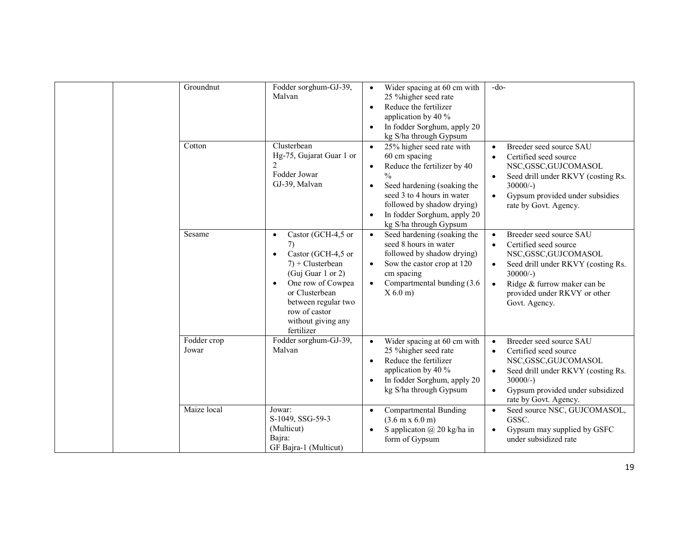| Groundnut<br>Cotton  | Fodder sorghum-GJ-39,<br>Malvan<br>Clusterbean                                                                                                                                                                                                       | Wider spacing at 60 cm with<br>$\bullet$<br>25 % higher seed rate<br>Reduce the fertilizer<br>$\bullet$<br>application by 40 %<br>In fodder Sorghum, apply 20<br>$\bullet$<br>kg S/ha through Gypsum<br>25% higher seed rate with<br>$\bullet$           | $-do-$<br>Breeder seed source SAU                                                                                                                                                                                                  |
|----------------------|------------------------------------------------------------------------------------------------------------------------------------------------------------------------------------------------------------------------------------------------------|----------------------------------------------------------------------------------------------------------------------------------------------------------------------------------------------------------------------------------------------------------|------------------------------------------------------------------------------------------------------------------------------------------------------------------------------------------------------------------------------------|
|                      | Hg-75, Gujarat Guar 1 or<br>2<br>Fodder Jowar<br>GJ-39, Malvan                                                                                                                                                                                       | 60 cm spacing<br>Reduce the fertilizer by 40<br>$\bullet$<br>$\frac{0}{0}$<br>Seed hardening (soaking the<br>$\bullet$<br>seed 3 to 4 hours in water<br>followed by shadow drying)<br>In fodder Sorghum, apply 20<br>$\bullet$<br>kg S/ha through Gypsum | Certified seed source<br>NSC, GSSC, GUJCOMASOL<br>Seed drill under RKVY (costing Rs.<br>$\bullet$<br>$30000/-$ )<br>Gypsum provided under subsidies<br>$\bullet$<br>rate by Govt. Agency.                                          |
| Sesame               | Castor (GCH-4,5 or<br>$\bullet$<br>7)<br>Castor (GCH-4,5 or<br>$\bullet$<br>$7$ ) + Clusterbean<br>(Guj Guar 1 or 2)<br>One row of Cowpea<br>$\bullet$<br>or Clusterbean<br>between regular two<br>row of castor<br>without giving any<br>fertilizer | Seed hardening (soaking the<br>seed 8 hours in water<br>followed by shadow drying)<br>Sow the castor crop at 120<br>cm spacing<br>Compartmental bunding (3.6)<br>X 6.0 m                                                                                 | Breeder seed source SAU<br>Certified seed source<br>NSC, GSSC, GUJCOMASOL<br>Seed drill under RKVY (costing Rs.<br>$\bullet$<br>$30000/-$ )<br>Ridge & furrow maker can be<br>provided under RKVY or other<br>Govt. Agency.        |
| Fodder crop<br>Jowar | Fodder sorghum-GJ-39,<br>Malvan                                                                                                                                                                                                                      | Wider spacing at 60 cm with<br>$\bullet$<br>25 % higher seed rate<br>Reduce the fertilizer<br>$\bullet$<br>application by 40 %<br>In fodder Sorghum, apply 20<br>kg S/ha through Gypsum                                                                  | Breeder seed source SAU<br>$\bullet$<br>Certified seed source<br>$\bullet$<br>NSC, GSSC, GUJCOMASOL<br>Seed drill under RKVY (costing Rs.<br>$30000/-$ )<br>Gypsum provided under subsidized<br>$\bullet$<br>rate by Govt. Agency. |
| Maize local          | Jowar:<br>S-1049, SSG-59-3<br>(Multicut)<br>Bajra:<br>GF Bajra-1 (Multicut)                                                                                                                                                                          | <b>Compartmental Bunding</b><br>$\bullet$<br>$(3.6 \text{ m} \times 6.0 \text{ m})$<br>S applicaton $\omega$ 20 kg/ha in<br>$\bullet$<br>form of Gypsum                                                                                                  | Seed source NSC, GUJCOMASOL,<br>$\bullet$<br>GSSC.<br>Gypsum may supplied by GSFC<br>$\bullet$<br>under subsidized rate                                                                                                            |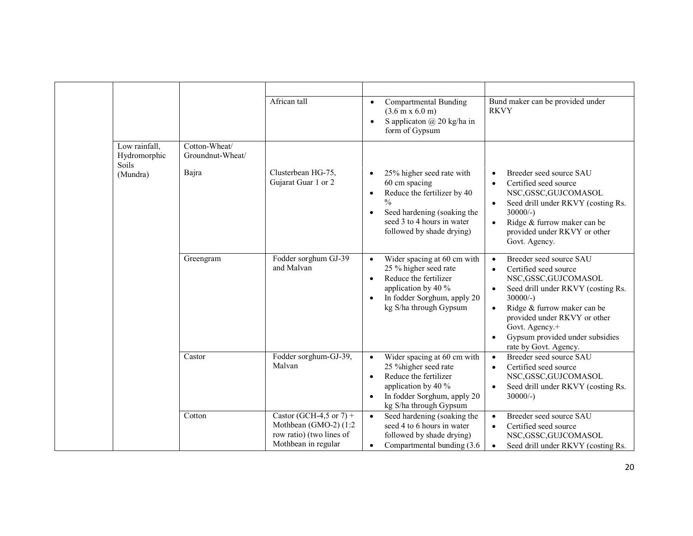|  |                                        |                                   | African tall                                                                                        | Compartmental Bunding                                                                                                                                                                                | Bund maker can be provided under                                                                                                                                                                                                                                                                                                             |
|--|----------------------------------------|-----------------------------------|-----------------------------------------------------------------------------------------------------|------------------------------------------------------------------------------------------------------------------------------------------------------------------------------------------------------|----------------------------------------------------------------------------------------------------------------------------------------------------------------------------------------------------------------------------------------------------------------------------------------------------------------------------------------------|
|  |                                        |                                   |                                                                                                     | $(3.6 \text{ m} \times 6.0 \text{ m})$<br>S applicaton $\omega$ 20 kg/ha in<br>$\bullet$<br>form of Gypsum                                                                                           | <b>RKVY</b>                                                                                                                                                                                                                                                                                                                                  |
|  | Low rainfall,<br>Hydromorphic<br>Soils | Cotton-Wheat/<br>Groundnut-Wheat/ |                                                                                                     |                                                                                                                                                                                                      |                                                                                                                                                                                                                                                                                                                                              |
|  | (Mundra)                               | Bajra                             | Clusterbean HG-75,<br>Gujarat Guar 1 or 2                                                           | 25% higher seed rate with<br>60 cm spacing<br>Reduce the fertilizer by 40<br>$\bullet$<br>$\frac{0}{0}$<br>Seed hardening (soaking the<br>seed 3 to 4 hours in water<br>followed by shade drying)    | Breeder seed source SAU<br>$\bullet$<br>Certified seed source<br>$\bullet$<br>NSC, GSSC, GUJCOMASOL<br>Seed drill under RKVY (costing Rs.<br>$\bullet$<br>$30000/-$ )<br>Ridge & furrow maker can be<br>provided under RKVY or other<br>Govt. Agency.                                                                                        |
|  |                                        | Greengram                         | Fodder sorghum GJ-39<br>and Malvan                                                                  | Wider spacing at 60 cm with<br>$\bullet$<br>25 % higher seed rate<br>Reduce the fertilizer<br>$\bullet$<br>application by 40 %<br>In fodder Sorghum, apply 20<br>kg S/ha through Gypsum              | Breeder seed source SAU<br>$\bullet$<br>Certified seed source<br>$\bullet$<br>NSC, GSSC, GUJCOMASOL<br>Seed drill under RKVY (costing Rs.<br>$\bullet$<br>$30000/-$ )<br>Ridge & furrow maker can be<br>$\bullet$<br>provided under RKVY or other<br>Govt. Agency.+<br>Gypsum provided under subsidies<br>$\bullet$<br>rate by Govt. Agency. |
|  |                                        | Castor                            | Fodder sorghum-GJ-39,<br>Malvan                                                                     | Wider spacing at 60 cm with<br>$\bullet$<br>25 % higher seed rate<br>Reduce the fertilizer<br>$\bullet$<br>application by 40 %<br>In fodder Sorghum, apply 20<br>$\bullet$<br>kg S/ha through Gypsum | Breeder seed source SAU<br>$\bullet$<br>Certified seed source<br>$\bullet$<br>NSC, GSSC, GUJCOMASOL<br>Seed drill under RKVY (costing Rs.<br>$\bullet$<br>$30000/-$ )                                                                                                                                                                        |
|  |                                        | Cotton                            | Castor (GCH-4,5 or 7) +<br>Mothbean (GMO-2) (1:2<br>row ratio) (two lines of<br>Mothbean in regular | Seed hardening (soaking the<br>seed 4 to 6 hours in water<br>followed by shade drying)<br>Compartmental bunding (3.6)<br>$\bullet$                                                                   | Breeder seed source SAU<br>$\bullet$<br>Certified seed source<br>$\bullet$<br>NSC, GSSC, GUJCOMASOL<br>Seed drill under RKVY (costing Rs.<br>$\bullet$                                                                                                                                                                                       |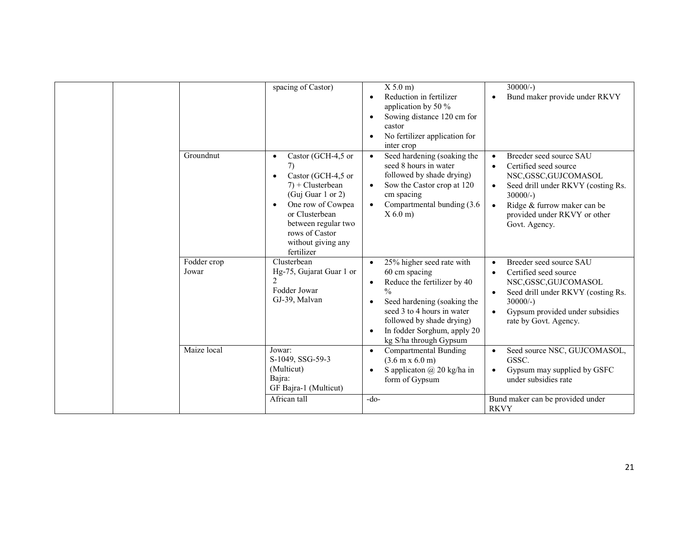|                      | spacing of Castor)                                                                                                                                                                                                                            | X 5.0 m<br>Reduction in fertilizer<br>application by 50 %<br>Sowing distance 120 cm for<br>castor<br>No fertilizer application for<br>inter crop                                                                                                                        | $30000/-$<br>Bund maker provide under RKVY                                                                                                                                                                                                            |
|----------------------|-----------------------------------------------------------------------------------------------------------------------------------------------------------------------------------------------------------------------------------------------|-------------------------------------------------------------------------------------------------------------------------------------------------------------------------------------------------------------------------------------------------------------------------|-------------------------------------------------------------------------------------------------------------------------------------------------------------------------------------------------------------------------------------------------------|
| Groundnut            | Castor (GCH-4,5 or<br>$\bullet$<br>7)<br>Castor (GCH-4,5 or<br>٠<br>$7$ ) + Clusterbean<br>(Guj Guar 1 or 2)<br>One row of Cowpea<br>$\bullet$<br>or Clusterbean<br>between regular two<br>rows of Castor<br>without giving any<br>fertilizer | Seed hardening (soaking the<br>seed 8 hours in water<br>followed by shade drying)<br>Sow the Castor crop at 120<br>cm spacing<br>Compartmental bunding (3.6)<br>$X$ 6.0 m)                                                                                              | Breeder seed source SAU<br>$\bullet$<br>Certified seed source<br>$\bullet$<br>NSC, GSSC, GUJCOMASOL<br>Seed drill under RKVY (costing Rs.<br>$\bullet$<br>$30000/-$ )<br>Ridge & furrow maker can be<br>provided under RKVY or other<br>Govt. Agency. |
| Fodder crop<br>Jowar | Clusterbean<br>Hg-75, Gujarat Guar 1 or<br>Fodder Jowar<br>GJ-39, Malvan                                                                                                                                                                      | 25% higher seed rate with<br>$\bullet$<br>60 cm spacing<br>Reduce the fertilizer by 40<br>$\bullet$<br>$\frac{0}{0}$<br>Seed hardening (soaking the<br>seed 3 to 4 hours in water<br>followed by shade drying)<br>In fodder Sorghum, apply 20<br>kg S/ha through Gypsum | Breeder seed source SAU<br>$\bullet$<br>Certified seed source<br>NSC, GSSC, GUJCOMASOL<br>Seed drill under RKVY (costing Rs.<br>$\bullet$<br>$30000/-$ )<br>Gypsum provided under subsidies<br>rate by Govt. Agency.                                  |
| Maize local          | Jowar:<br>S-1049, SSG-59-3<br>(Multicut)<br>Bajra:<br>GF Bajra-1 (Multicut)                                                                                                                                                                   | Compartmental Bunding<br>$\bullet$<br>$(3.6 \text{ m} \times 6.0 \text{ m})$<br>S applicaton $\omega$ 20 kg/ha in<br>$\bullet$<br>form of Gypsum                                                                                                                        | Seed source NSC, GUJCOMASOL,<br>GSSC.<br>Gypsum may supplied by GSFC<br>under subsidies rate                                                                                                                                                          |
|                      | African tall                                                                                                                                                                                                                                  | $-do-$                                                                                                                                                                                                                                                                  | Bund maker can be provided under<br><b>RKVY</b>                                                                                                                                                                                                       |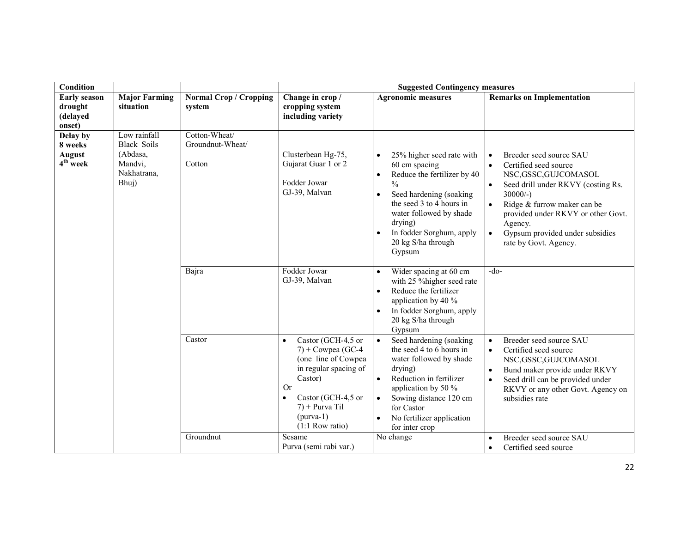| <b>Condition</b>                                     |                                                                                   |                                             | <b>Suggested Contingency measures</b>                                                                                                                                                                                      |                                                                                                                                                                                                                                                                               |                                                                                                                                                                                                                                                                                                                                |  |
|------------------------------------------------------|-----------------------------------------------------------------------------------|---------------------------------------------|----------------------------------------------------------------------------------------------------------------------------------------------------------------------------------------------------------------------------|-------------------------------------------------------------------------------------------------------------------------------------------------------------------------------------------------------------------------------------------------------------------------------|--------------------------------------------------------------------------------------------------------------------------------------------------------------------------------------------------------------------------------------------------------------------------------------------------------------------------------|--|
| <b>Early season</b><br>drought<br>(delayed<br>onset) | <b>Major Farming</b><br>situation                                                 | <b>Normal Crop / Cropping</b><br>system     | Change in crop /<br>cropping system<br>including variety                                                                                                                                                                   | <b>Agronomic measures</b>                                                                                                                                                                                                                                                     | <b>Remarks on Implementation</b>                                                                                                                                                                                                                                                                                               |  |
| Delay by<br>8 weeks<br><b>August</b><br>$4th$ week   | Low rainfall<br><b>Black Soils</b><br>(Abdasa,<br>Mandvi,<br>Nakhatrana,<br>Bhuj) | Cotton-Wheat/<br>Groundnut-Wheat/<br>Cotton | Clusterbean Hg-75,<br>Gujarat Guar 1 or 2<br>Fodder Jowar<br>GJ-39, Malvan                                                                                                                                                 | 25% higher seed rate with<br>60 cm spacing<br>Reduce the fertilizer by 40<br>$\frac{0}{0}$<br>Seed hardening (soaking<br>$\bullet$<br>the seed 3 to 4 hours in<br>water followed by shade<br>drying)<br>In fodder Sorghum, apply<br>$\bullet$<br>20 kg S/ha through<br>Gypsum | Breeder seed source SAU<br>$\bullet$<br>Certified seed source<br>$\bullet$<br>NSC, GSSC, GUJCOMASOL<br>Seed drill under RKVY (costing Rs.<br>$30000/-$ )<br>Ridge & furrow maker can be<br>$\bullet$<br>provided under RKVY or other Govt.<br>Agency.<br>Gypsum provided under subsidies<br>$\bullet$<br>rate by Govt. Agency. |  |
|                                                      |                                                                                   | Bajra                                       | Fodder Jowar<br>GJ-39, Malvan                                                                                                                                                                                              | Wider spacing at 60 cm<br>$\bullet$<br>with 25 % higher seed rate<br>Reduce the fertilizer<br>$\bullet$<br>application by 40 %<br>In fodder Sorghum, apply<br>20 kg S/ha through<br>Gypsum                                                                                    | $-do-$                                                                                                                                                                                                                                                                                                                         |  |
|                                                      |                                                                                   | Castor                                      | Castor (GCH-4,5 or<br>$\bullet$<br>$7) + Cowpea(GC-4)$<br>(one line of Cowpea<br>in regular spacing of<br>Castor)<br><b>Or</b><br>Castor (GCH-4,5 or<br>$\bullet$<br>$7$ ) + Purva Til<br>$(purva-1)$<br>$(1:1$ Row ratio) | Seed hardening (soaking<br>the seed 4 to 6 hours in<br>water followed by shade<br>drying)<br>Reduction in fertilizer<br>$\bullet$<br>application by 50 %<br>Sowing distance 120 cm<br>$\bullet$<br>for Castor<br>No fertilizer application<br>for inter crop                  | Breeder seed source SAU<br>$\bullet$<br>Certified seed source<br>$\bullet$<br>NSC, GSSC, GUJCOMASOL<br>Bund maker provide under RKVY<br>$\bullet$<br>Seed drill can be provided under<br>$\bullet$<br>RKVY or any other Govt. Agency on<br>subsidies rate                                                                      |  |
|                                                      |                                                                                   | Groundnut                                   | Sesame<br>Purva (semi rabi var.)                                                                                                                                                                                           | No change                                                                                                                                                                                                                                                                     | Breeder seed source SAU<br>$\bullet$<br>Certified seed source<br>$\bullet$                                                                                                                                                                                                                                                     |  |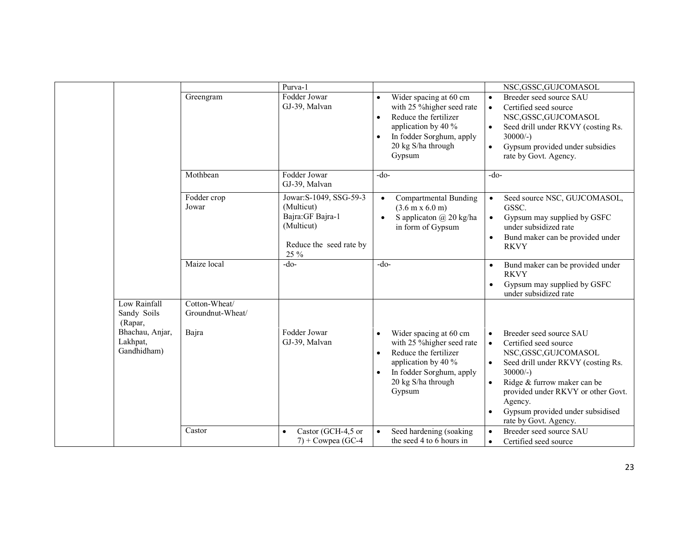|                                            | Greengram                         | Purva-1<br>Fodder Jowar<br>GJ-39, Malvan                                                                    | Wider spacing at 60 cm<br>$\bullet$<br>with 25 % higher seed rate<br>Reduce the fertilizer<br>$\bullet$<br>application by 40 %<br>In fodder Sorghum, apply<br>$\bullet$<br>20 kg S/ha through<br>Gypsum | NSC, GSSC, GUJCOMASOL<br>Breeder seed source SAU<br>$\bullet$<br>$\bullet$<br>Certified seed source<br>NSC, GSSC, GUJCOMASOL<br>$\bullet$<br>Seed drill under RKVY (costing Rs.<br>$30000/-$ )<br>Gypsum provided under subsidies<br>$\bullet$<br>rate by Govt. Agency.                                                                      |
|--------------------------------------------|-----------------------------------|-------------------------------------------------------------------------------------------------------------|---------------------------------------------------------------------------------------------------------------------------------------------------------------------------------------------------------|----------------------------------------------------------------------------------------------------------------------------------------------------------------------------------------------------------------------------------------------------------------------------------------------------------------------------------------------|
|                                            | Mothbean                          | Fodder Jowar<br>GJ-39, Malvan                                                                               | $-do-$                                                                                                                                                                                                  | $-do-$                                                                                                                                                                                                                                                                                                                                       |
|                                            | Fodder crop<br>Jowar              | Jowar: S-1049, SSG-59-3<br>(Multicut)<br>Bajra: GF Bajra-1<br>(Multicut)<br>Reduce the seed rate by<br>25 % | <b>Compartmental Bunding</b><br>$\bullet$<br>$(3.6 \text{ m} \times 6.0 \text{ m})$<br>S applicaton @ 20 kg/ha<br>$\bullet$<br>in form of Gypsum                                                        | Seed source NSC, GUJCOMASOL,<br>$\bullet$<br>GSSC.<br>Gypsum may supplied by GSFC<br>$\bullet$<br>under subsidized rate<br>Bund maker can be provided under<br>$\bullet$<br><b>RKVY</b>                                                                                                                                                      |
|                                            | Maize local                       | $-do-$                                                                                                      | $-do-$                                                                                                                                                                                                  | Bund maker can be provided under<br>$\bullet$<br><b>RKVY</b><br>Gypsum may supplied by GSFC<br>$\bullet$<br>under subsidized rate                                                                                                                                                                                                            |
| Low Rainfall<br>Sandy Soils<br>(Rapar,     | Cotton-Wheat/<br>Groundnut-Wheat/ |                                                                                                             |                                                                                                                                                                                                         |                                                                                                                                                                                                                                                                                                                                              |
| Bhachau, Anjar,<br>Lakhpat,<br>Gandhidham) | Bajra                             | Fodder Jowar<br>GJ-39, Malvan                                                                               | Wider spacing at 60 cm<br>$\bullet$<br>with 25 % higher seed rate<br>Reduce the fertilizer<br>$\bullet$<br>application by 40 %<br>In fodder Sorghum, apply<br>$\bullet$<br>20 kg S/ha through<br>Gypsum | Breeder seed source SAU<br>$\bullet$<br>$\bullet$<br>Certified seed source<br>NSC, GSSC, GUJCOMASOL<br>$\bullet$<br>Seed drill under RKVY (costing Rs.<br>$30000/-$ )<br>Ridge & furrow maker can be<br>$\bullet$<br>provided under RKVY or other Govt.<br>Agency.<br>Gypsum provided under subsidised<br>$\bullet$<br>rate by Govt. Agency. |
|                                            | Castor                            | Castor (GCH-4,5 or<br>$\bullet$<br>$7$ ) + Cowpea (GC-4                                                     | Seed hardening (soaking<br>$\bullet$<br>the seed 4 to 6 hours in                                                                                                                                        | Breeder seed source SAU<br>$\bullet$<br>$\bullet$<br>Certified seed source                                                                                                                                                                                                                                                                   |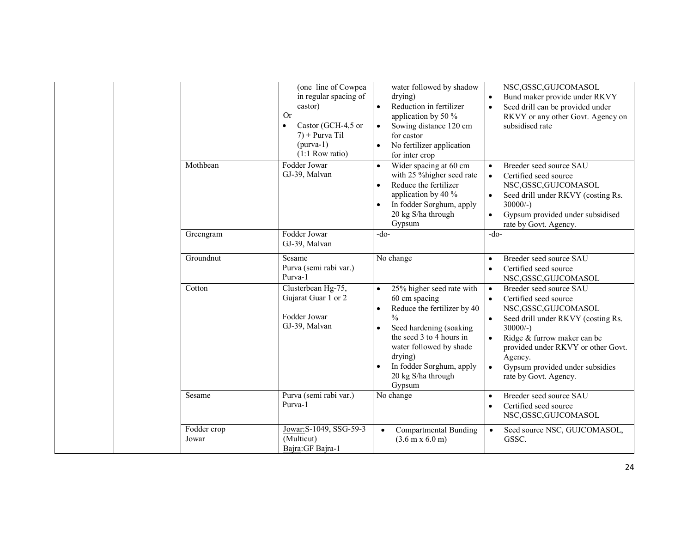|                      | (one line of Cowpea<br>in regular spacing of<br>castor)<br><b>Or</b><br>Castor (GCH-4,5 or<br>$\bullet$<br>$7$ ) + Purva Til<br>$(purva-1)$<br>$(1:1$ Row ratio) | water followed by shadow<br>drying)<br>Reduction in fertilizer<br>$\bullet$<br>application by 50 $\%$<br>Sowing distance 120 cm<br>for castor<br>No fertilizer application<br>for inter crop                                                                                                | NSC, GSSC, GUJCOMASOL<br>Bund maker provide under RKVY<br>$\bullet$<br>Seed drill can be provided under<br>$\bullet$<br>RKVY or any other Govt. Agency on<br>subsidised rate                                                                                                                                                                |
|----------------------|------------------------------------------------------------------------------------------------------------------------------------------------------------------|---------------------------------------------------------------------------------------------------------------------------------------------------------------------------------------------------------------------------------------------------------------------------------------------|---------------------------------------------------------------------------------------------------------------------------------------------------------------------------------------------------------------------------------------------------------------------------------------------------------------------------------------------|
| Mothbean             | Fodder Jowar<br>GJ-39, Malvan                                                                                                                                    | Wider spacing at 60 cm<br>with 25 % higher seed rate<br>Reduce the fertilizer<br>$\bullet$<br>application by 40 %<br>In fodder Sorghum, apply<br>20 kg S/ha through<br>Gypsum                                                                                                               | Breeder seed source SAU<br>$\bullet$<br>Certified seed source<br>$\bullet$<br>NSC, GSSC, GUJCOMASOL<br>Seed drill under RKVY (costing Rs.<br>$\bullet$<br>$30000/-$ )<br>Gypsum provided under subsidised<br>$\bullet$<br>rate by Govt. Agency.                                                                                             |
| Greengram            | Fodder Jowar<br>GJ-39, Malvan                                                                                                                                    | $-do-$                                                                                                                                                                                                                                                                                      | $-do-$                                                                                                                                                                                                                                                                                                                                      |
| Groundnut            | Sesame<br>Purva (semi rabi var.)<br>Purva-1                                                                                                                      | No change                                                                                                                                                                                                                                                                                   | Breeder seed source SAU<br>$\bullet$<br>Certified seed source<br>$\bullet$<br>NSC, GSSC, GUJCOMASOL                                                                                                                                                                                                                                         |
| Cotton               | Clusterbean Hg-75,<br>Gujarat Guar 1 or 2<br>Fodder Jowar<br>GJ-39, Malvan                                                                                       | 25% higher seed rate with<br>$\bullet$<br>60 cm spacing<br>Reduce the fertilizer by 40<br>$\bullet$<br>$\frac{0}{0}$<br>Seed hardening (soaking)<br>$\bullet$<br>the seed 3 to 4 hours in<br>water followed by shade<br>drying)<br>In fodder Sorghum, apply<br>20 kg S/ha through<br>Gypsum | Breeder seed source SAU<br>$\bullet$<br>Certified seed source<br>$\bullet$<br>NSC, GSSC, GUJCOMASOL<br>Seed drill under RKVY (costing Rs.<br>$\bullet$<br>$30000/-$ )<br>Ridge & furrow maker can be<br>$\bullet$<br>provided under RKVY or other Govt.<br>Agency.<br>$\bullet$<br>Gypsum provided under subsidies<br>rate by Govt. Agency. |
| Sesame               | Purva (semi rabi var.)<br>Purva-1                                                                                                                                | No change                                                                                                                                                                                                                                                                                   | Breeder seed source SAU<br>$\bullet$<br>Certified seed source<br>$\bullet$<br>NSC, GSSC, GUJCOMASOL                                                                                                                                                                                                                                         |
| Fodder crop<br>Jowar | Jowar: S-1049, SSG-59-3<br>(Multicut)<br>Bajra: GF Bajra-1                                                                                                       | Compartmental Bunding<br>$\bullet$<br>$(3.6 \text{ m x } 6.0 \text{ m})$                                                                                                                                                                                                                    | Seed source NSC, GUJCOMASOL,<br>$\bullet$<br>GSSC.                                                                                                                                                                                                                                                                                          |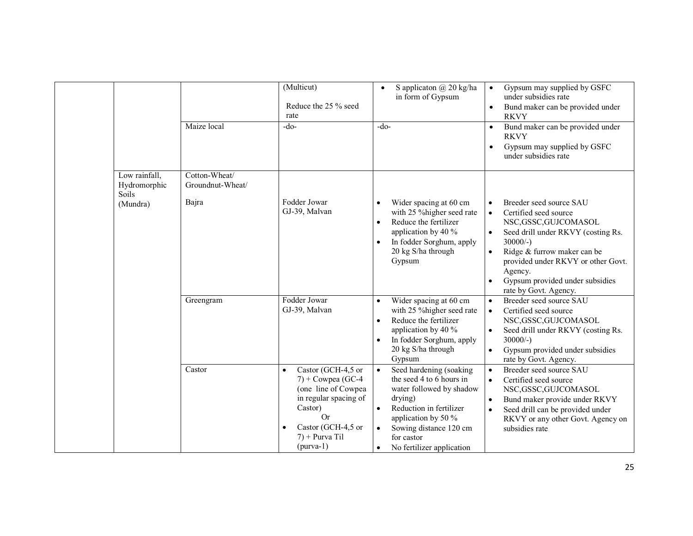|       |                               |                                   | (Multicut)<br>Reduce the 25 % seed<br>rate                                                                                                                                                            | S applicaton @ 20 kg/ha<br>$\bullet$<br>in form of Gypsum                                                                                                                                                                      | Gypsum may supplied by GSFC<br>$\bullet$<br>under subsidies rate<br>Bund maker can be provided under<br>$\bullet$<br><b>RKVY</b>                                                                                                                                                                                                            |
|-------|-------------------------------|-----------------------------------|-------------------------------------------------------------------------------------------------------------------------------------------------------------------------------------------------------|--------------------------------------------------------------------------------------------------------------------------------------------------------------------------------------------------------------------------------|---------------------------------------------------------------------------------------------------------------------------------------------------------------------------------------------------------------------------------------------------------------------------------------------------------------------------------------------|
|       |                               | Maize local                       | $-do-$                                                                                                                                                                                                | $-do-$                                                                                                                                                                                                                         | Bund maker can be provided under<br>$\bullet$<br><b>RKVY</b><br>Gypsum may supplied by GSFC<br>$\bullet$<br>under subsidies rate                                                                                                                                                                                                            |
| Soils | Low rainfall,<br>Hydromorphic | Cotton-Wheat/<br>Groundnut-Wheat/ |                                                                                                                                                                                                       |                                                                                                                                                                                                                                |                                                                                                                                                                                                                                                                                                                                             |
|       | (Mundra)                      | Bajra                             | Fodder Jowar<br>GJ-39, Malvan                                                                                                                                                                         | Wider spacing at 60 cm<br>with 25 % higher seed rate<br>Reduce the fertilizer<br>$\bullet$<br>application by 40 %<br>In fodder Sorghum, apply<br>$\bullet$<br>20 kg S/ha through<br>Gypsum                                     | Breeder seed source SAU<br>$\bullet$<br>$\bullet$<br>Certified seed source<br>NSC, GSSC, GUJCOMASOL<br>Seed drill under RKVY (costing Rs.<br>$\bullet$<br>$30000/-$ )<br>Ridge & furrow maker can be<br>$\bullet$<br>provided under RKVY or other Govt.<br>Agency.<br>Gypsum provided under subsidies<br>$\bullet$<br>rate by Govt. Agency. |
|       |                               | Greengram                         | Fodder Jowar<br>GJ-39, Malvan                                                                                                                                                                         | Wider spacing at 60 cm<br>with 25 % higher seed rate<br>Reduce the fertilizer<br>$\bullet$<br>application by 40 %<br>In fodder Sorghum, apply<br>20 kg S/ha through<br>Gypsum                                                  | Breeder seed source SAU<br>$\bullet$<br>Certified seed source<br>$\bullet$<br>NSC, GSSC, GUJCOMASOL<br>Seed drill under RKVY (costing Rs.<br>$\bullet$<br>$30000/-$ )<br>Gypsum provided under subsidies<br>$\bullet$<br>rate by Govt. Agency.                                                                                              |
|       |                               | Castor                            | Castor (GCH-4,5 or<br>$\bullet$<br>$7) + Cowpea$ (GC-4<br>(one line of Cowpea<br>in regular spacing of<br>Castor)<br><b>Or</b><br>Castor (GCH-4,5 or<br>$\bullet$<br>$7$ ) + Purva Til<br>$(purva-1)$ | Seed hardening (soaking<br>the seed 4 to 6 hours in<br>water followed by shadow<br>drying)<br>Reduction in fertilizer<br>$\bullet$<br>application by 50 %<br>Sowing distance 120 cm<br>for castor<br>No fertilizer application | Breeder seed source SAU<br>$\bullet$<br>Certified seed source<br>$\bullet$<br>NSC,GSSC,GUJCOMASOL<br>Bund maker provide under RKVY<br>$\bullet$<br>Seed drill can be provided under<br>$\bullet$<br>RKVY or any other Govt. Agency on<br>subsidies rate                                                                                     |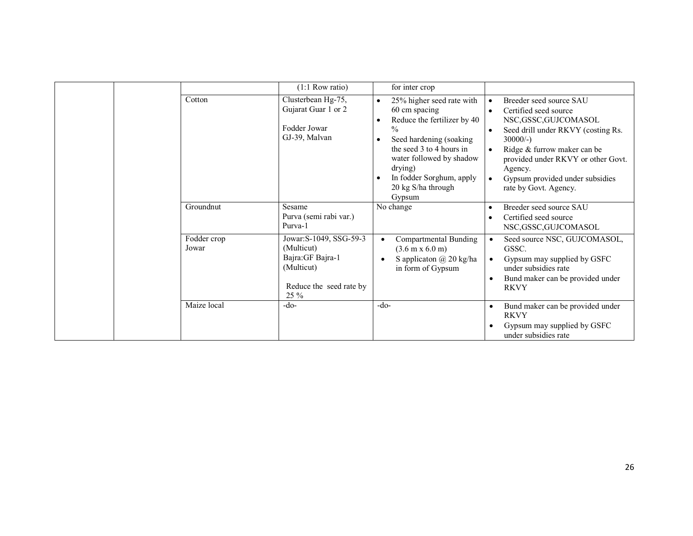|                      | $(1:1$ Row ratio)                                                                                             | for inter crop                                                                                                                                                                                                                                                                                           |                                                                                                                                                                                                                                                                                                                                             |
|----------------------|---------------------------------------------------------------------------------------------------------------|----------------------------------------------------------------------------------------------------------------------------------------------------------------------------------------------------------------------------------------------------------------------------------------------------------|---------------------------------------------------------------------------------------------------------------------------------------------------------------------------------------------------------------------------------------------------------------------------------------------------------------------------------------------|
| Cotton               | Clusterbean Hg-75,<br>Gujarat Guar 1 or 2<br>Fodder Jowar<br>GJ-39, Malvan                                    | 25% higher seed rate with<br>$\bullet$<br>60 cm spacing<br>Reduce the fertilizer by 40<br>$\bullet$<br>$\frac{0}{0}$<br>Seed hardening (soaking<br>$\bullet$<br>the seed 3 to 4 hours in<br>water followed by shadow<br>drying)<br>In fodder Sorghum, apply<br>$\bullet$<br>20 kg S/ha through<br>Gypsum | Breeder seed source SAU<br>$\bullet$<br>Certified seed source<br>$\bullet$<br>NSC, GSSC, GUJCOMASOL<br>Seed drill under RKVY (costing Rs.<br>$\bullet$<br>$30000/-$ )<br>Ridge & furrow maker can be<br>$\bullet$<br>provided under RKVY or other Govt.<br>Agency.<br>Gypsum provided under subsidies<br>$\bullet$<br>rate by Govt. Agency. |
| Groundnut            | Sesame<br>Purva (semi rabi var.)<br>Purva-1                                                                   | No change                                                                                                                                                                                                                                                                                                | Breeder seed source SAU<br>٠<br>Certified seed source<br>$\bullet$<br>NSC, GSSC, GUJCOMASOL                                                                                                                                                                                                                                                 |
| Fodder crop<br>Jowar | Jowar: S-1049, SSG-59-3<br>(Multicut)<br>Bajra: GF Bajra-1<br>(Multicut)<br>Reduce the seed rate by<br>$25\%$ | Compartmental Bunding<br>$\bullet$<br>$(3.6 \text{ m} \times 6.0 \text{ m})$<br>S applicaton $\omega$ 20 kg/ha<br>$\bullet$<br>in form of Gypsum                                                                                                                                                         | Seed source NSC, GUJCOMASOL,<br>$\bullet$<br>GSSC.<br>Gypsum may supplied by GSFC<br>$\bullet$<br>under subsidies rate<br>Bund maker can be provided under<br>$\bullet$<br><b>RKVY</b>                                                                                                                                                      |
| Maize local          | $-do-$                                                                                                        | $-do-$                                                                                                                                                                                                                                                                                                   | Bund maker can be provided under<br>$\bullet$<br><b>RKVY</b><br>Gypsum may supplied by GSFC<br>under subsidies rate                                                                                                                                                                                                                         |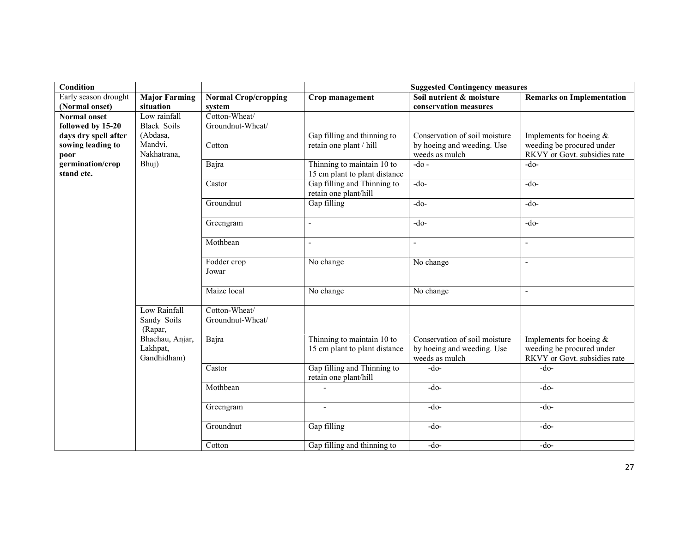| Condition                                         |                                            |                                   |                                                             | <b>Suggested Contingency measures</b>                                         |                                                                                        |
|---------------------------------------------------|--------------------------------------------|-----------------------------------|-------------------------------------------------------------|-------------------------------------------------------------------------------|----------------------------------------------------------------------------------------|
| Early season drought                              | <b>Major Farming</b>                       | <b>Normal Crop/cropping</b>       | Crop management                                             | Soil nutrient & moisture                                                      | <b>Remarks on Implementation</b>                                                       |
| (Normal onset)                                    | situation                                  | system                            |                                                             | conservation measures                                                         |                                                                                        |
| <b>Normal onset</b>                               | Low rainfall                               | Cotton-Wheat/                     |                                                             |                                                                               |                                                                                        |
| followed by 15-20                                 | <b>Black Soils</b>                         | Groundnut-Wheat/                  |                                                             |                                                                               |                                                                                        |
| days dry spell after<br>sowing leading to<br>poor | (Abdasa,<br>Mandvi,<br>Nakhatrana,         | Cotton                            | Gap filling and thinning to<br>retain one plant / hill      | Conservation of soil moisture<br>by hoeing and weeding. Use<br>weeds as mulch | Implements for hoeing $&$<br>weeding be procured under<br>RKVY or Govt. subsidies rate |
| germination/crop<br>stand etc.                    | Bhuj)                                      | Bajra                             | Thinning to maintain 10 to<br>15 cm plant to plant distance | $-do-$                                                                        | $-do-$                                                                                 |
|                                                   |                                            | Castor                            | Gap filling and Thinning to<br>retain one plant/hill        | $-do-$                                                                        | $-do-$                                                                                 |
|                                                   |                                            | Groundnut                         | Gap filling                                                 | $-do-$                                                                        | $-do-$                                                                                 |
|                                                   |                                            | Greengram                         | $\overline{a}$                                              | $-do-$                                                                        | $-do-$                                                                                 |
|                                                   |                                            | Mothbean                          |                                                             | $\omega$                                                                      |                                                                                        |
|                                                   |                                            | Fodder crop<br>Jowar              | No change                                                   | No change                                                                     | $\overline{\phantom{a}}$                                                               |
|                                                   |                                            | Maize local                       | No change                                                   | No change                                                                     | $\blacksquare$                                                                         |
|                                                   | Low Rainfall<br>Sandy Soils<br>(Rapar,     | Cotton-Wheat/<br>Groundnut-Wheat/ |                                                             |                                                                               |                                                                                        |
|                                                   | Bhachau, Anjar,<br>Lakhpat,<br>Gandhidham) | Bajra                             | Thinning to maintain 10 to<br>15 cm plant to plant distance | Conservation of soil moisture<br>by hoeing and weeding. Use<br>weeds as mulch | Implements for hoeing $&$<br>weeding be procured under<br>RKVY or Govt. subsidies rate |
|                                                   |                                            | Castor                            | Gap filling and Thinning to<br>retain one plant/hill        | $-do-$                                                                        | $-do-$                                                                                 |
|                                                   |                                            | Mothbean                          |                                                             | $-do-$                                                                        | $-do-$                                                                                 |
|                                                   |                                            | Greengram                         |                                                             | $-do-$                                                                        | $-do-$                                                                                 |
|                                                   |                                            | Groundnut                         | Gap filling                                                 | $-do-$                                                                        | $-do-$                                                                                 |
|                                                   |                                            | Cotton                            | Gap filling and thinning to                                 | $-do-$                                                                        | $-do-$                                                                                 |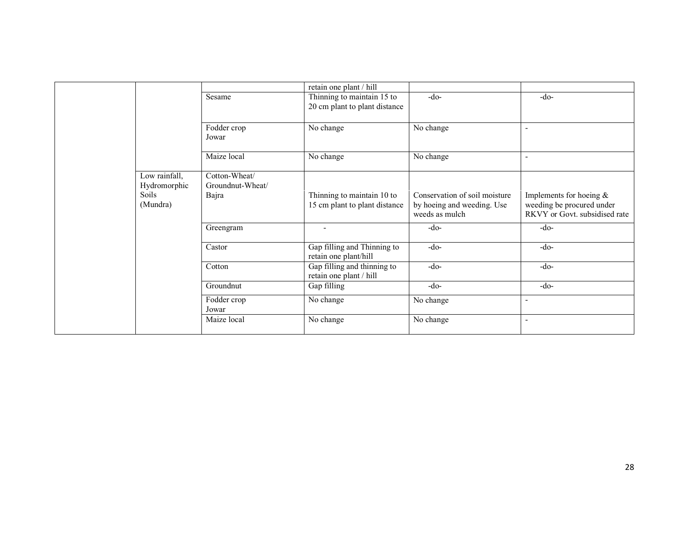|                                                    |                                            | retain one plant / hill                                     |                                                                               |                                                                                          |
|----------------------------------------------------|--------------------------------------------|-------------------------------------------------------------|-------------------------------------------------------------------------------|------------------------------------------------------------------------------------------|
|                                                    | Sesame                                     | Thinning to maintain 15 to<br>20 cm plant to plant distance | $-do-$                                                                        | $-do-$                                                                                   |
|                                                    | Fodder crop<br>Jowar                       | No change                                                   | No change                                                                     |                                                                                          |
|                                                    | Maize local                                | No change                                                   | No change                                                                     |                                                                                          |
| Low rainfall,<br>Hydromorphic<br>Soils<br>(Mundra) | Cotton-Wheat/<br>Groundnut-Wheat/<br>Bajra | Thinning to maintain 10 to<br>15 cm plant to plant distance | Conservation of soil moisture<br>by hoeing and weeding. Use<br>weeds as mulch | Implements for hoeing $\&$<br>weeding be procured under<br>RKVY or Govt. subsidised rate |
|                                                    | Greengram                                  | $\overline{\phantom{a}}$                                    | $-do-$                                                                        | $-do-$                                                                                   |
|                                                    | Castor                                     | Gap filling and Thinning to<br>retain one plant/hill        | $-do-$                                                                        | $-do-$                                                                                   |
|                                                    | Cotton                                     | Gap filling and thinning to<br>retain one plant / hill      | $-do-$                                                                        | $-do-$                                                                                   |
|                                                    | Groundnut                                  | Gap filling                                                 | $-do-$                                                                        | $-do-$                                                                                   |
|                                                    | Fodder crop<br>Jowar                       | No change                                                   | No change                                                                     |                                                                                          |
|                                                    | Maize local                                | No change                                                   | No change                                                                     | $\overline{\phantom{a}}$                                                                 |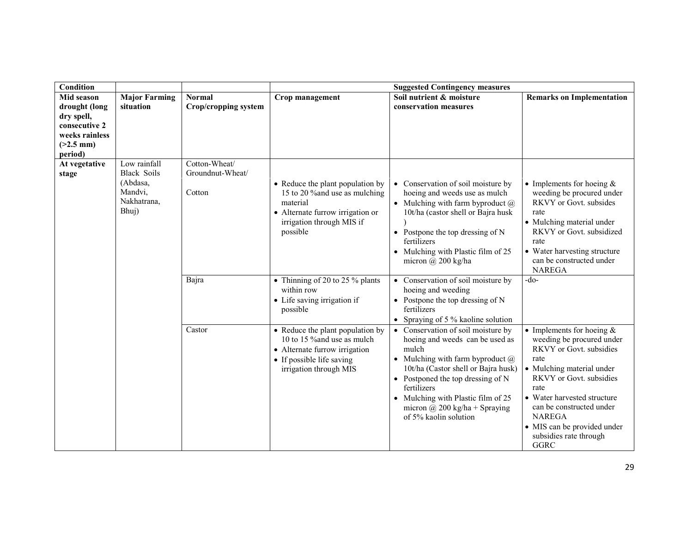| <b>Condition</b> |                      |                             | <b>Suggested Contingency measures</b> |                                         |                                  |  |
|------------------|----------------------|-----------------------------|---------------------------------------|-----------------------------------------|----------------------------------|--|
| Mid season       | <b>Major Farming</b> | <b>Normal</b>               | Crop management                       | Soil nutrient & moisture                | <b>Remarks on Implementation</b> |  |
| drought (long    | situation            | <b>Crop/cropping system</b> |                                       | conservation measures                   |                                  |  |
| dry spell,       |                      |                             |                                       |                                         |                                  |  |
| consecutive 2    |                      |                             |                                       |                                         |                                  |  |
| weeks rainless   |                      |                             |                                       |                                         |                                  |  |
| $(>2.5$ mm)      |                      |                             |                                       |                                         |                                  |  |
| period)          |                      |                             |                                       |                                         |                                  |  |
| At vegetative    | Low rainfall         | Cotton-Wheat/               |                                       |                                         |                                  |  |
| stage            | <b>Black Soils</b>   | Groundnut-Wheat/            |                                       |                                         |                                  |  |
|                  | (Abdasa,             |                             | • Reduce the plant population by      | • Conservation of soil moisture by      | • Implements for hoeing $&$      |  |
|                  | Mandvi.              | Cotton                      | 15 to 20 % and use as mulching        | hoeing and weeds use as mulch           | weeding be procured under        |  |
|                  | Nakhatrana,          |                             | material                              | • Mulching with farm byproduct $\omega$ | RKVY or Govt. subsides           |  |
|                  | Bhuj)                |                             | • Alternate furrow irrigation or      | 10t/ha (castor shell or Bajra husk      | rate                             |  |
|                  |                      |                             | irrigation through MIS if             |                                         | • Mulching material under        |  |
|                  |                      |                             | possible                              | • Postpone the top dressing of $N$      | RKVY or Govt. subsidized         |  |
|                  |                      |                             |                                       | fertilizers                             | rate                             |  |
|                  |                      |                             |                                       | • Mulching with Plastic film of 25      | • Water harvesting structure     |  |
|                  |                      |                             |                                       | micron $(a)$ 200 kg/ha                  | can be constructed under         |  |
|                  |                      |                             |                                       |                                         | <b>NAREGA</b>                    |  |
|                  |                      | Bajra                       | • Thinning of 20 to 25 % plants       | • Conservation of soil moisture by      | -do-                             |  |
|                  |                      |                             | within row                            | hoeing and weeding                      |                                  |  |
|                  |                      |                             | • Life saving irrigation if           | • Postpone the top dressing of $N$      |                                  |  |
|                  |                      |                             | possible                              | fertilizers                             |                                  |  |
|                  |                      |                             |                                       | • Spraying of 5 % kaoline solution      |                                  |  |
|                  |                      | Castor                      | • Reduce the plant population by      | • Conservation of soil moisture by      | • Implements for hoeing $&$      |  |
|                  |                      |                             | 10 to 15 % and use as mulch           | hoeing and weeds can be used as         | weeding be procured under        |  |
|                  |                      |                             | • Alternate furrow irrigation         | mulch                                   | <b>RKVY</b> or Govt. subsidies   |  |
|                  |                      |                             | • If possible life saving             | • Mulching with farm byproduct $\omega$ | rate                             |  |
|                  |                      |                             | irrigation through MIS                | 10t/ha (Castor shell or Bajra husk)     | • Mulching material under        |  |
|                  |                      |                             |                                       | • Postponed the top dressing of $N$     | RKVY or Govt. subsidies          |  |
|                  |                      |                             |                                       | fertilizers                             | rate                             |  |
|                  |                      |                             |                                       | • Mulching with Plastic film of 25      | • Water harvested structure      |  |
|                  |                      |                             |                                       | micron @ 200 kg/ha + Spraying           | can be constructed under         |  |
|                  |                      |                             |                                       | of 5% kaolin solution                   | <b>NAREGA</b>                    |  |
|                  |                      |                             |                                       |                                         | • MIS can be provided under      |  |
|                  |                      |                             |                                       |                                         | subsidies rate through           |  |
|                  |                      |                             |                                       |                                         | GGRC                             |  |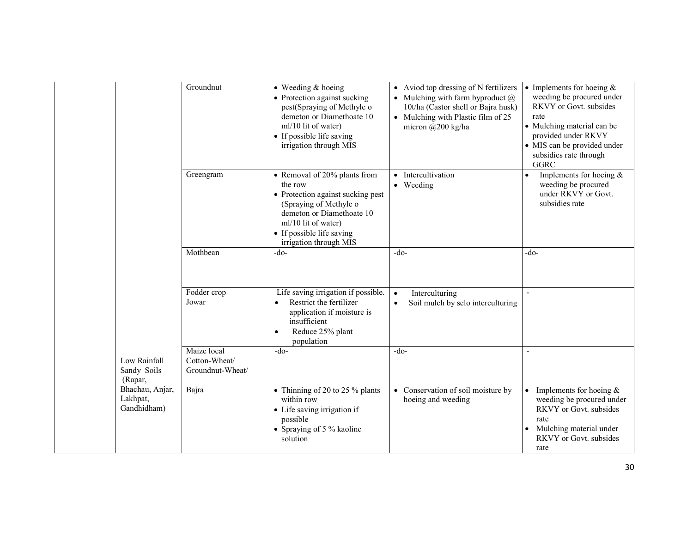|                                            | Groundnut                         | $\bullet$ Weeding & hoeing<br>• Protection against sucking<br>pest(Spraying of Methyle o<br>demeton or Diamethoate 10<br>ml/10 lit of water)<br>• If possible life saving<br>irrigation through MIS               | • Aviod top dressing of N fertilizers<br>• Mulching with farm byproduct $(a)$<br>10t/ha (Castor shell or Bajra husk)<br>• Mulching with Plastic film of 25<br>micron $(a)200$ kg/ha | • Implements for hoeing $&$<br>weeding be procured under<br>RKVY or Govt. subsides<br>rate<br>• Mulching material can be<br>provided under RKVY<br>• MIS can be provided under<br>subsidies rate through<br><b>GGRC</b> |
|--------------------------------------------|-----------------------------------|-------------------------------------------------------------------------------------------------------------------------------------------------------------------------------------------------------------------|-------------------------------------------------------------------------------------------------------------------------------------------------------------------------------------|-------------------------------------------------------------------------------------------------------------------------------------------------------------------------------------------------------------------------|
|                                            | Greengram                         | • Removal of 20% plants from<br>the row<br>• Protection against sucking pest<br>(Spraying of Methyle o<br>demeton or Diamethoate 10<br>ml/10 lit of water)<br>• If possible life saving<br>irrigation through MIS | • Intercultivation<br>• Weeding                                                                                                                                                     | Implements for hoeing $&$<br>$\bullet$<br>weeding be procured<br>under RKVY or Govt.<br>subsidies rate                                                                                                                  |
|                                            | Mothbean                          | $-do-$                                                                                                                                                                                                            | $-do-$                                                                                                                                                                              | -do-                                                                                                                                                                                                                    |
|                                            | Fodder crop<br>Jowar              | Life saving irrigation if possible.<br>Restrict the fertilizer<br>$\bullet$<br>application if moisture is<br>insufficient<br>Reduce 25% plant<br>$\bullet$<br>population                                          | Interculturing<br>$\bullet$<br>Soil mulch by selo interculturing<br>$\bullet$                                                                                                       |                                                                                                                                                                                                                         |
|                                            | Maize local                       | $-do-$                                                                                                                                                                                                            | $-do-$                                                                                                                                                                              |                                                                                                                                                                                                                         |
| Low Rainfall<br>Sandy Soils<br>(Rapar,     | Cotton-Wheat/<br>Groundnut-Wheat/ |                                                                                                                                                                                                                   |                                                                                                                                                                                     |                                                                                                                                                                                                                         |
| Bhachau, Anjar,<br>Lakhpat,<br>Gandhidham) | Bajra                             | • Thinning of 20 to 25 % plants<br>within row<br>• Life saving irrigation if<br>possible<br>• Spraying of 5 % kaoline<br>solution                                                                                 | • Conservation of soil moisture by<br>hoeing and weeding                                                                                                                            | Implements for hoeing $\&$<br>weeding be procured under<br><b>RKVY</b> or Govt. subsides<br>rate<br>Mulching material under<br>RKVY or Govt. subsides<br>rate                                                           |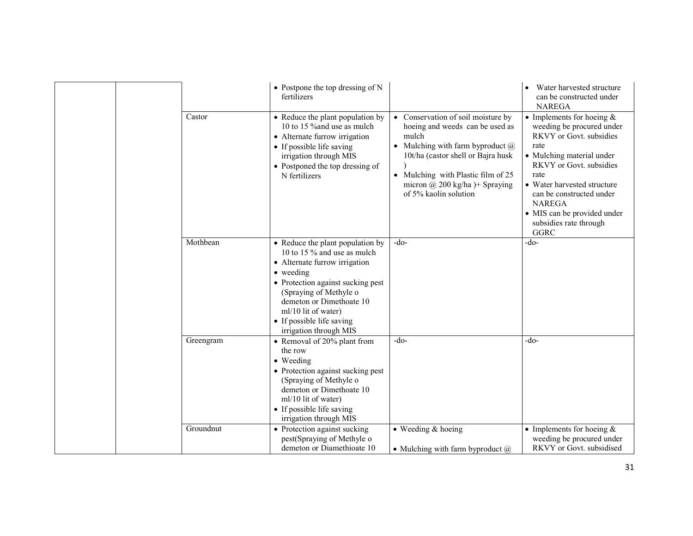|           | $\bullet$ Postpone the top dressing of N<br>fertilizers                                                                                                                                                                                                                                |                                                                                                                                                                                                                                                                         | Water harvested structure<br>can be constructed under<br><b>NAREGA</b>                                                                                                                                                                                                                                   |
|-----------|----------------------------------------------------------------------------------------------------------------------------------------------------------------------------------------------------------------------------------------------------------------------------------------|-------------------------------------------------------------------------------------------------------------------------------------------------------------------------------------------------------------------------------------------------------------------------|----------------------------------------------------------------------------------------------------------------------------------------------------------------------------------------------------------------------------------------------------------------------------------------------------------|
| Castor    | • Reduce the plant population by<br>10 to 15 % and use as mulch<br>• Alternate furrow irrigation<br>• If possible life saving<br>irrigation through MIS<br>• Postponed the top dressing of<br>N fertilizers                                                                            | • Conservation of soil moisture by<br>hoeing and weeds can be used as<br>mulch<br>• Mulching with farm byproduct $\omega$<br>10t/ha (castor shell or Bajra husk<br>• Mulching with Plastic film of 25<br>micron $\omega$ 200 kg/ha )+ Spraying<br>of 5% kaolin solution | • Implements for hoeing $&$<br>weeding be procured under<br>RKVY or Govt. subsidies<br>rate<br>• Mulching material under<br>RKVY or Govt. subsidies<br>rate<br>• Water harvested structure<br>can be constructed under<br><b>NAREGA</b><br>• MIS can be provided under<br>subsidies rate through<br>GGRC |
| Mothbean  | • Reduce the plant population by<br>10 to 15 % and use as mulch<br>• Alternate furrow irrigation<br>• weeding<br>• Protection against sucking pest<br>(Spraying of Methyle o<br>demeton or Dimethoate 10<br>ml/10 lit of water)<br>• If possible life saving<br>irrigation through MIS | $-do-$                                                                                                                                                                                                                                                                  | -do-                                                                                                                                                                                                                                                                                                     |
| Greengram | • Removal of 20% plant from<br>the row<br>• Weeding<br>• Protection against sucking pest<br>(Spraying of Methyle o<br>demeton or Dimethoate 10<br>ml/10 lit of water)<br>• If possible life saving<br>irrigation through MIS                                                           | $-do-$                                                                                                                                                                                                                                                                  | -do-                                                                                                                                                                                                                                                                                                     |
| Groundnut | • Protection against sucking<br>pest(Spraying of Methyle o<br>demeton or Diamethioate 10                                                                                                                                                                                               | $\bullet$ Weeding & hoeing<br>• Mulching with farm byproduct $\omega$                                                                                                                                                                                                   | • Implements for hoeing $&$<br>weeding be procured under<br>RKVY or Govt. subsidised                                                                                                                                                                                                                     |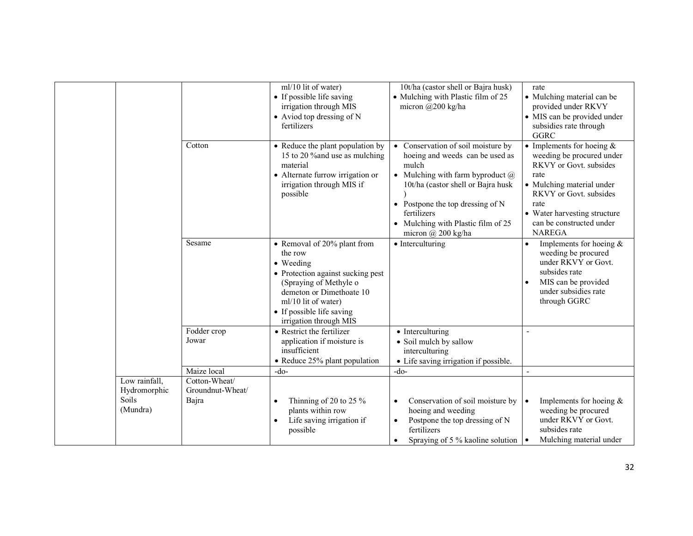|                                                    | Cotton<br>Sesame                           | ml/10 lit of water)<br>• If possible life saving<br>irrigation through MIS<br>• Aviod top dressing of N<br>fertilizers<br>• Reduce the plant population by<br>15 to 20 % and use as mulching<br>material<br>• Alternate furrow irrigation or<br>irrigation through MIS if<br>possible<br>• Removal of 20% plant from<br>the row<br>• Weeding<br>• Protection against sucking pest<br>(Spraying of Methyle o | 10t/ha (castor shell or Bajra husk)<br>• Mulching with Plastic film of 25<br>micron @200 kg/ha<br>• Conservation of soil moisture by<br>hoeing and weeds can be used as<br>mulch<br>• Mulching with farm byproduct $\omega$<br>10t/ha (castor shell or Bajra husk<br>• Postpone the top dressing of $N$<br>fertilizers<br>• Mulching with Plastic film of 25<br>micron $\omega$ 200 kg/ha<br>$\bullet$ Interculturing | rate<br>• Mulching material can be<br>provided under RKVY<br>• MIS can be provided under<br>subsidies rate through<br><b>GGRC</b><br>• Implements for hoeing $&$<br>weeding be procured under<br>RKVY or Govt. subsides<br>rate<br>• Mulching material under<br>RKVY or Govt. subsides<br>rate<br>• Water harvesting structure<br>can be constructed under<br><b>NAREGA</b><br>Implements for hoeing $&$<br>weeding be procured<br>under RKVY or Govt.<br>subsides rate<br>MIS can be provided |
|----------------------------------------------------|--------------------------------------------|-------------------------------------------------------------------------------------------------------------------------------------------------------------------------------------------------------------------------------------------------------------------------------------------------------------------------------------------------------------------------------------------------------------|-----------------------------------------------------------------------------------------------------------------------------------------------------------------------------------------------------------------------------------------------------------------------------------------------------------------------------------------------------------------------------------------------------------------------|------------------------------------------------------------------------------------------------------------------------------------------------------------------------------------------------------------------------------------------------------------------------------------------------------------------------------------------------------------------------------------------------------------------------------------------------------------------------------------------------|
|                                                    |                                            | demeton or Dimethoate 10<br>ml/10 lit of water)<br>• If possible life saving<br>irrigation through MIS                                                                                                                                                                                                                                                                                                      |                                                                                                                                                                                                                                                                                                                                                                                                                       | under subsidies rate<br>through GGRC                                                                                                                                                                                                                                                                                                                                                                                                                                                           |
|                                                    | Fodder crop<br>Jowar                       | • Restrict the fertilizer<br>application if moisture is<br>insufficient<br>• Reduce 25% plant population                                                                                                                                                                                                                                                                                                    | • Interculturing<br>• Soil mulch by sallow<br>interculturing<br>• Life saving irrigation if possible.                                                                                                                                                                                                                                                                                                                 |                                                                                                                                                                                                                                                                                                                                                                                                                                                                                                |
|                                                    | Maize local                                | $-do-$                                                                                                                                                                                                                                                                                                                                                                                                      | $-do-$                                                                                                                                                                                                                                                                                                                                                                                                                |                                                                                                                                                                                                                                                                                                                                                                                                                                                                                                |
| Low rainfall,<br>Hydromorphic<br>Soils<br>(Mundra) | Cotton-Wheat/<br>Groundnut-Wheat/<br>Bajra | Thinning of 20 to 25 $%$<br>$\bullet$<br>plants within row<br>Life saving irrigation if<br>$\bullet$<br>possible                                                                                                                                                                                                                                                                                            | Conservation of soil moisture by<br>$\bullet$<br>hoeing and weeding<br>Postpone the top dressing of N<br>$\bullet$<br>fertilizers                                                                                                                                                                                                                                                                                     | Implements for hoeing &<br>weeding be procured<br>under RKVY or Govt.<br>subsides rate                                                                                                                                                                                                                                                                                                                                                                                                         |
|                                                    |                                            |                                                                                                                                                                                                                                                                                                                                                                                                             | Spraying of 5 % kaoline solution                                                                                                                                                                                                                                                                                                                                                                                      | Mulching material under                                                                                                                                                                                                                                                                                                                                                                                                                                                                        |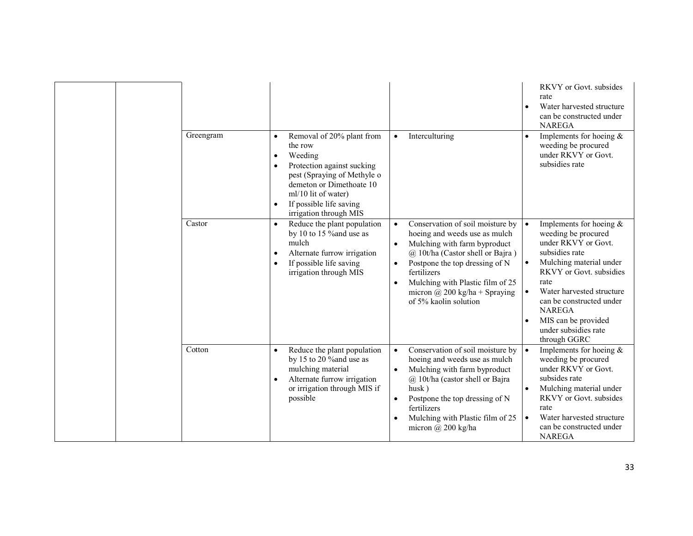|  |           |                                                                                                                                                                                                                                                             |                                                                                                                                                                                                                                                                                                   | RKVY or Govt. subsides<br>rate<br>Water harvested structure<br>can be constructed under<br><b>NAREGA</b>                                                                                                                                                                                         |
|--|-----------|-------------------------------------------------------------------------------------------------------------------------------------------------------------------------------------------------------------------------------------------------------------|---------------------------------------------------------------------------------------------------------------------------------------------------------------------------------------------------------------------------------------------------------------------------------------------------|--------------------------------------------------------------------------------------------------------------------------------------------------------------------------------------------------------------------------------------------------------------------------------------------------|
|  | Greengram | Removal of 20% plant from<br>$\bullet$<br>the row<br>Weeding<br>$\bullet$<br>Protection against sucking<br>$\bullet$<br>pest (Spraying of Methyle o<br>demeton or Dimethoate 10<br>ml/10 lit of water)<br>If possible life saving<br>irrigation through MIS | Interculturing<br>$\bullet$                                                                                                                                                                                                                                                                       | Implements for hoeing $&$<br>weeding be procured<br>under RKVY or Govt.<br>subsidies rate                                                                                                                                                                                                        |
|  | Castor    | Reduce the plant population<br>$\bullet$<br>by 10 to 15 % and use as<br>mulch<br>Alternate furrow irrigation<br>$\bullet$<br>If possible life saving<br>$\bullet$<br>irrigation through MIS                                                                 | Conservation of soil moisture by<br>$\bullet$<br>hoeing and weeds use as mulch<br>Mulching with farm byproduct<br>@ 10t/ha (Castor shell or Bajra)<br>Postpone the top dressing of N<br>fertilizers<br>Mulching with Plastic film of 25<br>micron @ 200 kg/ha + Spraying<br>of 5% kaolin solution | Implements for hoeing $&$<br>weeding be procured<br>under RKVY or Govt.<br>subsidies rate<br>Mulching material under<br>RKVY or Govt. subsidies<br>rate<br>Water harvested structure<br>can be constructed under<br><b>NAREGA</b><br>MIS can be provided<br>under subsidies rate<br>through GGRC |
|  | Cotton    | Reduce the plant population<br>$\bullet$<br>by 15 to 20 % and use as<br>mulching material<br>Alternate furrow irrigation<br>or irrigation through MIS if<br>possible                                                                                        | Conservation of soil moisture by<br>$\bullet$<br>hoeing and weeds use as mulch<br>Mulching with farm byproduct<br>@ 10t/ha (castor shell or Bajra<br>$husk$ )<br>Postpone the top dressing of N<br>fertilizers<br>Mulching with Plastic film of 25<br>micron $(a)$ 200 kg/ha                      | Implements for hoeing $&$<br>weeding be procured<br>under RKVY or Govt.<br>subsides rate<br>Mulching material under<br><b>RKVY</b> or Govt. subsides<br>rate<br>Water harvested structure<br>can be constructed under<br><b>NAREGA</b>                                                           |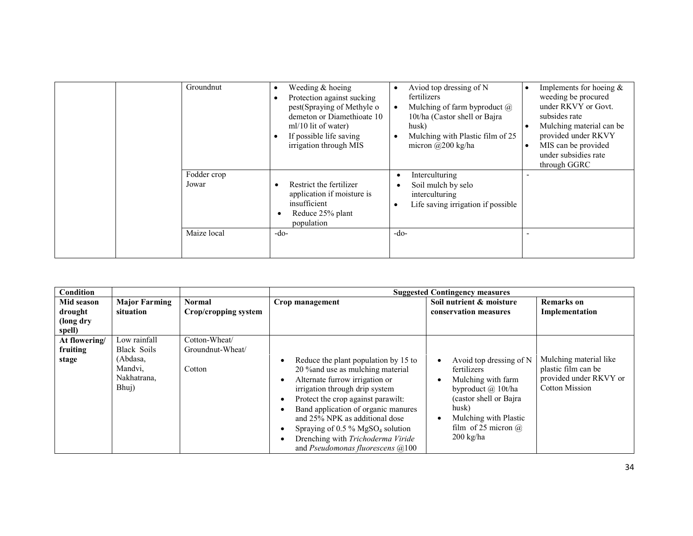| Groundnut            | Weeding $&$ hoeing<br>$\bullet$<br>Protection against sucking<br>pest(Spraying of Methyle o<br>demeton or Diamethioate 10<br>ml/10 lit of water)<br>If possible life saving<br>irrigation through MIS | Aviod top dressing of N<br>fertilizers<br>Mulching of farm byproduct $\omega$<br>$\bullet$<br>10t/ha (Castor shell or Bajra<br>husk)<br>Mulching with Plastic film of 25<br>micron $\omega$ 200 kg/ha | Implements for hoeing $\&$<br>weeding be procured<br>under RKVY or Govt.<br>subsides rate<br>Mulching material can be<br>provided under RKVY<br>MIS can be provided<br>under subsidies rate<br>through GGRC |
|----------------------|-------------------------------------------------------------------------------------------------------------------------------------------------------------------------------------------------------|-------------------------------------------------------------------------------------------------------------------------------------------------------------------------------------------------------|-------------------------------------------------------------------------------------------------------------------------------------------------------------------------------------------------------------|
| Fodder crop<br>Jowar | Restrict the fertilizer<br>application if moisture is<br>insufficient<br>Reduce 25% plant<br>population                                                                                               | Interculturing<br>c<br>Soil mulch by selo<br>$\bullet$<br>interculturing<br>Life saving irrigation if possible                                                                                        |                                                                                                                                                                                                             |
| Maize local          | $-do-$                                                                                                                                                                                                | $-do-$                                                                                                                                                                                                |                                                                                                                                                                                                             |

| <b>Condition</b>                                    |                                                                            |                                             |                                                                                                                                                                                                                                                                                                                                                                                                                                                        | <b>Suggested Contingency measures</b>                                                                                                                                                                |                                                                                                  |
|-----------------------------------------------------|----------------------------------------------------------------------------|---------------------------------------------|--------------------------------------------------------------------------------------------------------------------------------------------------------------------------------------------------------------------------------------------------------------------------------------------------------------------------------------------------------------------------------------------------------------------------------------------------------|------------------------------------------------------------------------------------------------------------------------------------------------------------------------------------------------------|--------------------------------------------------------------------------------------------------|
| <b>Mid season</b><br>drought<br>(long dry<br>spell) | <b>Major Farming</b><br>situation                                          | <b>Normal</b><br>Crop/cropping system       | Crop management                                                                                                                                                                                                                                                                                                                                                                                                                                        | Soil nutrient & moisture<br>conservation measures                                                                                                                                                    | <b>Remarks</b> on<br>Implementation                                                              |
| At flowering/<br>fruiting<br>stage                  | Low rainfall<br>Black Soils<br>(Abdasa,<br>Mandvi.<br>Nakhatrana,<br>Bhuj) | Cotton-Wheat/<br>Groundnut-Wheat/<br>Cotton | Reduce the plant population by 15 to<br>$\bullet$<br>20 % and use as mulching material<br>Alternate furrow irrigation or<br>$\bullet$<br>irrigation through drip system<br>Protect the crop against parawilt:<br>$\bullet$<br>Band application of organic manures<br>$\bullet$<br>and 25% NPK as additional dose<br>Spraying of 0.5 % $MgSO4$ solution<br>٠<br>Drenching with Trichoderma Viride<br>$\bullet$<br>and Pseudomonas fluorescens $(a)$ 100 | Avoid top dressing of N<br>fertilizers<br>Mulching with farm<br>byproduct @ 10t/ha<br>(castor shell or Bajra)<br>husk)<br>Mulching with Plastic<br>film of 25 micron $\omega$<br>$200 \text{ kg/ha}$ | Mulching material like<br>plastic film can be<br>provided under RKVY or<br><b>Cotton Mission</b> |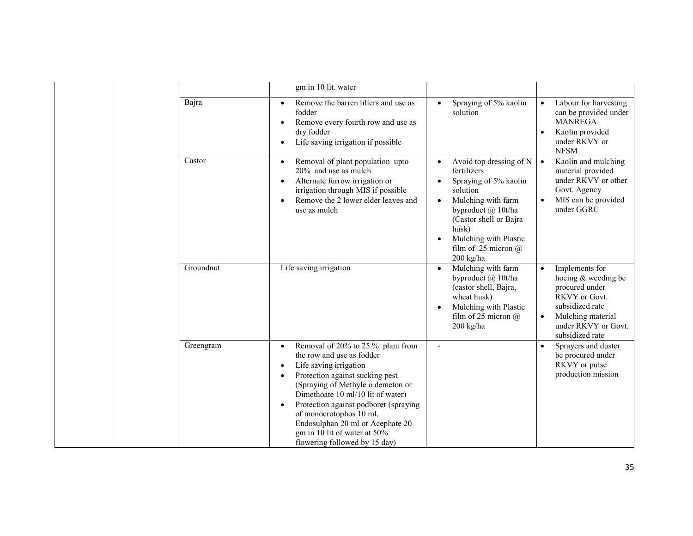|           | gm in 10 lit. water                                                                                                                                                                                                                                                                                                                                                                                                        |                                                                                                                                                                                                                                                                |                                                                                                                                                                                      |
|-----------|----------------------------------------------------------------------------------------------------------------------------------------------------------------------------------------------------------------------------------------------------------------------------------------------------------------------------------------------------------------------------------------------------------------------------|----------------------------------------------------------------------------------------------------------------------------------------------------------------------------------------------------------------------------------------------------------------|--------------------------------------------------------------------------------------------------------------------------------------------------------------------------------------|
| Bajra     | Remove the barren tillers and use as<br>$\bullet$<br>fodder<br>Remove every fourth row and use as<br>$\bullet$<br>dry fodder<br>Life saving irrigation if possible<br>$\bullet$                                                                                                                                                                                                                                            | Spraying of 5% kaolin<br>solution                                                                                                                                                                                                                              | Labour for harvesting<br>$\bullet$<br>can be provided under<br><b>MANREGA</b><br>Kaolin provided<br>$\bullet$<br>under RKVY or<br><b>NFSM</b>                                        |
| Castor    | Removal of plant population upto<br>$\bullet$<br>20% and use as mulch<br>Alternate furrow irrigation or<br>$\bullet$<br>irrigation through MIS if possible<br>Remove the 2 lower elder leaves and<br>٠<br>use as mulch                                                                                                                                                                                                     | Avoid top dressing of N<br>٠<br>fertilizers<br>Spraying of 5% kaolin<br>solution<br>Mulching with farm<br>$\bullet$<br>byproduct @ 10t/ha<br>(Castor shell or Bajra)<br>husk)<br>Mulching with Plastic<br>$\bullet$<br>film of 25 micron $\omega$<br>200 kg/ha | Kaolin and mulching<br>$\bullet$<br>material provided<br>under RKVY or other<br>Govt. Agency<br>MIS can be provided<br>under GGRC                                                    |
| Groundnut | Life saving irrigation                                                                                                                                                                                                                                                                                                                                                                                                     | Mulching with farm<br>$\bullet$<br>byproduct @ 10t/ha<br>(castor shell, Bajra,<br>wheat husk)<br>Mulching with Plastic<br>$\bullet$<br>film of 25 micron $(a)$<br>200 kg/ha                                                                                    | Implements for<br>$\bullet$<br>hoeing & weeding be<br>procured under<br>RKVY or Govt.<br>subsidized rate<br>Mulching material<br>$\bullet$<br>under RKVY or Govt.<br>subsidized rate |
| Greengram | Removal of 20% to 25 % plant from<br>$\bullet$<br>the row and use as fodder<br>Life saving irrigation<br>$\bullet$<br>Protection against sucking pest<br>$\bullet$<br>(Spraying of Methyle o demeton or<br>Dimethoate 10 ml/10 lit of water)<br>Protection against podborer (spraying<br>٠<br>of monocrotophos 10 ml,<br>Endosulphan 20 ml or Acephate 20<br>gm in 10 lit of water at 50%<br>flowering followed by 15 day) |                                                                                                                                                                                                                                                                | Sprayers and duster<br>be procured under<br>RKVY or pulse<br>production mission                                                                                                      |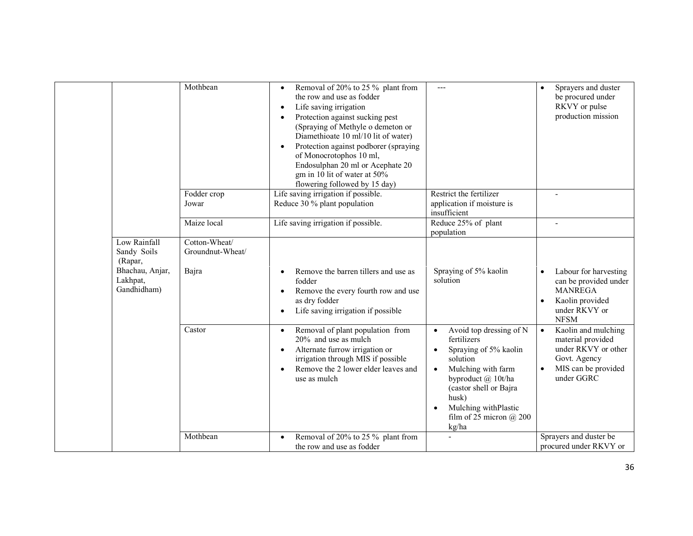|                                                                                      | Mothbean                                   | Removal of 20% to 25 % plant from<br>$\bullet$<br>the row and use as fodder<br>Life saving irrigation<br>$\bullet$<br>Protection against sucking pest<br>$\bullet$<br>(Spraying of Methyle o demeton or<br>Diamethioate 10 ml/10 lit of water)<br>Protection against podborer (spraying<br>of Monocrotophos 10 ml,<br>Endosulphan 20 ml or Acephate 20<br>gm in 10 lit of water at 50%<br>flowering followed by 15 day) | $---$                                                                                                                                                                                                                                                  | Sprayers and duster<br>$\bullet$<br>be procured under<br>RKVY or pulse<br>production mission                                     |
|--------------------------------------------------------------------------------------|--------------------------------------------|-------------------------------------------------------------------------------------------------------------------------------------------------------------------------------------------------------------------------------------------------------------------------------------------------------------------------------------------------------------------------------------------------------------------------|--------------------------------------------------------------------------------------------------------------------------------------------------------------------------------------------------------------------------------------------------------|----------------------------------------------------------------------------------------------------------------------------------|
|                                                                                      | Fodder crop<br>Jowar                       | Life saving irrigation if possible.<br>Reduce 30 % plant population                                                                                                                                                                                                                                                                                                                                                     | Restrict the fertilizer<br>application if moisture is<br>insufficient                                                                                                                                                                                  |                                                                                                                                  |
|                                                                                      | Maize local                                | Life saving irrigation if possible.                                                                                                                                                                                                                                                                                                                                                                                     | Reduce 25% of plant<br>population                                                                                                                                                                                                                      |                                                                                                                                  |
| Low Rainfall<br>Sandy Soils<br>(Rapar,<br>Bhachau, Anjar,<br>Lakhpat,<br>Gandhidham) | Cotton-Wheat/<br>Groundnut-Wheat/<br>Bajra | Remove the barren tillers and use as<br>fodder<br>Remove the every fourth row and use<br>as dry fodder<br>Life saving irrigation if possible                                                                                                                                                                                                                                                                            | Spraying of 5% kaolin<br>solution                                                                                                                                                                                                                      | Labour for harvesting<br>can be provided under<br><b>MANREGA</b><br>Kaolin provided<br>$\bullet$<br>under RKVY or<br><b>NFSM</b> |
|                                                                                      | Castor                                     | Removal of plant population from<br>$\bullet$<br>20% and use as mulch<br>Alternate furrow irrigation or<br>$\bullet$<br>irrigation through MIS if possible<br>Remove the 2 lower elder leaves and<br>use as mulch                                                                                                                                                                                                       | Avoid top dressing of N<br>$\bullet$<br>fertilizers<br>Spraying of 5% kaolin<br>solution<br>Mulching with farm<br>$\bullet$<br>byproduct @ 10t/ha<br>(castor shell or Bajra<br>husk)<br>Mulching withPlastic<br>film of $25$ micron $@$ $200$<br>kg/ha | Kaolin and mulching<br>material provided<br>under RKVY or other<br>Govt. Agency<br>MIS can be provided<br>under GGRC             |
|                                                                                      | Mothbean                                   | Removal of 20% to 25 % plant from<br>$\bullet$<br>the row and use as fodder                                                                                                                                                                                                                                                                                                                                             |                                                                                                                                                                                                                                                        | Sprayers and duster be<br>procured under RKVY or                                                                                 |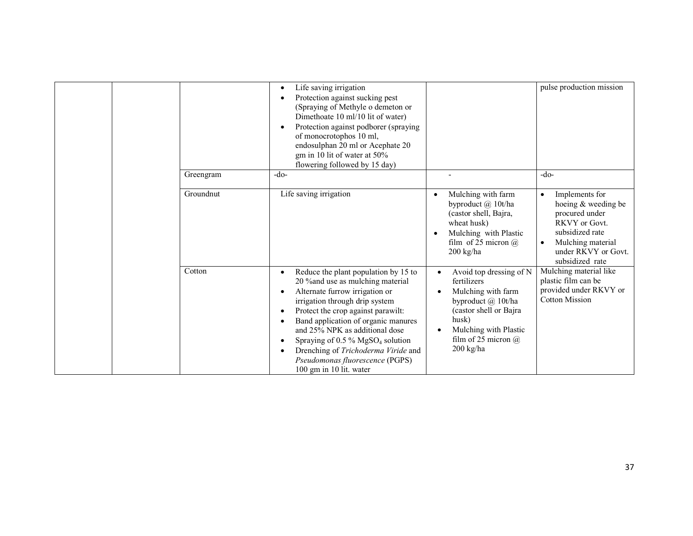|           | Life saving irrigation<br>$\bullet$<br>Protection against sucking pest<br>$\bullet$<br>(Spraying of Methyle o demeton or<br>Dimethoate 10 ml/10 lit of water)<br>Protection against podborer (spraying<br>$\bullet$<br>of monocrotophos 10 ml,<br>endosulphan 20 ml or Acephate 20<br>gm in 10 lit of water at 50%<br>flowering followed by 15 day)                                                                                                          |                                                                                                                                                                                            | pulse production mission                                                                                                                                                             |
|-----------|--------------------------------------------------------------------------------------------------------------------------------------------------------------------------------------------------------------------------------------------------------------------------------------------------------------------------------------------------------------------------------------------------------------------------------------------------------------|--------------------------------------------------------------------------------------------------------------------------------------------------------------------------------------------|--------------------------------------------------------------------------------------------------------------------------------------------------------------------------------------|
| Greengram | $-do-$                                                                                                                                                                                                                                                                                                                                                                                                                                                       |                                                                                                                                                                                            | -do-                                                                                                                                                                                 |
| Groundnut | Life saving irrigation                                                                                                                                                                                                                                                                                                                                                                                                                                       | Mulching with farm<br>byproduct @ 10t/ha<br>(castor shell, Bajra,<br>wheat husk)<br>Mulching with Plastic<br>film of 25 micron $\omega$<br>$200$ kg/ha                                     | Implements for<br>$\bullet$<br>hoeing & weeding be<br>procured under<br>RKVY or Govt.<br>subsidized rate<br>Mulching material<br>$\bullet$<br>under RKVY or Govt.<br>subsidized rate |
| Cotton    | Reduce the plant population by 15 to<br>$\bullet$<br>20 % and use as mulching material<br>Alternate furrow irrigation or<br>$\bullet$<br>irrigation through drip system<br>Protect the crop against parawilt:<br>٠<br>Band application of organic manures<br>٠<br>and 25% NPK as additional dose<br>Spraying of $0.5\%$ MgSO <sub>4</sub> solution<br>٠<br>Drenching of Trichoderma Viride and<br>Pseudomonas fluorescence (PGPS)<br>100 gm in 10 lit. water | Avoid top dressing of N<br>fertilizers<br>Mulching with farm<br>byproduct @ 10t/ha<br>(castor shell or Bajra)<br>husk)<br>Mulching with Plastic<br>film of 25 micron $\omega$<br>200 kg/ha | Mulching material like<br>plastic film can be<br>provided under RKVY or<br><b>Cotton Mission</b>                                                                                     |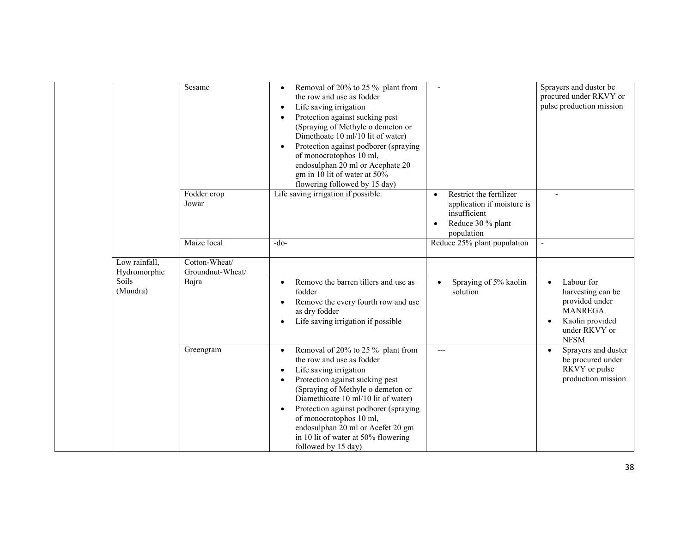|                                                    | Sesame                                     | Removal of 20% to 25 % plant from<br>$\bullet$<br>the row and use as fodder<br>Life saving irrigation<br>$\bullet$<br>Protection against sucking pest<br>$\bullet$<br>(Spraying of Methyle o demeton or<br>Dimethoate 10 ml/10 lit of water)<br>Protection against podborer (spraying<br>$\bullet$<br>of monocrotophos 10 ml,<br>endosulphan 20 ml or Acephate 20<br>gm in 10 lit of water at 50%<br>flowering followed by 15 day) |                                                                                                          | Sprayers and duster be<br>procured under RKVY or<br>pulse production mission                                                        |
|----------------------------------------------------|--------------------------------------------|------------------------------------------------------------------------------------------------------------------------------------------------------------------------------------------------------------------------------------------------------------------------------------------------------------------------------------------------------------------------------------------------------------------------------------|----------------------------------------------------------------------------------------------------------|-------------------------------------------------------------------------------------------------------------------------------------|
|                                                    | Fodder crop<br>Jowar                       | Life saving irrigation if possible.                                                                                                                                                                                                                                                                                                                                                                                                | Restrict the fertilizer<br>application if moisture is<br>insufficient<br>Reduce 30 % plant<br>population |                                                                                                                                     |
|                                                    | Maize local                                | $-do-$                                                                                                                                                                                                                                                                                                                                                                                                                             | Reduce 25% plant population                                                                              |                                                                                                                                     |
| Low rainfall,<br>Hydromorphic<br>Soils<br>(Mundra) | Cotton-Wheat/<br>Groundnut-Wheat/<br>Bajra | Remove the barren tillers and use as<br>fodder<br>Remove the every fourth row and use<br>as dry fodder<br>Life saving irrigation if possible                                                                                                                                                                                                                                                                                       | Spraying of 5% kaolin<br>solution                                                                        | Labour for<br>harvesting can be<br>provided under<br><b>MANREGA</b><br>Kaolin provided<br>$\bullet$<br>under RKVY or<br><b>NFSM</b> |
|                                                    | Greengram                                  | Removal of 20% to 25 % plant from<br>$\bullet$<br>the row and use as fodder<br>Life saving irrigation<br>$\bullet$<br>Protection against sucking pest<br>$\bullet$<br>(Spraying of Methyle o demeton or<br>Diamethioate 10 ml/10 lit of water)<br>Protection against podborer (spraying<br>$\bullet$<br>of monocrotophos 10 ml,<br>endosulphan 20 ml or Acefet 20 gm<br>in 10 lit of water at 50% flowering<br>followed by 15 day) | $---$                                                                                                    | Sprayers and duster<br>be procured under<br>RKVY or pulse<br>production mission                                                     |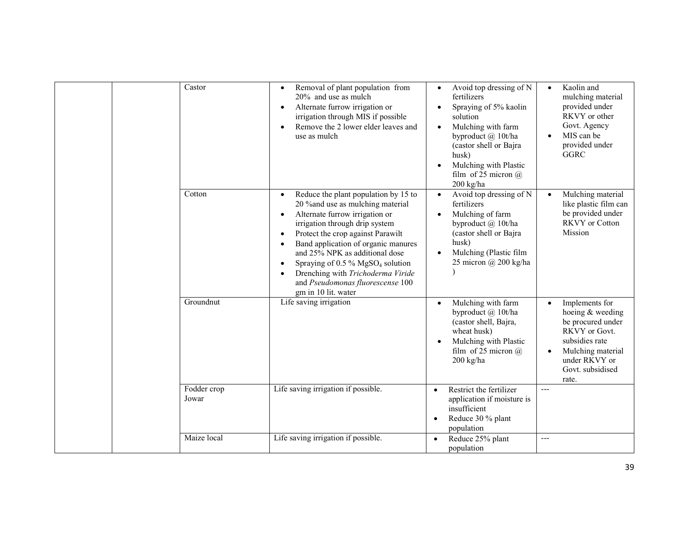|  | Castor               | Removal of plant population from<br>$\bullet$<br>20% and use as mulch<br>Alternate furrow irrigation or<br>$\bullet$<br>irrigation through MIS if possible<br>Remove the 2 lower elder leaves and<br>$\bullet$<br>use as mulch                                                                                                                                                                                                                                  | Avoid top dressing of N<br>$\bullet$<br>fertilizers<br>Spraying of 5% kaolin<br>solution<br>Mulching with farm<br>$\bullet$<br>byproduct @ 10t/ha<br>(castor shell or Bajra<br>husk)<br>Mulching with Plastic<br>$\bullet$<br>film of 25 micron $(a)$<br>200 kg/ha | Kaolin and<br>$\bullet$<br>mulching material<br>provided under<br>RKVY or other<br>Govt. Agency<br>MIS can be<br>provided under<br><b>GGRC</b>                |
|--|----------------------|-----------------------------------------------------------------------------------------------------------------------------------------------------------------------------------------------------------------------------------------------------------------------------------------------------------------------------------------------------------------------------------------------------------------------------------------------------------------|--------------------------------------------------------------------------------------------------------------------------------------------------------------------------------------------------------------------------------------------------------------------|---------------------------------------------------------------------------------------------------------------------------------------------------------------|
|  | Cotton               | Reduce the plant population by 15 to<br>$\bullet$<br>20 % and use as mulching material<br>Alternate furrow irrigation or<br>$\bullet$<br>irrigation through drip system<br>Protect the crop against Parawilt<br>$\bullet$<br>Band application of organic manures<br>and 25% NPK as additional dose<br>Spraying of 0.5 % MgSO <sub>4</sub> solution<br>$\bullet$<br>Drenching with Trichoderma Viride<br>and Pseudomonas fluorescense 100<br>gm in 10 lit. water | Avoid top dressing of N<br>$\bullet$<br>fertilizers<br>Mulching of farm<br>$\bullet$<br>byproduct @ 10t/ha<br>(castor shell or Bajra<br>husk)<br>Mulching (Plastic film<br>$\bullet$<br>25 micron @ 200 kg/ha                                                      | Mulching material<br>like plastic film can<br>be provided under<br><b>RKVY</b> or Cotton<br>Mission                                                           |
|  | Groundnut            | Life saving irrigation                                                                                                                                                                                                                                                                                                                                                                                                                                          | Mulching with farm<br>$\bullet$<br>byproduct @ 10t/ha<br>(castor shell, Bajra,<br>wheat husk)<br>Mulching with Plastic<br>$\bullet$<br>film of 25 micron $(a)$<br>$200 \text{ kg/ha}$                                                                              | Implements for<br>hoeing & weeding<br>be procured under<br>RKVY or Govt.<br>subsidies rate<br>Mulching material<br>under RKVY or<br>Govt. subsidised<br>rate. |
|  | Fodder crop<br>Jowar | Life saving irrigation if possible.                                                                                                                                                                                                                                                                                                                                                                                                                             | Restrict the fertilizer<br>$\bullet$<br>application if moisture is<br>insufficient<br>Reduce 30 % plant<br>population                                                                                                                                              | $---$                                                                                                                                                         |
|  | Maize local          | Life saving irrigation if possible.                                                                                                                                                                                                                                                                                                                                                                                                                             | Reduce 25% plant<br>population                                                                                                                                                                                                                                     | ---                                                                                                                                                           |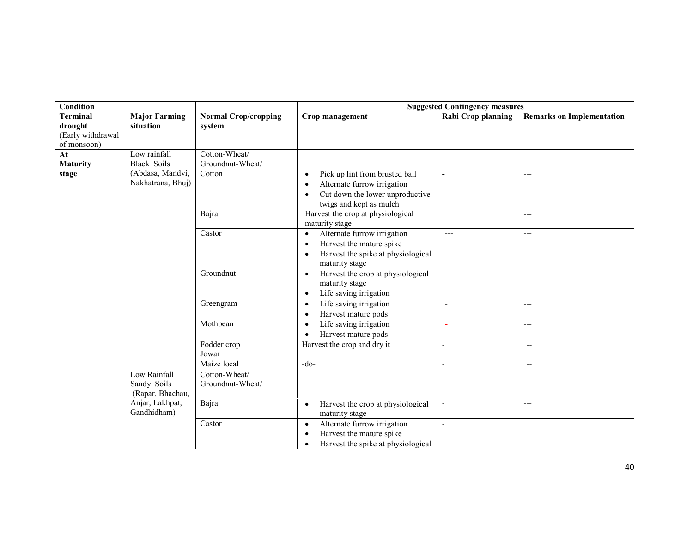| <b>Condition</b>      |                      |                             | <b>Suggested Contingency measures</b>                           |                          |                                  |  |  |
|-----------------------|----------------------|-----------------------------|-----------------------------------------------------------------|--------------------------|----------------------------------|--|--|
| <b>Terminal</b>       | <b>Major Farming</b> | <b>Normal Crop/cropping</b> | Crop management                                                 | Rabi Crop planning       | <b>Remarks on Implementation</b> |  |  |
| drought               | situation            | system                      |                                                                 |                          |                                  |  |  |
| (Early withdrawal     |                      |                             |                                                                 |                          |                                  |  |  |
| of monsoon)           | Low rainfall         | Cotton-Wheat/               |                                                                 |                          |                                  |  |  |
| At<br><b>Maturity</b> | <b>Black Soils</b>   | Groundnut-Wheat/            |                                                                 |                          |                                  |  |  |
| stage                 | (Abdasa, Mandvi,     | Cotton                      | Pick up lint from brusted ball<br>$\bullet$                     |                          | ---                              |  |  |
|                       | Nakhatrana, Bhuj)    |                             | Alternate furrow irrigation<br>$\bullet$                        |                          |                                  |  |  |
|                       |                      |                             | Cut down the lower unproductive<br>$\bullet$                    |                          |                                  |  |  |
|                       |                      |                             | twigs and kept as mulch                                         |                          |                                  |  |  |
|                       |                      | Bajra                       | Harvest the crop at physiological                               |                          | $---$                            |  |  |
|                       |                      |                             | maturity stage                                                  |                          |                                  |  |  |
|                       |                      | Castor                      | Alternate furrow irrigation<br>$\bullet$                        | $---$                    | $---$                            |  |  |
|                       |                      |                             | Harvest the mature spike<br>$\bullet$                           |                          |                                  |  |  |
|                       |                      |                             | Harvest the spike at physiological<br>$\bullet$                 |                          |                                  |  |  |
|                       |                      |                             | maturity stage                                                  |                          |                                  |  |  |
|                       |                      | Groundnut                   | Harvest the crop at physiological<br>$\bullet$                  |                          | ---                              |  |  |
|                       |                      |                             | maturity stage                                                  |                          |                                  |  |  |
|                       |                      |                             | Life saving irrigation<br>$\bullet$                             |                          |                                  |  |  |
|                       |                      | Greengram                   | Life saving irrigation<br>$\bullet$                             | $\overline{\phantom{a}}$ | $---$                            |  |  |
|                       |                      | Mothbean                    | Harvest mature pods<br>$\bullet$                                |                          |                                  |  |  |
|                       |                      |                             | Life saving irrigation<br>$\bullet$                             | $\overline{\phantom{a}}$ | $---$                            |  |  |
|                       |                      | Fodder crop                 | Harvest mature pods<br>$\bullet$<br>Harvest the crop and dry it |                          |                                  |  |  |
|                       |                      | Jowar                       |                                                                 | $\blacksquare$           | $\overline{\phantom{a}}$         |  |  |
|                       |                      | Maize local                 | $-do-$                                                          | $\overline{\phantom{0}}$ | $\overline{\phantom{a}}$         |  |  |
|                       | Low Rainfall         | Cotton-Wheat/               |                                                                 |                          |                                  |  |  |
|                       | Sandy Soils          | Groundnut-Wheat/            |                                                                 |                          |                                  |  |  |
|                       | (Rapar, Bhachau,     |                             |                                                                 |                          |                                  |  |  |
|                       | Anjar, Lakhpat,      | Bajra                       | Harvest the crop at physiological<br>$\bullet$                  | $\overline{\phantom{a}}$ | ---                              |  |  |
|                       | Gandhidham)          |                             | maturity stage                                                  |                          |                                  |  |  |
|                       |                      | Castor                      | Alternate furrow irrigation<br>$\bullet$                        | $\overline{a}$           |                                  |  |  |
|                       |                      |                             | Harvest the mature spike<br>$\bullet$                           |                          |                                  |  |  |
|                       |                      |                             | Harvest the spike at physiological<br>$\bullet$                 |                          |                                  |  |  |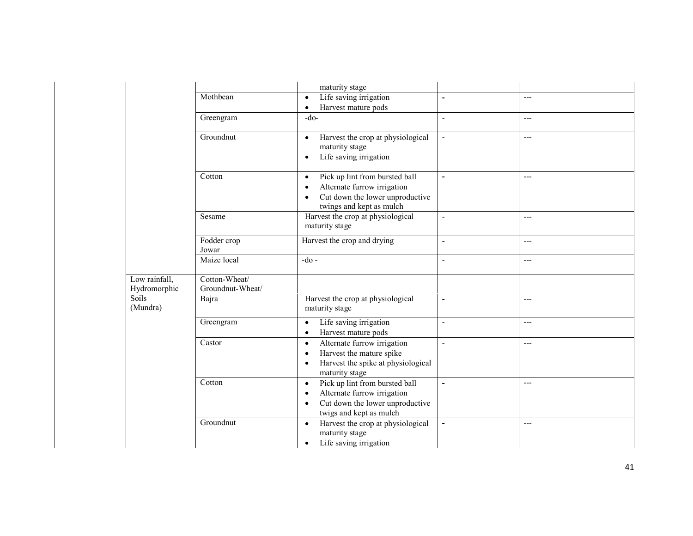|                                                    |                                            | maturity stage                                                                                                                                                     |                          |       |
|----------------------------------------------------|--------------------------------------------|--------------------------------------------------------------------------------------------------------------------------------------------------------------------|--------------------------|-------|
|                                                    | Mothbean                                   | Life saving irrigation<br>$\bullet$                                                                                                                                | $\overline{\phantom{0}}$ | $---$ |
|                                                    |                                            | Harvest mature pods<br>$\bullet$                                                                                                                                   |                          |       |
|                                                    | Greengram                                  | $-do-$                                                                                                                                                             | $\overline{a}$           | $---$ |
|                                                    | Groundnut                                  | Harvest the crop at physiological<br>$\bullet$<br>maturity stage<br>Life saving irrigation<br>$\bullet$                                                            | $\overline{a}$           | $---$ |
|                                                    | Cotton                                     | Pick up lint from bursted ball<br>$\bullet$<br>Alternate furrow irrigation<br>$\bullet$<br>Cut down the lower unproductive<br>twings and kept as mulch             | $\overline{a}$           | $---$ |
|                                                    | Sesame                                     | Harvest the crop at physiological<br>maturity stage                                                                                                                | $\blacksquare$           | $---$ |
|                                                    | Fodder crop<br>Jowar                       | Harvest the crop and drying                                                                                                                                        | $\overline{\phantom{0}}$ | $---$ |
|                                                    | Maize local                                | $-do -$                                                                                                                                                            | $\overline{a}$           | $---$ |
| Low rainfall,<br>Hydromorphic<br>Soils<br>(Mundra) | Cotton-Wheat/<br>Groundnut-Wheat/<br>Bajra | Harvest the crop at physiological<br>maturity stage                                                                                                                | ۰                        | $---$ |
|                                                    | Greengram                                  | Life saving irrigation<br>$\bullet$<br>Harvest mature pods<br>$\bullet$                                                                                            | $\blacksquare$           | $---$ |
|                                                    | Castor                                     | Alternate furrow irrigation<br>$\bullet$<br>Harvest the mature spike<br>$\bullet$<br>Harvest the spike at physiological<br>$\bullet$<br>maturity stage             | ÷,                       | $---$ |
|                                                    | Cotton                                     | Pick up lint from bursted ball<br>$\bullet$<br>Alternate furrow irrigation<br>$\bullet$<br>Cut down the lower unproductive<br>$\bullet$<br>twigs and kept as mulch | $\overline{\phantom{0}}$ | $---$ |
|                                                    | Groundnut                                  | Harvest the crop at physiological<br>$\bullet$<br>maturity stage<br>Life saving irrigation<br>$\bullet$                                                            | ä,                       | $---$ |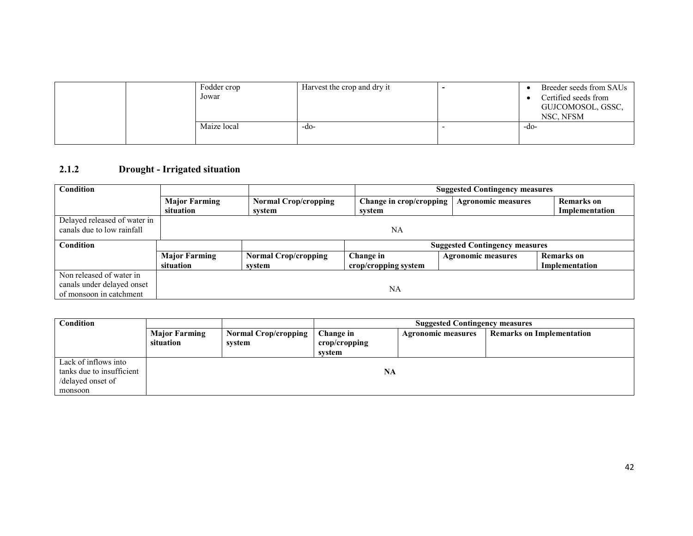|  | Fodder crop<br>Jowar | Harvest the crop and dry it | Breeder seeds from SAUs<br>Certified seeds from<br>GUJCOMOSOL, GSSC,<br>NSC, NFSM |      |
|--|----------------------|-----------------------------|-----------------------------------------------------------------------------------|------|
|  |                      | Maize local                 | -do-                                                                              | -do- |

## 2.1.2 Drought - Irrigated situation

| Condition                    |                      |                             | <b>Suggested Contingency measures</b> |                           |                   |  |
|------------------------------|----------------------|-----------------------------|---------------------------------------|---------------------------|-------------------|--|
|                              | <b>Major Farming</b> | <b>Normal Crop/cropping</b> | Change in crop/cropping               | <b>Agronomic measures</b> | <b>Remarks</b> on |  |
|                              | situation            | system                      | system                                |                           | Implementation    |  |
| Delayed released of water in |                      |                             |                                       |                           |                   |  |
| canals due to low rainfall   | NA                   |                             |                                       |                           |                   |  |
| Condition                    |                      |                             | <b>Suggested Contingency measures</b> |                           |                   |  |
|                              | <b>Major Farming</b> | <b>Normal Crop/cropping</b> | Change in                             | <b>Agronomic measures</b> | Remarks on        |  |
|                              | situation            | svstem                      | crop/cropping system                  |                           | Implementation    |  |
| Non released of water in     |                      |                             |                                       |                           |                   |  |
| canals under delayed onset   |                      |                             | NA                                    |                           |                   |  |
| of monsoon in catchment      |                      |                             |                                       |                           |                   |  |

| Condition                                                                         |                                   |                                       |                                      | <b>Suggested Contingency measures</b> |                                  |  |  |  |
|-----------------------------------------------------------------------------------|-----------------------------------|---------------------------------------|--------------------------------------|---------------------------------------|----------------------------------|--|--|--|
|                                                                                   | <b>Major Farming</b><br>situation | <b>Normal Crop/cropping</b><br>system | Change in<br>crop/cropping<br>svstem | <b>Agronomic measures</b>             | <b>Remarks on Implementation</b> |  |  |  |
| Lack of inflows into<br>tanks due to insufficient<br>/delayed onset of<br>monsoon |                                   |                                       | NA                                   |                                       |                                  |  |  |  |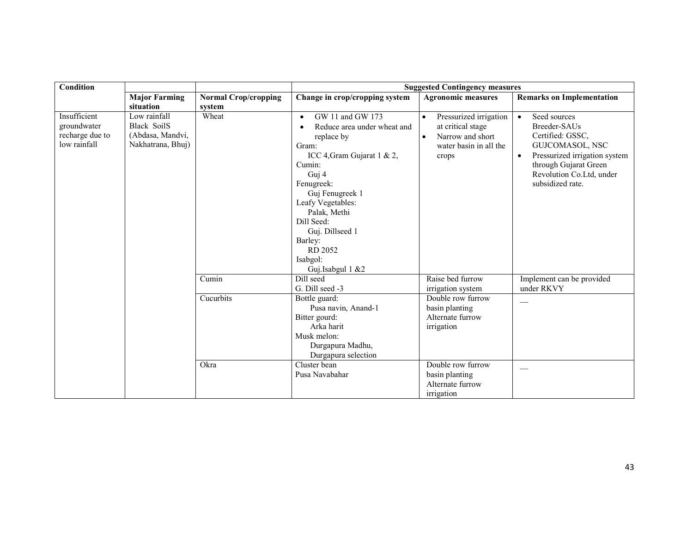| <b>Condition</b>                                               |                                                                             | <b>Suggested Contingency measures</b> |                                                                                                                                                                                                                                                                                                   |                                                                                                                              |                                                                                                                                                                                                         |  |
|----------------------------------------------------------------|-----------------------------------------------------------------------------|---------------------------------------|---------------------------------------------------------------------------------------------------------------------------------------------------------------------------------------------------------------------------------------------------------------------------------------------------|------------------------------------------------------------------------------------------------------------------------------|---------------------------------------------------------------------------------------------------------------------------------------------------------------------------------------------------------|--|
|                                                                | <b>Major Farming</b>                                                        | <b>Normal Crop/cropping</b>           | Change in crop/cropping system                                                                                                                                                                                                                                                                    | <b>Agronomic measures</b>                                                                                                    | <b>Remarks on Implementation</b>                                                                                                                                                                        |  |
|                                                                | situation                                                                   | system                                |                                                                                                                                                                                                                                                                                                   |                                                                                                                              |                                                                                                                                                                                                         |  |
| Insufficient<br>groundwater<br>recharge due to<br>low rainfall | Low rainfall<br><b>Black SoilS</b><br>(Abdasa, Mandvi,<br>Nakhatrana, Bhuj) | Wheat                                 | GW 11 and GW 173<br>$\bullet$<br>Reduce area under wheat and<br>replace by<br>Gram:<br>ICC 4, Gram Gujarat 1 & 2,<br>Cumin:<br>Guj 4<br>Fenugreek:<br>Guj Fenugreek 1<br>Leafy Vegetables:<br>Palak, Methi<br>Dill Seed:<br>Guj. Dillseed 1<br>Barley:<br>RD 2052<br>Isabgol:<br>Guj.Isabgul 1 &2 | Pressurized irrigation<br>$\bullet$<br>at critical stage<br>Narrow and short<br>$\bullet$<br>water basin in all the<br>crops | Seed sources<br>$\bullet$<br>Breeder-SAUs<br>Certified: GSSC,<br>GUJCOMASOL, NSC<br>Pressurized irrigation system<br>$\bullet$<br>through Gujarat Green<br>Revolution Co.Ltd, under<br>subsidized rate. |  |
|                                                                |                                                                             | Cumin                                 | Dill seed<br>G. Dill seed -3                                                                                                                                                                                                                                                                      | Raise bed furrow<br>irrigation system                                                                                        | Implement can be provided<br>under RKVY                                                                                                                                                                 |  |
|                                                                |                                                                             | Cucurbits                             | Bottle guard:<br>Pusa navin, Anand-1<br>Bitter gourd:<br>Arka harit<br>Musk melon:<br>Durgapura Madhu,<br>Durgapura selection                                                                                                                                                                     | Double row furrow<br>basin planting<br>Alternate furrow<br>irrigation                                                        |                                                                                                                                                                                                         |  |
|                                                                |                                                                             | Okra                                  | Cluster bean<br>Pusa Navabahar                                                                                                                                                                                                                                                                    | Double row furrow<br>basin planting<br>Alternate furrow<br>irrigation                                                        |                                                                                                                                                                                                         |  |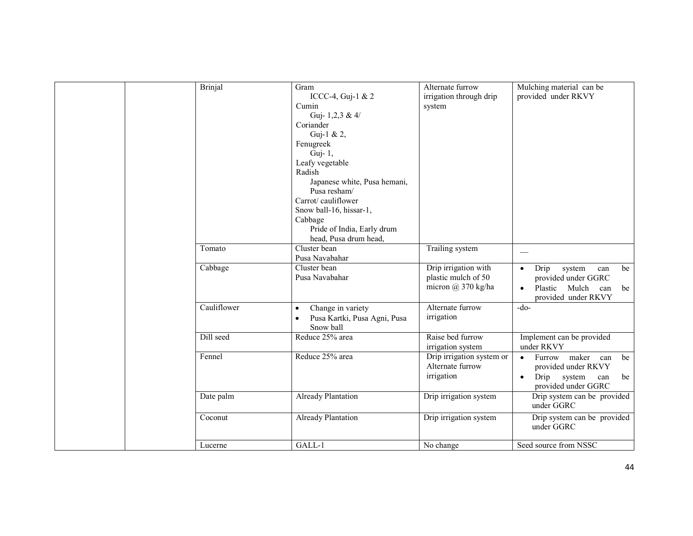| <b>Brinjal</b> | Gram<br>ICCC-4, Guj-1 & 2<br>Cumin<br>Guj-1,2,3 & 4/<br>Coriander<br>Guj-1 & 2,<br>Fenugreek<br>Guj-1,<br>Leafy vegetable<br>Radish<br>Japanese white, Pusa hemani,<br>Pusa resham/<br>Carrot/cauliflower<br>Snow ball-16, hissar-1,<br>Cabbage<br>Pride of India, Early drum<br>head, Pusa drum head, | Alternate furrow<br>irrigation through drip<br>system                 | Mulching material can be<br>provided under RKVY                                                                                      |
|----------------|--------------------------------------------------------------------------------------------------------------------------------------------------------------------------------------------------------------------------------------------------------------------------------------------------------|-----------------------------------------------------------------------|--------------------------------------------------------------------------------------------------------------------------------------|
| Tomato         | Cluster bean<br>Pusa Navabahar                                                                                                                                                                                                                                                                         | Trailing system                                                       |                                                                                                                                      |
| Cabbage        | Cluster bean<br>Pusa Navabahar                                                                                                                                                                                                                                                                         | Drip irrigation with<br>plastic mulch of 50<br>micron $(a)$ 370 kg/ha | Drip<br>system<br>be<br>can<br>$\bullet$<br>provided under GGRC<br>Plastic<br>Mulch<br>can<br>be<br>$\bullet$<br>provided under RKVY |
| Cauliflower    | Change in variety<br>$\bullet$<br>Pusa Kartki, Pusa Agni, Pusa<br>Snow ball                                                                                                                                                                                                                            | Alternate furrow<br>irrigation                                        | $-do-$                                                                                                                               |
| Dill seed      | Reduce 25% area                                                                                                                                                                                                                                                                                        | Raise bed furrow<br>irrigation system                                 | Implement can be provided<br>under RKVY                                                                                              |
| Fennel         | Reduce 25% area                                                                                                                                                                                                                                                                                        | Drip irrigation system or<br>Alternate furrow<br>irrigation           | Furrow maker can<br>be<br>$\bullet$<br>provided under RKVY<br>Drip<br>system<br>be<br>$\bullet$<br>can<br>provided under GGRC        |
| Date palm      | <b>Already Plantation</b>                                                                                                                                                                                                                                                                              | Drip irrigation system                                                | Drip system can be provided<br>under GGRC                                                                                            |
| Coconut        | Already Plantation                                                                                                                                                                                                                                                                                     | Drip irrigation system                                                | Drip system can be provided<br>under GGRC                                                                                            |
| Lucerne        | GALL-1                                                                                                                                                                                                                                                                                                 | No change                                                             | Seed source from NSSC                                                                                                                |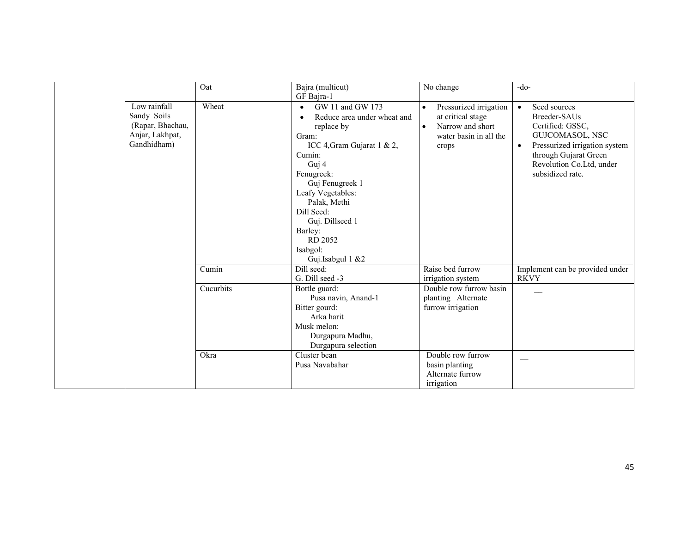|                                                                                   | Oat       | Bajra (multicut)<br>GF Bajra-1                                                                                                                                                                                                                                                                    | No change                                                                                                       | $-do-$                                                                                                                                                                                                  |
|-----------------------------------------------------------------------------------|-----------|---------------------------------------------------------------------------------------------------------------------------------------------------------------------------------------------------------------------------------------------------------------------------------------------------|-----------------------------------------------------------------------------------------------------------------|---------------------------------------------------------------------------------------------------------------------------------------------------------------------------------------------------------|
| Low rainfall<br>Sandy Soils<br>(Rapar, Bhachau,<br>Anjar, Lakhpat,<br>Gandhidham) | Wheat     | GW 11 and GW 173<br>$\bullet$<br>Reduce area under wheat and<br>replace by<br>Gram:<br>ICC 4, Gram Gujarat 1 & 2,<br>Cumin:<br>Guj 4<br>Fenugreek:<br>Guj Fenugreek 1<br>Leafy Vegetables:<br>Palak, Methi<br>Dill Seed:<br>Guj. Dillseed 1<br>Barley:<br>RD 2052<br>Isabgol:<br>Guj.Isabgul 1 &2 | Pressurized irrigation<br>at critical stage<br>Narrow and short<br>$\bullet$<br>water basin in all the<br>crops | Seed sources<br>$\bullet$<br>Breeder-SAUs<br>Certified: GSSC,<br>GUJCOMASOL, NSC<br>Pressurized irrigation system<br>$\bullet$<br>through Gujarat Green<br>Revolution Co.Ltd, under<br>subsidized rate. |
|                                                                                   | Cumin     | Dill seed:<br>G. Dill seed -3                                                                                                                                                                                                                                                                     | Raise bed furrow<br>irrigation system                                                                           | Implement can be provided under<br><b>RKVY</b>                                                                                                                                                          |
|                                                                                   | Cucurbits | Bottle guard:<br>Pusa navin, Anand-1<br>Bitter gourd:<br>Arka harit<br>Musk melon:<br>Durgapura Madhu,<br>Durgapura selection                                                                                                                                                                     | Double row furrow basin<br>planting Alternate<br>furrow irrigation                                              |                                                                                                                                                                                                         |
|                                                                                   | Okra      | Cluster bean<br>Pusa Navabahar                                                                                                                                                                                                                                                                    | Double row furrow<br>basin planting<br>Alternate furrow<br>irrigation                                           |                                                                                                                                                                                                         |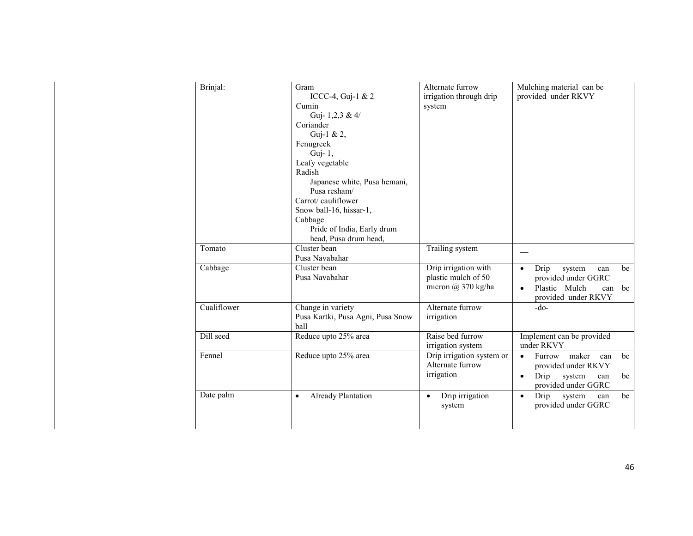|  | Brinjal:    | Gram<br>ICCC-4, Guj-1 & 2<br>Cumin<br>Guj-1,2,3 & 4/<br>Coriander<br>Guj-1 & 2,<br>Fenugreek<br>Guj-1,<br>Leafy vegetable<br>Radish<br>Japanese white, Pusa hemani,<br>Pusa resham/<br>Carrot/cauliflower<br>Snow ball-16, hissar-1,<br>Cabbage<br>Pride of India, Early drum<br>head, Pusa drum head, | Alternate furrow<br>irrigation through drip<br>system                    | Mulching material can be<br>provided under RKVY                                                                                  |
|--|-------------|--------------------------------------------------------------------------------------------------------------------------------------------------------------------------------------------------------------------------------------------------------------------------------------------------------|--------------------------------------------------------------------------|----------------------------------------------------------------------------------------------------------------------------------|
|  | Tomato      | Cluster bean<br>Pusa Navabahar                                                                                                                                                                                                                                                                         | Trailing system                                                          |                                                                                                                                  |
|  | Cabbage     | Cluster bean<br>Pusa Navabahar                                                                                                                                                                                                                                                                         | Drip irrigation with<br>plastic mulch of 50<br>micron $\omega$ 370 kg/ha | Drip<br>system<br>be<br>can<br>$\bullet$<br>provided under GGRC<br>Plastic Mulch<br>can be<br>$\bullet$<br>provided under RKVY   |
|  | Cualiflower | Change in variety<br>Pusa Kartki, Pusa Agni, Pusa Snow<br>ball                                                                                                                                                                                                                                         | Alternate furrow<br>irrigation                                           | $-do-$                                                                                                                           |
|  | Dill seed   | Reduce upto 25% area                                                                                                                                                                                                                                                                                   | Raise bed furrow<br>irrigation system                                    | Implement can be provided<br>under RKVY                                                                                          |
|  | Fennel      | Reduce upto 25% area                                                                                                                                                                                                                                                                                   | Drip irrigation system or<br>Alternate furrow<br>irrigation              | Furrow maker<br>can<br>be<br>$\bullet$<br>provided under RKVY<br>Drip<br>system<br>be<br>can<br>$\bullet$<br>provided under GGRC |
|  | Date palm   | Already Plantation<br>$\bullet$                                                                                                                                                                                                                                                                        | Drip irrigation<br>$\bullet$<br>system                                   | Drip system<br>be<br>can<br>$\bullet$<br>provided under GGRC                                                                     |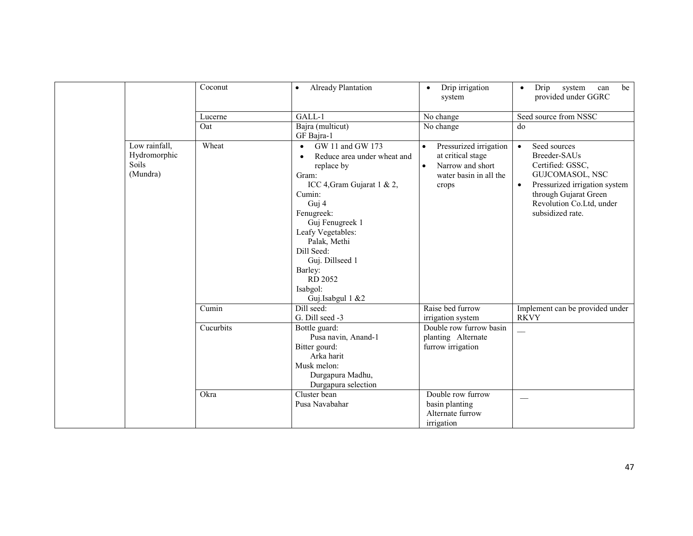|                                                    | Coconut   | Already Plantation<br>$\bullet$                                                                                                                                                                                                                                                                                | Drip irrigation<br>$\bullet$<br>system                                                                                       | Drip<br>system<br>can<br>be<br>$\bullet$<br>provided under GGRC                                                                                                                                         |
|----------------------------------------------------|-----------|----------------------------------------------------------------------------------------------------------------------------------------------------------------------------------------------------------------------------------------------------------------------------------------------------------------|------------------------------------------------------------------------------------------------------------------------------|---------------------------------------------------------------------------------------------------------------------------------------------------------------------------------------------------------|
|                                                    | Lucerne   | GALL-1                                                                                                                                                                                                                                                                                                         | No change                                                                                                                    | Seed source from NSSC                                                                                                                                                                                   |
|                                                    | Oat       | Bajra (multicut)<br>GF Bajra-1                                                                                                                                                                                                                                                                                 | No change                                                                                                                    | do                                                                                                                                                                                                      |
| Low rainfall,<br>Hydromorphic<br>Soils<br>(Mundra) | Wheat     | GW 11 and GW 173<br>$\bullet$<br>Reduce area under wheat and<br>$\bullet$<br>replace by<br>Gram:<br>ICC 4, Gram Gujarat 1 & 2,<br>Cumin:<br>Guj 4<br>Fenugreek:<br>Guj Fenugreek 1<br>Leafy Vegetables:<br>Palak, Methi<br>Dill Seed:<br>Guj. Dillseed 1<br>Barley:<br>RD 2052<br>Isabgol:<br>Guj.Isabgul 1 &2 | Pressurized irrigation<br>$\bullet$<br>at critical stage<br>Narrow and short<br>$\bullet$<br>water basin in all the<br>crops | Seed sources<br>$\bullet$<br>Breeder-SAUs<br>Certified: GSSC,<br>GUJCOMASOL, NSC<br>Pressurized irrigation system<br>$\bullet$<br>through Gujarat Green<br>Revolution Co.Ltd, under<br>subsidized rate. |
|                                                    | Cumin     | Dill seed:<br>G. Dill seed -3                                                                                                                                                                                                                                                                                  | Raise bed furrow<br>irrigation system                                                                                        | Implement can be provided under<br><b>RKVY</b>                                                                                                                                                          |
|                                                    | Cucurbits | Bottle guard:<br>Pusa navin, Anand-1<br>Bitter gourd:<br>Arka harit<br>Musk melon:<br>Durgapura Madhu,<br>Durgapura selection                                                                                                                                                                                  | Double row furrow basin<br>planting Alternate<br>furrow irrigation                                                           |                                                                                                                                                                                                         |
|                                                    | Okra      | Cluster bean<br>Pusa Navabahar                                                                                                                                                                                                                                                                                 | Double row furrow<br>basin planting<br>Alternate furrow<br>irrigation                                                        | --                                                                                                                                                                                                      |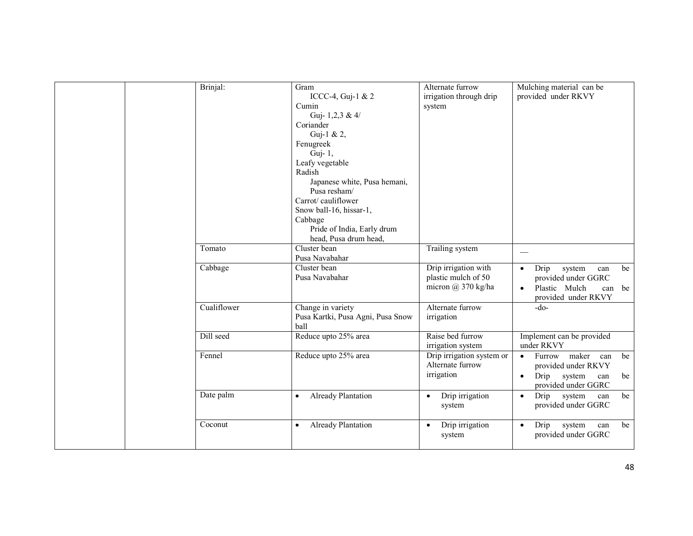|  | Brinjal:    | Gram<br>ICCC-4, Guj-1 & 2<br>Cumin<br>Guj- $1,2,3 \& 4$<br>Coriander<br>Guj-1 & 2,<br>Fenugreek<br>Guj- 1,<br>Leafy vegetable<br>Radish<br>Japanese white, Pusa hemani,<br>Pusa resham/<br>Carrot/cauliflower<br>Snow ball-16, hissar-1,<br>Cabbage<br>Pride of India, Early drum<br>head, Pusa drum head, | Alternate furrow<br>irrigation through drip<br>system                 | Mulching material can be<br>provided under RKVY                                                                                   |
|--|-------------|------------------------------------------------------------------------------------------------------------------------------------------------------------------------------------------------------------------------------------------------------------------------------------------------------------|-----------------------------------------------------------------------|-----------------------------------------------------------------------------------------------------------------------------------|
|  | Tomato      | Cluster bean<br>Pusa Navabahar                                                                                                                                                                                                                                                                             | Trailing system                                                       | $\hspace{0.05cm}$                                                                                                                 |
|  | Cabbage     | Cluster bean<br>Pusa Navabahar                                                                                                                                                                                                                                                                             | Drip irrigation with<br>plastic mulch of 50<br>micron $(a)$ 370 kg/ha | Drip<br>system<br>be<br>can<br>$\bullet$<br>provided under GGRC<br>Plastic Mulch<br>be<br>can<br>$\bullet$<br>provided under RKVY |
|  | Cualiflower | Change in variety<br>Pusa Kartki, Pusa Agni, Pusa Snow<br>ball                                                                                                                                                                                                                                             | Alternate furrow<br>irrigation                                        | $-do-$                                                                                                                            |
|  | Dill seed   | Reduce upto 25% area                                                                                                                                                                                                                                                                                       | Raise bed furrow<br>irrigation system                                 | Implement can be provided<br>under RKVY                                                                                           |
|  | Fennel      | Reduce upto 25% area                                                                                                                                                                                                                                                                                       | Drip irrigation system or<br>Alternate furrow<br>irrigation           | Furrow maker can<br>be<br>$\bullet$<br>provided under RKVY<br>Drip<br>system<br>be<br>$\bullet$<br>can<br>provided under GGRC     |
|  | Date palm   | Already Plantation<br>$\bullet$                                                                                                                                                                                                                                                                            | Drip irrigation<br>$\bullet$<br>system                                | Drip<br>system<br>be<br>can<br>$\bullet$<br>provided under GGRC                                                                   |
|  | Coconut     | Already Plantation<br>$\bullet$                                                                                                                                                                                                                                                                            | Drip irrigation<br>$\bullet$<br>system                                | Drip<br>be<br>system<br>can<br>$\bullet$<br>provided under GGRC                                                                   |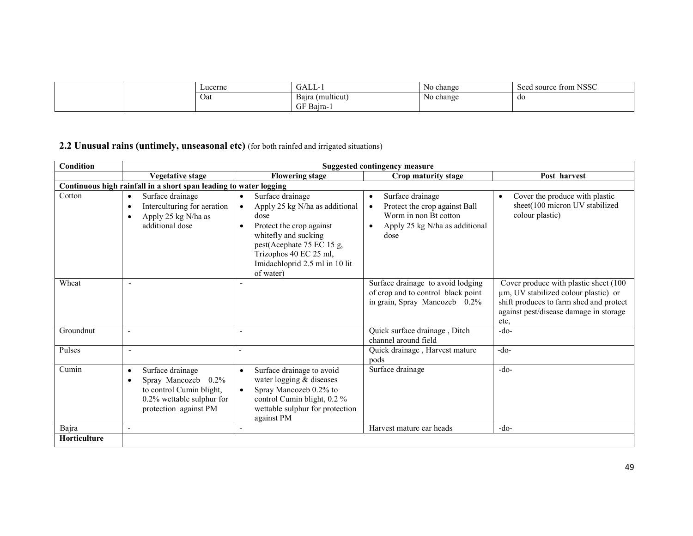|  | Lucerne | <b>. ATT</b><br>UALL-. | No change | from NSSC<br>source<br>seed |
|--|---------|------------------------|-----------|-----------------------------|
|  | Oat     | Baira (multicut)       | No change | do                          |
|  |         | $\Gamma$ F Bajra-      |           |                             |

## 2.2 Unusual rains (untimely, unseasonal etc) (for both rainfed and irrigated situations)

| <b>Condition</b>    | <b>Suggested contingency measure</b>                                                                                                                         |                                                                                                                                                                                                                                                             |                                                                                                                                                             |                                                                                                                                                                            |  |  |  |
|---------------------|--------------------------------------------------------------------------------------------------------------------------------------------------------------|-------------------------------------------------------------------------------------------------------------------------------------------------------------------------------------------------------------------------------------------------------------|-------------------------------------------------------------------------------------------------------------------------------------------------------------|----------------------------------------------------------------------------------------------------------------------------------------------------------------------------|--|--|--|
|                     | <b>Vegetative stage</b>                                                                                                                                      | <b>Flowering stage</b>                                                                                                                                                                                                                                      | Crop maturity stage                                                                                                                                         | Post harvest                                                                                                                                                               |  |  |  |
|                     | Continuous high rainfall in a short span leading to water logging                                                                                            |                                                                                                                                                                                                                                                             |                                                                                                                                                             |                                                                                                                                                                            |  |  |  |
| Cotton              | Surface drainage<br>$\bullet$<br>Interculturing for aeration<br>$\bullet$<br>Apply 25 kg N/ha as<br>$\bullet$<br>additional dose                             | Surface drainage<br>$\bullet$<br>Apply 25 kg N/ha as additional<br>$\bullet$<br>dose<br>Protect the crop against<br>$\bullet$<br>whitefly and sucking<br>pest(Acephate 75 EC 15 g,<br>Trizophos 40 EC 25 ml,<br>Imidachloprid 2.5 ml in 10 lit<br>of water) | Surface drainage<br>$\bullet$<br>Protect the crop against Ball<br>$\bullet$<br>Worm in non Bt cotton<br>Apply 25 kg N/ha as additional<br>$\bullet$<br>dose | Cover the produce with plastic<br>$\bullet$<br>sheet(100 micron UV stabilized<br>colour plastic)                                                                           |  |  |  |
| Wheat               | $\overline{\phantom{a}}$                                                                                                                                     | $\overline{\phantom{a}}$                                                                                                                                                                                                                                    | Surface drainage to avoid lodging<br>of crop and to control black point<br>in grain, Spray Mancozeb 0.2%                                                    | Cover produce with plastic sheet (100<br>um, UV stabilized colour plastic) or<br>shift produces to farm shed and protect<br>against pest/disease damage in storage<br>etc, |  |  |  |
| Groundnut           |                                                                                                                                                              | $\overline{\phantom{a}}$                                                                                                                                                                                                                                    | Quick surface drainage, Ditch<br>channel around field                                                                                                       | $-do-$                                                                                                                                                                     |  |  |  |
| Pulses              | $\overline{\phantom{a}}$                                                                                                                                     | $\blacksquare$                                                                                                                                                                                                                                              | Quick drainage, Harvest mature<br>pods                                                                                                                      | $-do-$                                                                                                                                                                     |  |  |  |
| Cumin               | Surface drainage<br>$\bullet$<br>Spray Mancozeb<br>$0.2\%$<br>$\bullet$<br>to control Cumin blight,<br>$0.2\%$ wettable sulphur for<br>protection against PM | Surface drainage to avoid<br>$\bullet$<br>water logging & diseases<br>Spray Mancozeb 0.2% to<br>$\bullet$<br>control Cumin blight, 0.2 %<br>wettable sulphur for protection<br>against PM                                                                   | Surface drainage                                                                                                                                            | $-do-$                                                                                                                                                                     |  |  |  |
| Bajra               | $\overline{\phantom{a}}$                                                                                                                                     | $\sim$                                                                                                                                                                                                                                                      | Harvest mature ear heads                                                                                                                                    | $-do-$                                                                                                                                                                     |  |  |  |
| <b>Horticulture</b> |                                                                                                                                                              |                                                                                                                                                                                                                                                             |                                                                                                                                                             |                                                                                                                                                                            |  |  |  |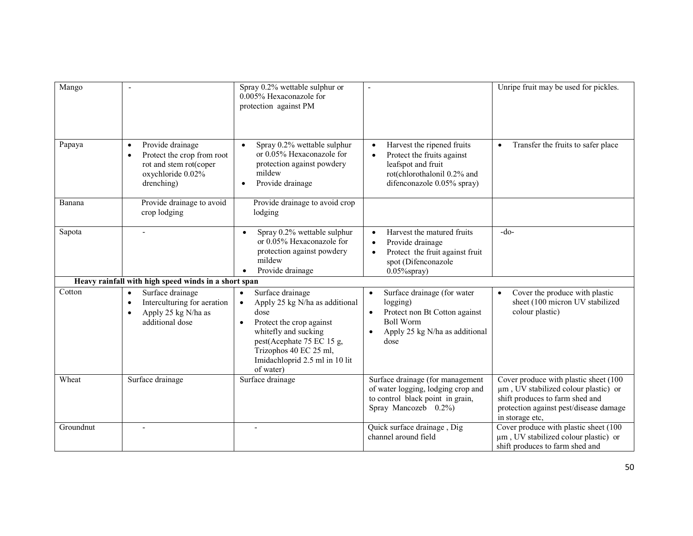| Mango     | $\blacksquare$                                                                                                           | Spray 0.2% wettable sulphur or<br>0.005% Hexaconazole for<br>protection against PM                                                                                                                                                                          | $\overline{\phantom{a}}$                                                                                                                              | Unripe fruit may be used for pickles.                                                                                                                                         |
|-----------|--------------------------------------------------------------------------------------------------------------------------|-------------------------------------------------------------------------------------------------------------------------------------------------------------------------------------------------------------------------------------------------------------|-------------------------------------------------------------------------------------------------------------------------------------------------------|-------------------------------------------------------------------------------------------------------------------------------------------------------------------------------|
| Papaya    | Provide drainage<br>$\bullet$<br>Protect the crop from root<br>rot and stem rot(coper<br>oxychloride 0.02%<br>drenching) | Spray 0.2% wettable sulphur<br>$\bullet$<br>or 0.05% Hexaconazole for<br>protection against powdery<br>mildew<br>Provide drainage<br>$\bullet$                                                                                                              | Harvest the ripened fruits<br>Protect the fruits against<br>leafspot and fruit<br>rot(chlorothalonil 0.2% and<br>difenconazole 0.05% spray)           | Transfer the fruits to safer place<br>$\bullet$                                                                                                                               |
| Banana    | Provide drainage to avoid<br>crop lodging                                                                                | Provide drainage to avoid crop<br>lodging                                                                                                                                                                                                                   |                                                                                                                                                       |                                                                                                                                                                               |
| Sapota    | $\blacksquare$                                                                                                           | Spray 0.2% wettable sulphur<br>$\bullet$<br>or 0.05% Hexaconazole for<br>protection against powdery<br>mildew<br>Provide drainage                                                                                                                           | Harvest the matured fruits<br>$\bullet$<br>Provide drainage<br>$\bullet$<br>Protect the fruit against fruit<br>spot (Difenconazole<br>$0.05\%$ spray) | $-do-$                                                                                                                                                                        |
|           | Heavy rainfall with high speed winds in a short span                                                                     |                                                                                                                                                                                                                                                             |                                                                                                                                                       |                                                                                                                                                                               |
| Cotton    | Surface drainage<br>Interculturing for aeration<br>$\bullet$<br>Apply 25 kg N/ha as<br>$\bullet$<br>additional dose      | Surface drainage<br>$\bullet$<br>Apply 25 kg N/ha as additional<br>$\bullet$<br>dose<br>Protect the crop against<br>$\bullet$<br>whitefly and sucking<br>pest(Acephate 75 EC 15 g,<br>Trizophos 40 EC 25 ml,<br>Imidachloprid 2.5 ml in 10 lit<br>of water) | Surface drainage (for water<br>logging)<br>Protect non Bt Cotton against<br><b>Boll Worm</b><br>Apply 25 kg N/ha as additional<br>dose                | Cover the produce with plastic<br>sheet (100 micron UV stabilized<br>colour plastic)                                                                                          |
| Wheat     | Surface drainage                                                                                                         | Surface drainage                                                                                                                                                                                                                                            | Surface drainage (for management<br>of water logging, lodging crop and<br>to control black point in grain,<br>Spray Mancozeb 0.2%)                    | Cover produce with plastic sheet (100<br>um, UV stabilized colour plastic) or<br>shift produces to farm shed and<br>protection against pest/disease damage<br>in storage etc, |
| Groundnut |                                                                                                                          |                                                                                                                                                                                                                                                             | Quick surface drainage, Dig<br>channel around field                                                                                                   | Cover produce with plastic sheet (100<br>µm, UV stabilized colour plastic) or<br>shift produces to farm shed and                                                              |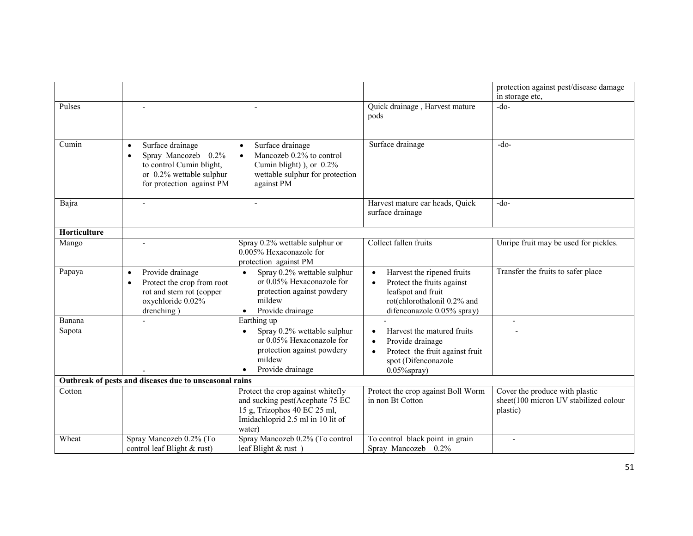|              |                                                                                                                                                        |                                                                                                                                                        |                                                                                                                                                                       | protection against pest/disease damage<br>in storage etc,                           |
|--------------|--------------------------------------------------------------------------------------------------------------------------------------------------------|--------------------------------------------------------------------------------------------------------------------------------------------------------|-----------------------------------------------------------------------------------------------------------------------------------------------------------------------|-------------------------------------------------------------------------------------|
| Pulses       |                                                                                                                                                        |                                                                                                                                                        | Quick drainage, Harvest mature<br>pods                                                                                                                                | $-do-$                                                                              |
| Cumin        | Surface drainage<br>$\bullet$<br>Spray Mancozeb 0.2%<br>$\bullet$<br>to control Cumin blight,<br>or 0.2% wettable sulphur<br>for protection against PM | Surface drainage<br>$\bullet$<br>Mancozeb 0.2% to control<br>$\bullet$<br>Cumin blight) ), or $0.2\%$<br>wettable sulphur for protection<br>against PM | Surface drainage                                                                                                                                                      | $-do-$                                                                              |
| Bajra        | $\sim$                                                                                                                                                 | $\sim$                                                                                                                                                 | Harvest mature ear heads, Quick<br>surface drainage                                                                                                                   | $-do-$                                                                              |
| Horticulture |                                                                                                                                                        |                                                                                                                                                        |                                                                                                                                                                       |                                                                                     |
| Mango        |                                                                                                                                                        | Spray 0.2% wettable sulphur or<br>0.005% Hexaconazole for<br>protection against PM                                                                     | Collect fallen fruits                                                                                                                                                 | Unripe fruit may be used for pickles.                                               |
| Papaya       | Provide drainage<br>$\bullet$<br>Protect the crop from root<br>$\bullet$<br>rot and stem rot (copper<br>oxychloride 0.02%<br>drenching)                | Spray 0.2% wettable sulphur<br>$\bullet$<br>or 0.05% Hexaconazole for<br>protection against powdery<br>mildew<br>Provide drainage<br>$\bullet$         | Harvest the ripened fruits<br>$\bullet$<br>Protect the fruits against<br>$\bullet$<br>leafspot and fruit<br>rot(chlorothalonil 0.2% and<br>difenconazole 0.05% spray) | Transfer the fruits to safer place                                                  |
| Banana       |                                                                                                                                                        | Earthing up                                                                                                                                            |                                                                                                                                                                       | $\overline{\phantom{a}}$                                                            |
| Sapota       |                                                                                                                                                        | Spray 0.2% wettable sulphur<br>$\bullet$<br>or 0.05% Hexaconazole for<br>protection against powdery<br>mildew<br>Provide drainage                      | Harvest the matured fruits<br>$\bullet$<br>Provide drainage<br>Protect the fruit against fruit<br>$\bullet$<br>spot (Difenconazole<br>$0.05\%$ spray)                 |                                                                                     |
|              | Outbreak of pests and diseases due to unseasonal rains                                                                                                 |                                                                                                                                                        |                                                                                                                                                                       |                                                                                     |
| Cotton       |                                                                                                                                                        | Protect the crop against whitefly<br>and sucking pest(Acephate 75 EC<br>15 g, Trizophos 40 EC 25 ml,<br>Imidachloprid 2.5 ml in 10 lit of<br>water)    | Protect the crop against Boll Worm<br>in non Bt Cotton                                                                                                                | Cover the produce with plastic<br>sheet(100 micron UV stabilized colour<br>plastic) |
| Wheat        | Spray Mancozeb 0.2% (To<br>control leaf Blight & rust)                                                                                                 | Spray Mancozeb 0.2% (To control<br>leaf Blight $&$ rust)                                                                                               | To control black point in grain<br>Spray Mancozeb 0.2%                                                                                                                |                                                                                     |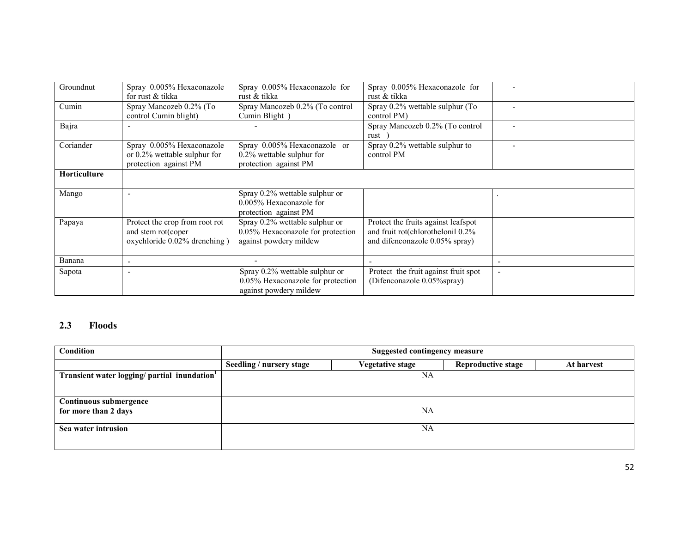| Groundnut           | Spray 0.005% Hexaconazole       | Spray 0.005% Hexaconazole for     | Spray 0.005% Hexaconazole for        |  |
|---------------------|---------------------------------|-----------------------------------|--------------------------------------|--|
|                     | for rust & tikka                | rust & tikka                      | rust & tikka                         |  |
| Cumin               | Spray Mancozeb 0.2% (To         | Spray Mancozeb 0.2% (To control   | Spray 0.2% wettable sulphur (To      |  |
|                     | control Cumin blight)           | Cumin Blight)                     | control PM)                          |  |
| Bajra               |                                 |                                   | Spray Mancozeb 0.2% (To control      |  |
|                     |                                 |                                   | rust                                 |  |
| Coriander           | Spray 0.005% Hexaconazole       | Spray 0.005% Hexaconazole or      | Spray 0.2% wettable sulphur to       |  |
|                     | or $0.2\%$ wettable sulphur for | $0.2\%$ wettable sulphur for      | control PM                           |  |
|                     | protection against PM           | protection against PM             |                                      |  |
| <b>Horticulture</b> |                                 |                                   |                                      |  |
|                     |                                 |                                   |                                      |  |
| Mango               |                                 | Spray 0.2% wettable sulphur or    |                                      |  |
|                     |                                 | 0.005% Hexaconazole for           |                                      |  |
|                     |                                 | protection against PM             |                                      |  |
| Papaya              | Protect the crop from root rot  | Spray 0.2% wettable sulphur or    | Protect the fruits against leafspot  |  |
|                     | and stem rot(coper              | 0.05% Hexaconazole for protection | and fruit rot(chlorothelonil 0.2%    |  |
|                     | oxychloride 0.02% drenching)    | against powdery mildew            | and difenconazole 0.05% spray)       |  |
|                     |                                 |                                   |                                      |  |
| Banana              |                                 |                                   |                                      |  |
| Sapota              |                                 | Spray 0.2% wettable sulphur or    | Protect the fruit against fruit spot |  |
|                     |                                 | 0.05% Hexaconazole for protection | (Difenconazole 0.05%spray)           |  |
|                     |                                 | against powdery mildew            |                                      |  |

#### 2.3 Floods

| Condition                                   | <b>Suggested contingency measure</b> |                         |                           |            |  |
|---------------------------------------------|--------------------------------------|-------------------------|---------------------------|------------|--|
|                                             | Seedling / nursery stage             | <b>Vegetative stage</b> | <b>Reproductive stage</b> | At harvest |  |
| Transient water logging/ partial inundation |                                      | NA                      |                           |            |  |
|                                             |                                      |                         |                           |            |  |
| <b>Continuous submergence</b>               |                                      |                         |                           |            |  |
| for more than 2 days                        |                                      | <b>NA</b>               |                           |            |  |
| Sea water intrusion                         |                                      | NA                      |                           |            |  |
|                                             |                                      |                         |                           |            |  |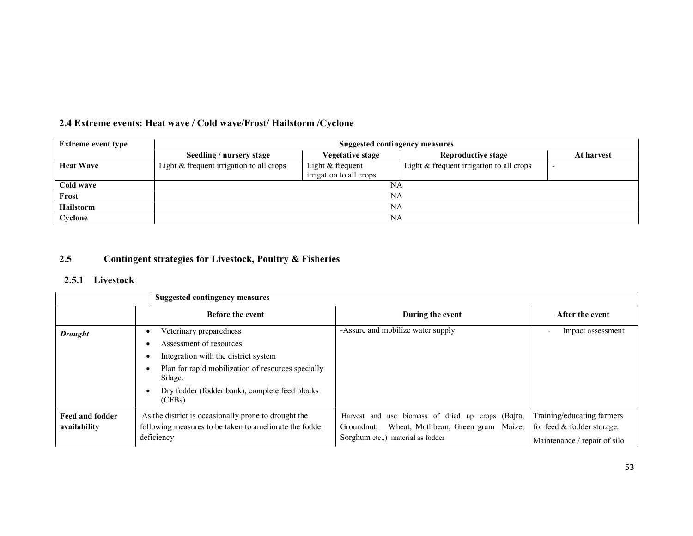| <b>Extreme event type</b> | Suggested contingency measures             |                         |                                          |            |  |  |
|---------------------------|--------------------------------------------|-------------------------|------------------------------------------|------------|--|--|
|                           | Seedling / nursery stage                   | <b>Vegetative stage</b> | Reproductive stage                       | At harvest |  |  |
| <b>Heat Wave</b>          | Light $&$ frequent irrigation to all crops | Light $&$ frequent      | Light & frequent irrigation to all crops |            |  |  |
|                           |                                            | irrigation to all crops |                                          |            |  |  |
| Cold wave                 | NA                                         |                         |                                          |            |  |  |
| Frost                     | NA                                         |                         |                                          |            |  |  |
| <b>Hailstorm</b>          | NA                                         |                         |                                          |            |  |  |
| Cyclone                   |                                            | NA                      |                                          |            |  |  |

#### 2.5Contingent strategies for Livestock, Poultry & Fisheries

### 2.5.1 Livestock

|                                        | <b>Suggested contingency measures</b>                                                                                         |                                                                                                                                            |                                                                                          |  |  |  |
|----------------------------------------|-------------------------------------------------------------------------------------------------------------------------------|--------------------------------------------------------------------------------------------------------------------------------------------|------------------------------------------------------------------------------------------|--|--|--|
|                                        | <b>Before the event</b>                                                                                                       | During the event                                                                                                                           | After the event                                                                          |  |  |  |
| <b>Drought</b>                         | Veterinary preparedness<br>Assessment of resources                                                                            | -Assure and mobilize water supply                                                                                                          | Impact assessment<br>$\overline{\phantom{0}}$                                            |  |  |  |
|                                        | Integration with the district system                                                                                          |                                                                                                                                            |                                                                                          |  |  |  |
|                                        | Plan for rapid mobilization of resources specially<br>Silage.                                                                 |                                                                                                                                            |                                                                                          |  |  |  |
|                                        | Dry fodder (fodder bank), complete feed blocks<br>(CFBs)                                                                      |                                                                                                                                            |                                                                                          |  |  |  |
| <b>Feed and fodder</b><br>availability | As the district is occasionally prone to drought the<br>following measures to be taken to ameliorate the fodder<br>deficiency | Harvest and use biomass of dried up crops (Bajra,<br>Wheat, Mothbean, Green gram Maize,<br>Groundnut,<br>Sorghum etc.,) material as fodder | Training/educating farmers<br>for feed & fodder storage.<br>Maintenance / repair of silo |  |  |  |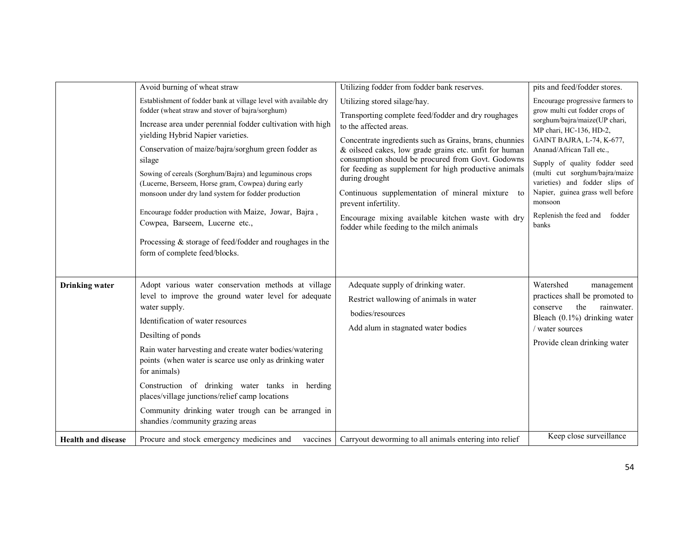|                           | Avoid burning of wheat straw                                                                                                                                                                                                                                                                                                                                                                                                                                                                                                                                                                                                                               | Utilizing fodder from fodder bank reserves.                                                                                                                                                                                                                                                                                                                                                                                                                                                                                                         | pits and feed/fodder stores.                                                                                                                                                                                                                                                                                                                                                              |
|---------------------------|------------------------------------------------------------------------------------------------------------------------------------------------------------------------------------------------------------------------------------------------------------------------------------------------------------------------------------------------------------------------------------------------------------------------------------------------------------------------------------------------------------------------------------------------------------------------------------------------------------------------------------------------------------|-----------------------------------------------------------------------------------------------------------------------------------------------------------------------------------------------------------------------------------------------------------------------------------------------------------------------------------------------------------------------------------------------------------------------------------------------------------------------------------------------------------------------------------------------------|-------------------------------------------------------------------------------------------------------------------------------------------------------------------------------------------------------------------------------------------------------------------------------------------------------------------------------------------------------------------------------------------|
|                           | Establishment of fodder bank at village level with available dry<br>fodder (wheat straw and stover of bajra/sorghum)<br>Increase area under perennial fodder cultivation with high<br>yielding Hybrid Napier varieties.<br>Conservation of maize/bajra/sorghum green fodder as<br>silage<br>Sowing of cereals (Sorghum/Bajra) and leguminous crops<br>(Lucerne, Berseem, Horse gram, Cowpea) during early<br>monsoon under dry land system for fodder production<br>Encourage fodder production with Maize, Jowar, Bajra,<br>Cowpea, Barseem, Lucerne etc.,<br>Processing $&$ storage of feed/fodder and roughages in the<br>form of complete feed/blocks. | Utilizing stored silage/hay.<br>Transporting complete feed/fodder and dry roughages<br>to the affected areas.<br>Concentrate ingredients such as Grains, brans, chunnies<br>& oilseed cakes, low grade grains etc. unfit for human<br>consumption should be procured from Govt. Godowns<br>for feeding as supplement for high productive animals<br>during drought<br>Continuous supplementation of mineral mixture<br>to<br>prevent infertility.<br>Encourage mixing available kitchen waste with dry<br>fodder while feeding to the milch animals | Encourage progressive farmers to<br>grow multi cut fodder crops of<br>sorghum/bajra/maize(UP chari,<br>MP chari, HC-136, HD-2,<br>GAINT BAJRA, L-74, K-677,<br>Ananad/African Tall etc.,<br>Supply of quality fodder seed<br>(multi cut sorghum/bajra/maize<br>varieties) and fodder slips of<br>Napier, guinea grass well before<br>monsoon<br>Replenish the feed and<br>fodder<br>banks |
| <b>Drinking</b> water     | Adopt various water conservation methods at village<br>level to improve the ground water level for adequate<br>water supply.<br>Identification of water resources<br>Desilting of ponds<br>Rain water harvesting and create water bodies/watering<br>points (when water is scarce use only as drinking water<br>for animals)<br>Construction of drinking water tanks in herding<br>places/village junctions/relief camp locations<br>Community drinking water trough can be arranged in<br>shandies /community grazing areas                                                                                                                               | Adequate supply of drinking water.<br>Restrict wallowing of animals in water<br>bodies/resources<br>Add alum in stagnated water bodies                                                                                                                                                                                                                                                                                                                                                                                                              | Watershed<br>management<br>practices shall be promoted to<br>the<br>rainwater.<br>conserve<br>Bleach (0.1%) drinking water<br>/ water sources<br>Provide clean drinking water                                                                                                                                                                                                             |
| <b>Health and disease</b> | vaccines<br>Procure and stock emergency medicines and                                                                                                                                                                                                                                                                                                                                                                                                                                                                                                                                                                                                      | Carryout deworming to all animals entering into relief                                                                                                                                                                                                                                                                                                                                                                                                                                                                                              | Keep close surveillance                                                                                                                                                                                                                                                                                                                                                                   |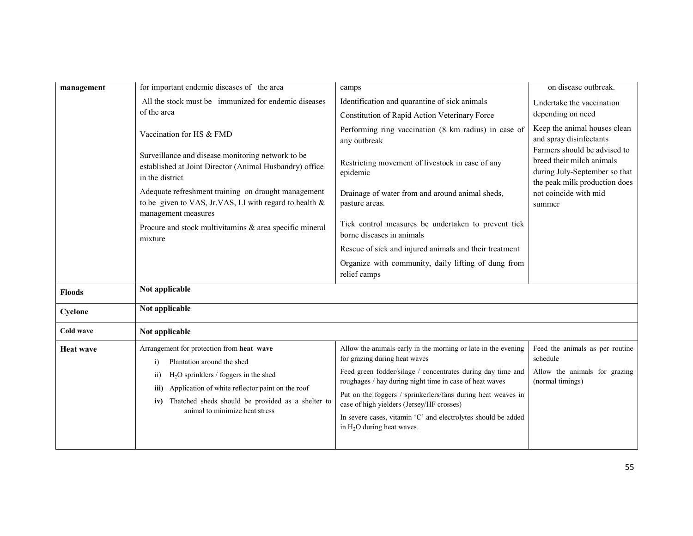| management       | for important endemic diseases of the area                                                                                           | camps                                                                                                                  | on disease outbreak.                                                                                                                                           |  |
|------------------|--------------------------------------------------------------------------------------------------------------------------------------|------------------------------------------------------------------------------------------------------------------------|----------------------------------------------------------------------------------------------------------------------------------------------------------------|--|
|                  | All the stock must be immunized for endemic diseases                                                                                 | Identification and quarantine of sick animals                                                                          | Undertake the vaccination                                                                                                                                      |  |
|                  | of the area                                                                                                                          | Constitution of Rapid Action Veterinary Force                                                                          | depending on need                                                                                                                                              |  |
|                  | Vaccination for HS & FMD                                                                                                             | Performing ring vaccination (8 km radius) in case of<br>any outbreak                                                   | Keep the animal houses clean<br>and spray disinfectants                                                                                                        |  |
|                  | Surveillance and disease monitoring network to be<br>established at Joint Director (Animal Husbandry) office<br>in the district      | Restricting movement of livestock in case of any<br>epidemic                                                           | Farmers should be advised to<br>breed their milch animals<br>during July-September so that<br>the peak milk production does<br>not coincide with mid<br>summer |  |
|                  | Adequate refreshment training on draught management<br>to be given to VAS, Jr.VAS, LI with regard to health &<br>management measures | Drainage of water from and around animal sheds,<br>pasture areas.                                                      |                                                                                                                                                                |  |
|                  | Procure and stock multivitamins & area specific mineral<br>mixture                                                                   | Tick control measures be undertaken to prevent tick<br>borne diseases in animals                                       |                                                                                                                                                                |  |
|                  |                                                                                                                                      | Rescue of sick and injured animals and their treatment                                                                 |                                                                                                                                                                |  |
|                  |                                                                                                                                      | Organize with community, daily lifting of dung from<br>relief camps                                                    |                                                                                                                                                                |  |
| <b>Floods</b>    | Not applicable                                                                                                                       |                                                                                                                        |                                                                                                                                                                |  |
| Cyclone          | Not applicable                                                                                                                       |                                                                                                                        |                                                                                                                                                                |  |
| Cold wave        | Not applicable                                                                                                                       |                                                                                                                        |                                                                                                                                                                |  |
| <b>Heat wave</b> | Arrangement for protection from heat wave<br>Plantation around the shed<br>i)                                                        | Allow the animals early in the morning or late in the evening<br>for grazing during heat waves                         | Feed the animals as per routine<br>schedule                                                                                                                    |  |
|                  | $H2O$ sprinklers / foggers in the shed<br>$\overline{11}$                                                                            | Feed green fodder/silage / concentrates during day time and<br>roughages / hay during night time in case of heat waves | Allow the animals for grazing<br>(normal timings)                                                                                                              |  |
|                  | Application of white reflector paint on the roof<br>iii)<br>Thatched sheds should be provided as a shelter to<br>iv)                 | Put on the foggers / sprinkerlers/fans during heat weaves in<br>case of high yielders (Jersey/HF crosses)              |                                                                                                                                                                |  |
|                  | animal to minimize heat stress                                                                                                       | In severe cases, vitamin 'C' and electrolytes should be added<br>in $H_2O$ during heat waves.                          |                                                                                                                                                                |  |
|                  |                                                                                                                                      |                                                                                                                        |                                                                                                                                                                |  |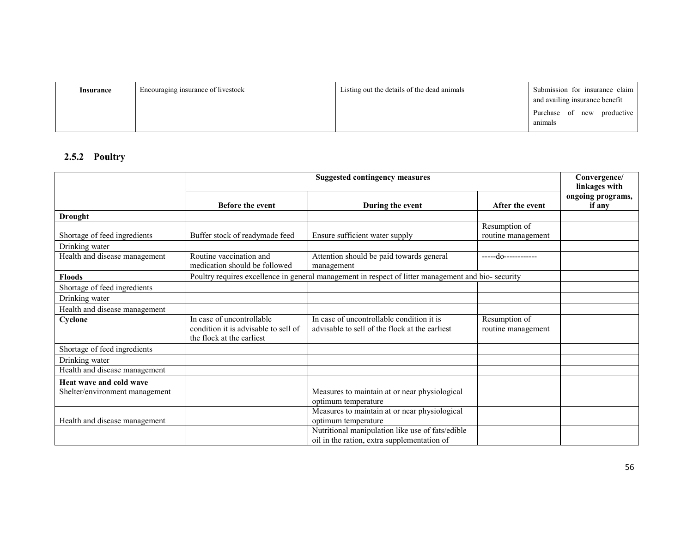| Insurance | Encouraging insurance of livestock | Listing out the details of the dead animals | Submission for insurance claim<br>and availing insurance benefit |
|-----------|------------------------------------|---------------------------------------------|------------------------------------------------------------------|
|           |                                    |                                             | of new<br>productive<br>Purchase<br>animals                      |

## 2.5.2 Poultry

|                                |                                                                                                | Convergence/<br>linkages with                                                                       |                                     |                             |
|--------------------------------|------------------------------------------------------------------------------------------------|-----------------------------------------------------------------------------------------------------|-------------------------------------|-----------------------------|
|                                | <b>Before the event</b>                                                                        | During the event                                                                                    | After the event                     | ongoing programs,<br>if any |
| <b>Drought</b>                 |                                                                                                |                                                                                                     |                                     |                             |
|                                |                                                                                                |                                                                                                     | Resumption of                       |                             |
| Shortage of feed ingredients   | Buffer stock of readymade feed                                                                 | Ensure sufficient water supply                                                                      | routine management                  |                             |
| Drinking water                 |                                                                                                |                                                                                                     |                                     |                             |
| Health and disease management  | Routine vaccination and<br>medication should be followed                                       | Attention should be paid towards general<br>management                                              | -----do------------                 |                             |
| <b>Floods</b>                  |                                                                                                | Poultry requires excellence in general management in respect of litter management and bio- security |                                     |                             |
| Shortage of feed ingredients   |                                                                                                |                                                                                                     |                                     |                             |
| Drinking water                 |                                                                                                |                                                                                                     |                                     |                             |
| Health and disease management  |                                                                                                |                                                                                                     |                                     |                             |
| Cyclone                        | In case of uncontrollable<br>condition it is advisable to sell of<br>the flock at the earliest | In case of uncontrollable condition it is<br>advisable to sell of the flock at the earliest         | Resumption of<br>routine management |                             |
| Shortage of feed ingredients   |                                                                                                |                                                                                                     |                                     |                             |
| Drinking water                 |                                                                                                |                                                                                                     |                                     |                             |
| Health and disease management  |                                                                                                |                                                                                                     |                                     |                             |
| Heat wave and cold wave        |                                                                                                |                                                                                                     |                                     |                             |
| Shelter/environment management |                                                                                                | Measures to maintain at or near physiological                                                       |                                     |                             |
|                                |                                                                                                | optimum temperature                                                                                 |                                     |                             |
|                                |                                                                                                | Measures to maintain at or near physiological                                                       |                                     |                             |
| Health and disease management  |                                                                                                | optimum temperature                                                                                 |                                     |                             |
|                                |                                                                                                | Nutritional manipulation like use of fats/edible                                                    |                                     |                             |
|                                |                                                                                                | oil in the ration, extra supplementation of                                                         |                                     |                             |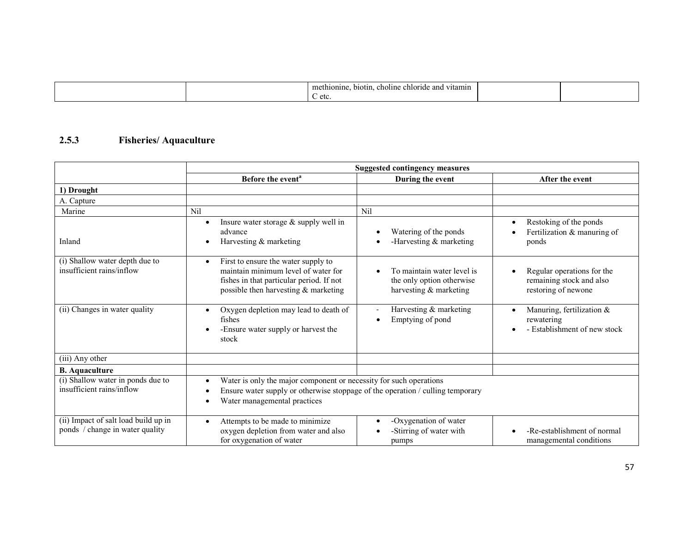|  | m<br>vitamin<br>choline<br>and<br>thionine<br>biotin.<br>enforme |  |
|--|------------------------------------------------------------------|--|
|  | etc.                                                             |  |

#### 2.5.3 Fisheries/ Aquaculture

|                                                                         | <b>Suggested contingency measures</b>                                                                                                                                                |                                                                                   |                                                                               |
|-------------------------------------------------------------------------|--------------------------------------------------------------------------------------------------------------------------------------------------------------------------------------|-----------------------------------------------------------------------------------|-------------------------------------------------------------------------------|
|                                                                         | Before the event <sup>a</sup>                                                                                                                                                        | During the event                                                                  | After the event                                                               |
| 1) Drought                                                              |                                                                                                                                                                                      |                                                                                   |                                                                               |
| A. Capture                                                              |                                                                                                                                                                                      |                                                                                   |                                                                               |
| Marine                                                                  | Nil                                                                                                                                                                                  | Nil                                                                               |                                                                               |
| Inland                                                                  | Insure water storage & supply well in<br>advance<br>Harvesting & marketing                                                                                                           | Watering of the ponds<br>-Harvesting $&$ marketing<br>$\bullet$                   | Restoking of the ponds<br>$\bullet$<br>Fertilization & manuring of<br>ponds   |
| (i) Shallow water depth due to<br>insufficient rains/inflow             | First to ensure the water supply to<br>$\bullet$<br>maintain minimum level of water for<br>fishes in that particular period. If not<br>possible then harvesting $&$ marketing        | To maintain water level is<br>the only option otherwise<br>harvesting & marketing | Regular operations for the<br>remaining stock and also<br>restoring of newone |
| (ii) Changes in water quality                                           | Oxygen depletion may lead to death of<br>fishes<br>-Ensure water supply or harvest the<br>stock                                                                                      | Harvesting & marketing<br>Emptying of pond<br>$\bullet$                           | Manuring, fertilization &<br>rewatering<br>- Establishment of new stock       |
| (iii) Any other                                                         |                                                                                                                                                                                      |                                                                                   |                                                                               |
| <b>B.</b> Aquaculture                                                   |                                                                                                                                                                                      |                                                                                   |                                                                               |
| (i) Shallow water in ponds due to<br>insufficient rains/inflow          | Water is only the major component or necessity for such operations<br>Ensure water supply or otherwise stoppage of the operation / culling temporary<br>Water managemental practices |                                                                                   |                                                                               |
| (ii) Impact of salt load build up in<br>ponds / change in water quality | Attempts to be made to minimize<br>oxygen depletion from water and also<br>for oxygenation of water                                                                                  | -Oxygenation of water<br>$\bullet$<br>-Stirring of water with<br>pumps            | -Re-establishment of normal<br>managemental conditions                        |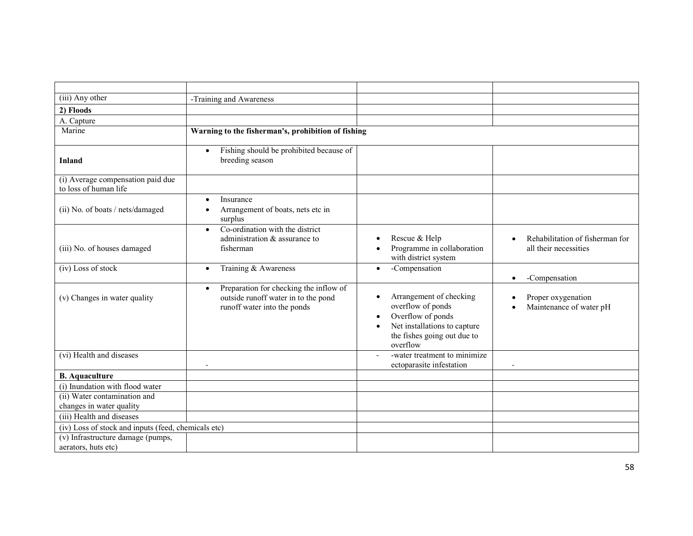| (iii) Any other                                            | -Training and Awareness                                                                                                   |                                                                                                                                                                                     |                                                          |
|------------------------------------------------------------|---------------------------------------------------------------------------------------------------------------------------|-------------------------------------------------------------------------------------------------------------------------------------------------------------------------------------|----------------------------------------------------------|
| 2) Floods                                                  |                                                                                                                           |                                                                                                                                                                                     |                                                          |
| A. Capture                                                 |                                                                                                                           |                                                                                                                                                                                     |                                                          |
| Marine                                                     | Warning to the fisherman's, prohibition of fishing                                                                        |                                                                                                                                                                                     |                                                          |
| <b>Inland</b>                                              | Fishing should be prohibited because of<br>$\bullet$<br>breeding season                                                   |                                                                                                                                                                                     |                                                          |
| (i) Average compensation paid due<br>to loss of human life |                                                                                                                           |                                                                                                                                                                                     |                                                          |
| (ii) No. of boats / nets/damaged                           | Insurance<br>$\bullet$<br>Arrangement of boats, nets etc in<br>surplus                                                    |                                                                                                                                                                                     |                                                          |
| (iii) No. of houses damaged                                | Co-ordination with the district<br>$\bullet$<br>administration $\&$ assurance to<br>fisherman                             | Rescue & Help<br>$\bullet$<br>Programme in collaboration<br>$\bullet$<br>with district system                                                                                       | Rehabilitation of fisherman for<br>all their necessities |
| (iv) Loss of stock                                         | Training & Awareness<br>$\bullet$                                                                                         | -Compensation<br>$\bullet$                                                                                                                                                          | -Compensation<br>$\bullet$                               |
| (v) Changes in water quality                               | Preparation for checking the inflow of<br>$\bullet$<br>outside runoff water in to the pond<br>runoff water into the ponds | Arrangement of checking<br>$\bullet$<br>overflow of ponds<br>Overflow of ponds<br>$\bullet$<br>Net installations to capture<br>$\bullet$<br>the fishes going out due to<br>overflow | Proper oxygenation<br>Maintenance of water pH            |
| (vi) Health and diseases                                   | $\blacksquare$                                                                                                            | -water treatment to minimize<br>ectoparasite infestation                                                                                                                            | $\overline{\phantom{a}}$                                 |
| <b>B.</b> Aquaculture                                      |                                                                                                                           |                                                                                                                                                                                     |                                                          |
| (i) Inundation with flood water                            |                                                                                                                           |                                                                                                                                                                                     |                                                          |
| (ii) Water contamination and<br>changes in water quality   |                                                                                                                           |                                                                                                                                                                                     |                                                          |
| (iii) Health and diseases                                  |                                                                                                                           |                                                                                                                                                                                     |                                                          |
| (iv) Loss of stock and inputs (feed, chemicals etc)        |                                                                                                                           |                                                                                                                                                                                     |                                                          |
| (v) Infrastructure damage (pumps,<br>aerators, huts etc)   |                                                                                                                           |                                                                                                                                                                                     |                                                          |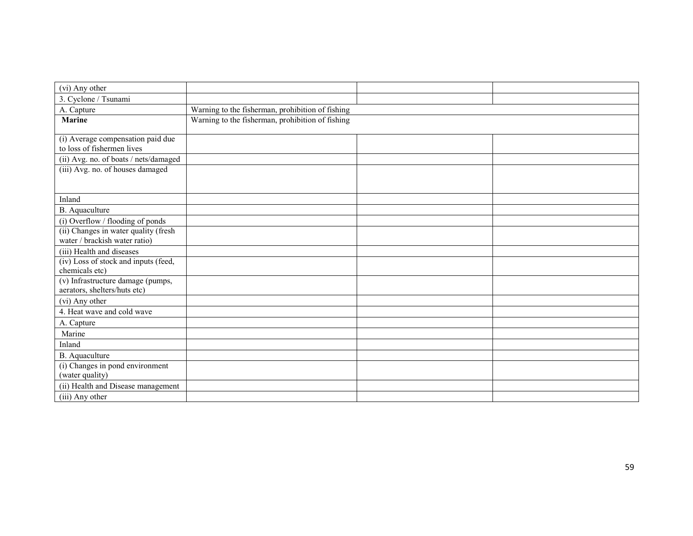| (vi) Any other                                                    |                                                  |  |  |
|-------------------------------------------------------------------|--------------------------------------------------|--|--|
| 3. Cyclone / Tsunami                                              |                                                  |  |  |
| A. Capture                                                        | Warning to the fisherman, prohibition of fishing |  |  |
| <b>Marine</b>                                                     | Warning to the fisherman, prohibition of fishing |  |  |
|                                                                   |                                                  |  |  |
| (i) Average compensation paid due<br>to loss of fishermen lives   |                                                  |  |  |
| (ii) Avg. no. of boats / nets/damaged                             |                                                  |  |  |
| (iii) Avg. no. of houses damaged                                  |                                                  |  |  |
|                                                                   |                                                  |  |  |
|                                                                   |                                                  |  |  |
| Inland                                                            |                                                  |  |  |
| B. Aquaculture                                                    |                                                  |  |  |
| (i) Overflow / flooding of ponds                                  |                                                  |  |  |
| (ii) Changes in water quality (fresh                              |                                                  |  |  |
| water / brackish water ratio)                                     |                                                  |  |  |
| (iii) Health and diseases                                         |                                                  |  |  |
| (iv) Loss of stock and inputs (feed,                              |                                                  |  |  |
| chemicals etc)                                                    |                                                  |  |  |
| (v) Infrastructure damage (pumps,<br>aerators, shelters/huts etc) |                                                  |  |  |
| (vi) Any other                                                    |                                                  |  |  |
| 4. Heat wave and cold wave                                        |                                                  |  |  |
| A. Capture                                                        |                                                  |  |  |
| Marine                                                            |                                                  |  |  |
| Inland                                                            |                                                  |  |  |
| B. Aquaculture                                                    |                                                  |  |  |
| (i) Changes in pond environment                                   |                                                  |  |  |
| (water quality)                                                   |                                                  |  |  |
| (ii) Health and Disease management                                |                                                  |  |  |
| (iii) Any other                                                   |                                                  |  |  |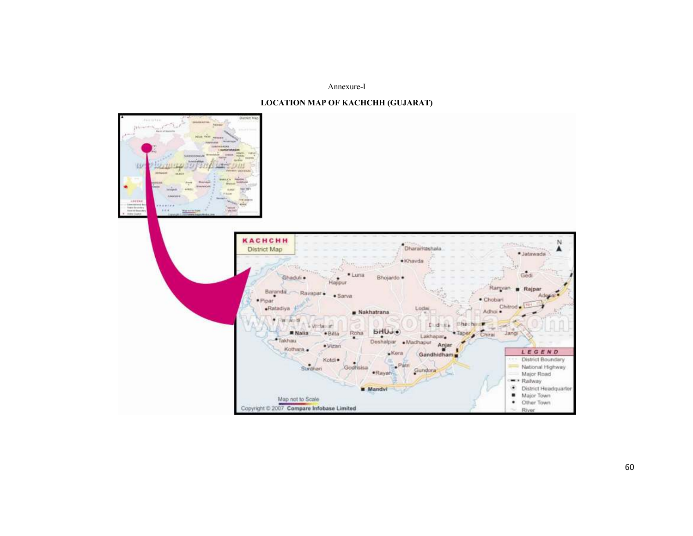#### Annexure-I



#### LOCATION MAP OF KACHCHH (GUJARAT)